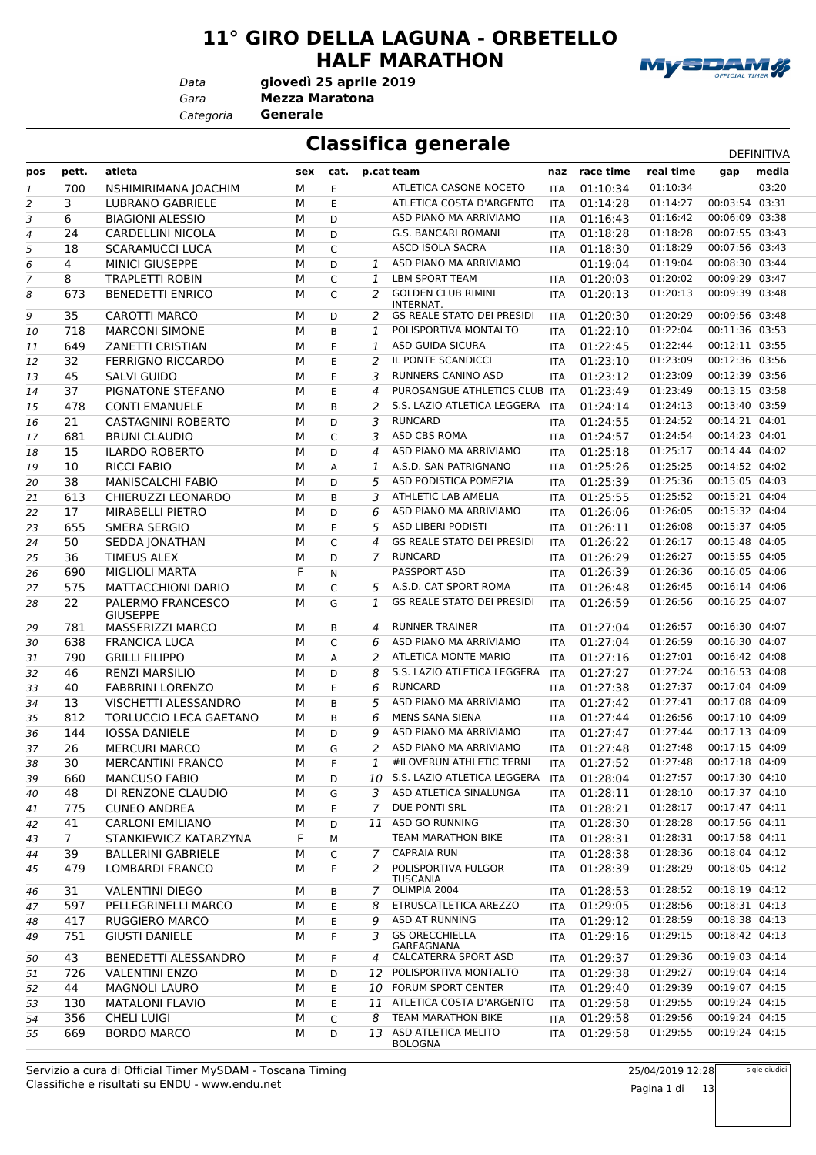#### **11° GIRO DELLA LAGUNA - ORBETELLO HALF MARATHON**

*Data*

*Gara* **Mezza Maratona giovedì 25 aprile 2019**

*Categoria* **Generale**

**Classifica generale** DEFINITIVA

| pos | pett.       | atleta                               | sex | cat. |                | p.cat team                                                    | naz        | race time | real time            | gap                              | media |
|-----|-------------|--------------------------------------|-----|------|----------------|---------------------------------------------------------------|------------|-----------|----------------------|----------------------------------|-------|
| 1   | 700         | NSHIMIRIMANA JOACHIM                 | м   | E    |                | ATLETICA CASONE NOCETO                                        | <b>ITA</b> | 01:10:34  | 01:10:34             |                                  | 03:20 |
| 2   | 3           | LUBRANO GABRIELE                     | M   | E    |                | ATLETICA COSTA D'ARGENTO                                      | <b>ITA</b> | 01:14:28  | 01:14:27             | 00:03:54 03:31                   |       |
| 3   | 6           | <b>BIAGIONI ALESSIO</b>              | M   | D    |                | ASD PIANO MA ARRIVIAMO                                        | <b>ITA</b> | 01:16:43  | 01:16:42             | 00:06:09 03:38                   |       |
| 4   | 24          | <b>CARDELLINI NICOLA</b>             | M   | D    |                | <b>G.S. BANCARI ROMANI</b>                                    | <b>ITA</b> | 01:18:28  | 01:18:28             | 00:07:55 03:43                   |       |
| 5   | 18          | <b>SCARAMUCCI LUCA</b>               | M   | C    |                | ASCD ISOLA SACRA                                              | <b>ITA</b> | 01:18:30  | 01:18:29             | 00:07:56 03:43                   |       |
| 6   | 4           | <b>MINICI GIUSEPPE</b>               | M   | D    | $\mathbf{1}$   | ASD PIANO MA ARRIVIAMO                                        |            | 01:19:04  | 01:19:04             | 00:08:30 03:44                   |       |
| 7   | 8           | <b>TRAPLETTI ROBIN</b>               | M   | C    | 1              | LBM SPORT TEAM                                                | <b>ITA</b> | 01:20:03  | 01:20:02             | 00:09:29 03:47                   |       |
| 8   | 673         | <b>BENEDETTI ENRICO</b>              | M   | C    | 2              | <b>GOLDEN CLUB RIMINI</b>                                     | <b>ITA</b> | 01:20:13  | 01:20:13             | 00:09:39 03:48                   |       |
|     |             |                                      |     |      |                | INTERNAT.                                                     |            |           |                      |                                  |       |
| 9   | 35          | <b>CAROTTI MARCO</b>                 | M   | D    | 2              | <b>GS REALE STATO DEI PRESIDI</b>                             | <b>ITA</b> | 01:20:30  | 01:20:29             | 00:09:56 03:48                   |       |
| 10  | 718         | <b>MARCONI SIMONE</b>                | M   | B    | $\mathbf{1}$   | POLISPORTIVA MONTALTO                                         | <b>ITA</b> | 01:22:10  | 01:22:04             | 00:11:36 03:53                   |       |
| 11  | 649         | <b>ZANETTI CRISTIAN</b>              | M   | E    | $\mathbf{1}$   | ASD GUIDA SICURA                                              | <b>ITA</b> | 01:22:45  | 01:22:44             | 00:12:11 03:55                   |       |
| 12  | 32          | <b>FERRIGNO RICCARDO</b>             | M   | E    | 2              | IL PONTE SCANDICCI                                            | <b>ITA</b> | 01:23:10  | 01:23:09             | 00:12:36 03:56                   |       |
| 13  | 45          | SALVI GUIDO                          | M   | E    | 3              | RUNNERS CANINO ASD                                            | <b>ITA</b> | 01:23:12  | 01:23:09             | 00:12:39 03:56                   |       |
| 14  | 37          | PIGNATONE STEFANO                    | M   | E    | 4              | PUROSANGUE ATHLETICS CLUB ITA                                 |            | 01:23:49  | 01:23:49             | 00:13:15 03:58                   |       |
| 15  | 478         | <b>CONTI EMANUELE</b>                | M   | B    | 2              | S.S. LAZIO ATLETICA LEGGERA                                   | <b>ITA</b> | 01:24:14  | 01:24:13             | 00:13:40 03:59                   |       |
| 16  | 21          | CASTAGNINI ROBERTO                   | M   | D    | 3              | <b>RUNCARD</b>                                                | ITA        | 01:24:55  | 01:24:52             | 00:14:21 04:01                   |       |
| 17  | 681         | <b>BRUNI CLAUDIO</b>                 | M   | C    | 3              | ASD CBS ROMA                                                  | <b>ITA</b> | 01:24:57  | 01:24:54             | 00:14:23 04:01                   |       |
| 18  | 15          | <b>ILARDO ROBERTO</b>                | M   | D    | $\overline{a}$ | ASD PIANO MA ARRIVIAMO                                        | <b>ITA</b> | 01:25:18  | 01:25:17             | 00:14:44 04:02                   |       |
| 19  | 10          | <b>RICCI FABIO</b>                   | M   | А    | 1              | A.S.D. SAN PATRIGNANO                                         | <b>ITA</b> | 01:25:26  | 01:25:25             | 00:14:52 04:02                   |       |
| 20  | 38          | <b>MANISCALCHI FABIO</b>             | M   | D    | 5              | ASD PODISTICA POMEZIA                                         | <b>ITA</b> | 01:25:39  | 01:25:36             | 00:15:05 04:03                   |       |
| 21  | 613         | CHIERUZZI LEONARDO                   | M   | B    | 3              | ATHLETIC LAB AMELIA                                           | <b>ITA</b> | 01:25:55  | 01:25:52             | 00:15:21 04:04                   |       |
| 22  | 17          | <b>MIRABELLI PIETRO</b>              | M   | D    | 6              | ASD PIANO MA ARRIVIAMO                                        | <b>ITA</b> | 01:26:06  | 01:26:05             | 00:15:32 04:04                   |       |
| 23  | 655         | <b>SMERA SERGIO</b>                  | M   | E    | 5              | ASD LIBERI PODISTI                                            | <b>ITA</b> | 01:26:11  | 01:26:08             | 00:15:37 04:05                   |       |
| 24  | 50          | SEDDA JONATHAN                       | M   | C    | 4              | <b>GS REALE STATO DEI PRESIDI</b>                             | <b>ITA</b> | 01:26:22  | 01:26:17             | 00:15:48 04:05                   |       |
| 25  | 36          | <b>TIMEUS ALEX</b>                   | M   | D    | 7              | <b>RUNCARD</b>                                                | <b>ITA</b> | 01:26:29  | 01:26:27             | 00:15:55 04:05                   |       |
| 26  | 690         | <b>MIGLIOLI MARTA</b>                | F   | N    |                | <b>PASSPORT ASD</b>                                           | <b>ITA</b> | 01:26:39  | 01:26:36             | 00:16:05 04:06                   |       |
| 27  | 575         | MATTACCHIONI DARIO                   | M   | C    | 5              | A.S.D. CAT SPORT ROMA                                         | <b>ITA</b> | 01:26:48  | 01:26:45             | 00:16:14 04:06                   |       |
| 28  | 22          | PALERMO FRANCESCO<br><b>GIUSEPPE</b> | M   | G    | 1              | <b>GS REALE STATO DEI PRESIDI</b>                             | <b>ITA</b> | 01:26:59  | 01:26:56             | 00:16:25 04:07                   |       |
| 29  | 781         | MASSERIZZI MARCO                     | м   | B    | 4              | <b>RUNNER TRAINER</b>                                         | <b>ITA</b> | 01:27:04  | 01:26:57             | 00:16:30 04:07                   |       |
| 30  | 638         | <b>FRANCICA LUCA</b>                 | м   | C    | 6              | ASD PIANO MA ARRIVIAMO                                        | <b>ITA</b> | 01:27:04  | 01:26:59             | 00:16:30 04:07                   |       |
| 31  | 790         | <b>GRILLI FILIPPO</b>                | M   | А    | 2              | ATLETICA MONTE MARIO                                          | <b>ITA</b> | 01:27:16  | 01:27:01             | 00:16:42 04:08                   |       |
| 32  | 46          | <b>RENZI MARSILIO</b>                | M   | D    | 8              | S.S. LAZIO ATLETICA LEGGERA                                   | <b>ITA</b> | 01:27:27  | 01:27:24             | 00:16:53 04:08                   |       |
| 33  | 40          | <b>FABBRINI LORENZO</b>              | M   | E    | 6              | <b>RUNCARD</b>                                                | ITA        | 01:27:38  | 01:27:37             | 00:17:04 04:09                   |       |
| 34  | 13          | VISCHETTI ALESSANDRO                 | M   | B    | 5              | ASD PIANO MA ARRIVIAMO                                        | <b>ITA</b> | 01:27:42  | 01:27:41             | 00:17:08 04:09                   |       |
| 35  | 812         | TORLUCCIO LECA GAETANO               | M   | B    | 6              | <b>MENS SANA SIENA</b>                                        | ITA        | 01:27:44  | 01:26:56             | 00:17:10 04:09                   |       |
| 36  | 144         | <b>IOSSA DANIELE</b>                 | M   | D    | 9              | ASD PIANO MA ARRIVIAMO                                        | <b>ITA</b> | 01:27:47  | 01:27:44             | 00:17:13 04:09                   |       |
| 37  | 26          | <b>MERCURI MARCO</b>                 | M   | G    | 2              | ASD PIANO MA ARRIVIAMO                                        | ITA        | 01:27:48  | 01:27:48             | 00:17:15 04:09                   |       |
| 38  | 30          | <b>MERCANTINI FRANCO</b>             | M   | F    | 1              | #ILOVERUN ATHLETIC TERNI                                      | <b>ITA</b> | 01:27:52  | 01:27:48             | 00:17:18 04:09                   |       |
| 39  | 660         | <b>MANCUSO FABIO</b>                 | М   | D    |                | 10 S.S. LAZIO ATLETICA LEGGERA                                | ITA        | 01:28:04  | 01:27:57             | 00:17:30 04:10                   |       |
| 40  | 48          | DI RENZONE CLAUDIO                   | М   | G    |                | 3 ASD ATLETICA SINALUNGA                                      | ITA        | 01:28:11  | 01:28:10             | 00:17:37 04:10                   |       |
| 41  | 775         | <b>CUNEO ANDREA</b>                  | М   | E    | 7              | DUE PONTI SRL                                                 | ITA        | 01:28:21  | 01:28:17             | 00:17:47 04:11                   |       |
| 42  | 41          | <b>CARLONI EMILIANO</b>              | М   | D    |                | 11 ASD GO RUNNING                                             | ITA        | 01:28:30  | 01:28:28             | 00:17:56 04:11                   |       |
| 43  | $7^{\circ}$ | STANKIEWICZ KATARZYNA                | F   | М    |                | <b>TEAM MARATHON BIKE</b>                                     | ITA        | 01:28:31  | 01:28:31             | 00:17:58 04:11                   |       |
| 44  | 39          | <b>BALLERINI GABRIELE</b>            | М   | C    | 7              | <b>CAPRAIA RUN</b>                                            | ITA        | 01:28:38  | 01:28:36             | 00:18:04 04:12                   |       |
| 45  | 479         | LOMBARDI FRANCO                      | М   | F.   | 2              | POLISPORTIVA FULGOR<br><b>TUSCANIA</b>                        | ITA        | 01:28:39  | 01:28:29             | 00:18:05 04:12                   |       |
| 46  | 31          | <b>VALENTINI DIEGO</b>               | м   | В    | 7              | OLIMPIA 2004                                                  | <b>ITA</b> | 01:28:53  | 01:28:52             | 00:18:19 04:12                   |       |
| 47  | 597         | PELLEGRINELLI MARCO                  | М   | E    | 8              | ETRUSCATLETICA AREZZO                                         | <b>ITA</b> | 01:29:05  | 01:28:56             | 00:18:31 04:13                   |       |
| 48  | 417         | <b>RUGGIERO MARCO</b>                | М   | Ε    | 9              | ASD AT RUNNING                                                | ITA        | 01:29:12  | 01:28:59             | 00:18:38 04:13                   |       |
| 49  | 751         | <b>GIUSTI DANIELE</b>                | М   | F    | 3              | <b>GS ORECCHIELLA</b><br>GARFAGNANA<br>4 CALCATERRA SPORT ASD | ITA        | 01:29:16  | 01:29:15             | 00:18:42 04:13                   |       |
| 50  | 43          | BENEDETTI ALESSANDRO                 | м   | F    |                |                                                               | ITA        | 01:29:37  | 01:29:36             | 00:19:03 04:14                   |       |
| 51  | 726         | <b>VALENTINI ENZO</b>                | М   | D    |                | 12 POLISPORTIVA MONTALTO                                      | <b>ITA</b> | 01:29:38  | 01:29:27             | 00:19:04 04:14                   |       |
| 52  | 44          | <b>MAGNOLI LAURO</b>                 | М   | E    |                | 10 FORUM SPORT CENTER                                         | ITA        | 01:29:40  | 01:29:39             | 00:19:07 04:15                   |       |
| 53  | 130         | <b>MATALONI FLAVIO</b>               | М   | E    |                | 11 ATLETICA COSTA D'ARGENTO                                   | <b>ITA</b> | 01:29:58  | 01:29:55             | 00:19:24 04:15                   |       |
| 54  | 356         | <b>CHELI LUIGI</b>                   | М   | C    | 8              | TEAM MARATHON BIKE<br>13 ASD ATLETICA MELITO                  | <b>ITA</b> | 01:29:58  | 01:29:56<br>01:29:55 | 00:19:24 04:15<br>00:19:24 04:15 |       |
| 55  | 669         | <b>BORDO MARCO</b>                   | M   | D    |                | <b>BOLOGNA</b>                                                | ITA        | 01:29:58  |                      |                                  |       |

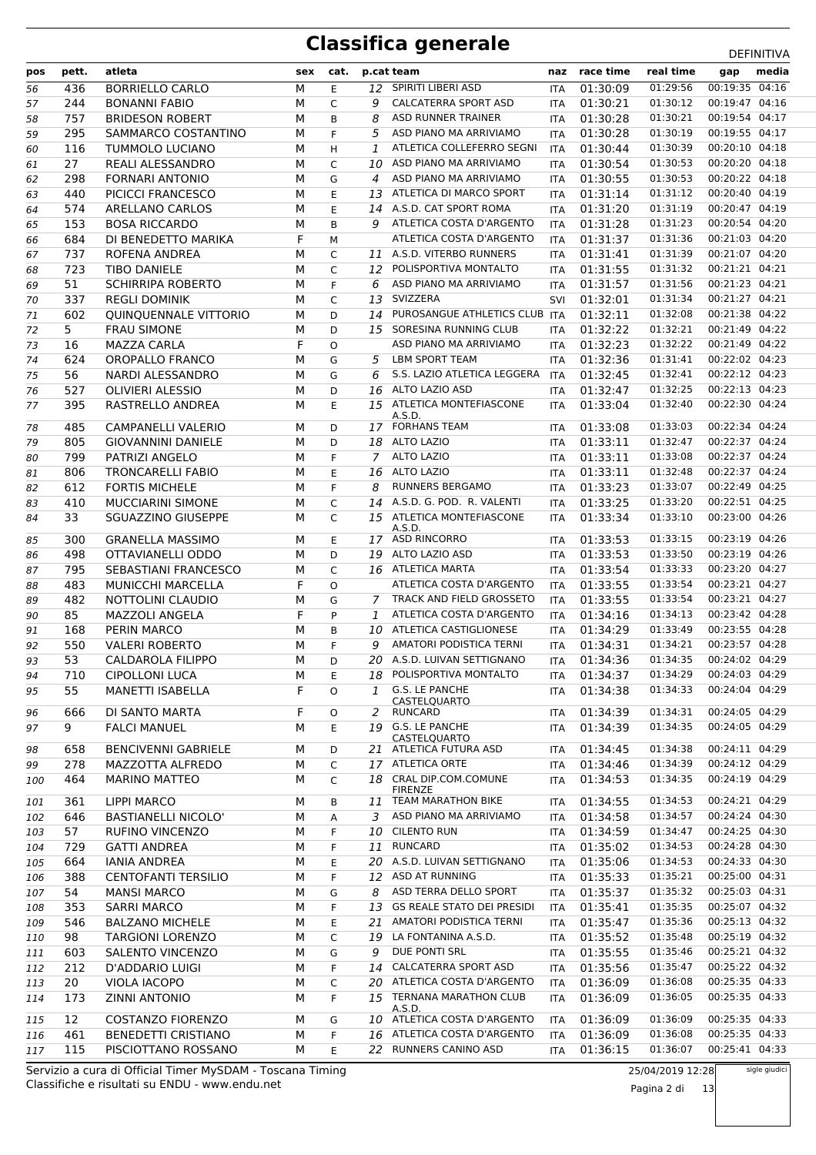| pos | pett.      | atleta                                            | sex | cat.         |              | p.cat team                            |            | naz race time        | real time                 | gap                              | media |
|-----|------------|---------------------------------------------------|-----|--------------|--------------|---------------------------------------|------------|----------------------|---------------------------|----------------------------------|-------|
| 56  | 436        | <b>BORRIELLO CARLO</b>                            | M   | E            | 12           | SPIRITI LIBERI ASD                    | <b>ITA</b> | 01:30:09             | 01:29:56                  | 00:19:35 04:16                   |       |
| 57  | 244        | <b>BONANNI FABIO</b>                              | M   | C            | 9            | <b>CALCATERRA SPORT ASD</b>           | <b>ITA</b> | 01:30:21             | 01:30:12                  | 00:19:47 04:16                   |       |
| 58  | 757        | <b>BRIDESON ROBERT</b>                            | M   | B            | 8            | <b>ASD RUNNER TRAINER</b>             | <b>ITA</b> | 01:30:28             | 01:30:21                  | 00:19:54 04:17                   |       |
| 59  | 295        | SAMMARCO COSTANTINO                               | М   | F            | 5            | ASD PIANO MA ARRIVIAMO                | <b>ITA</b> | 01:30:28             | 01:30:19                  | 00:19:55 04:17                   |       |
| 60  | 116        | <b>TUMMOLO LUCIANO</b>                            | M   | H            | 1            | ATLETICA COLLEFERRO SEGNI             | ITA        | 01:30:44             | 01:30:39                  | 00:20:10 04:18                   |       |
| 61  | 27         | REALI ALESSANDRO                                  | M   | $\mathsf{C}$ | 10           | ASD PIANO MA ARRIVIAMO                | <b>ITA</b> | 01:30:54             | 01:30:53                  | 00:20:20 04:18                   |       |
| 62  | 298        | <b>FORNARI ANTONIO</b>                            | M   | G            | 4            | ASD PIANO MA ARRIVIAMO                | <b>ITA</b> | 01:30:55             | 01:30:53                  | 00:20:22 04:18                   |       |
| 63  | 440        | PICICCI FRANCESCO                                 | М   | E.           | 13           | ATLETICA DI MARCO SPORT               | ITA        | 01:31:14             | 01:31:12                  | 00:20:40 04:19                   |       |
| 64  | 574        | <b>ARELLANO CARLOS</b>                            | M   | E            | 14           | A.S.D. CAT SPORT ROMA                 | <b>ITA</b> | 01:31:20             | 01:31:19                  | 00:20:47 04:19                   |       |
| 65  | 153        | <b>BOSA RICCARDO</b>                              | М   | B            | q            | ATLETICA COSTA D'ARGENTO              | <b>ITA</b> | 01:31:28             | 01:31:23                  | 00:20:54 04:20                   |       |
| 66  | 684        | DI BENEDETTO MARIKA                               | F   | M            |              | ATLETICA COSTA D'ARGENTO              | <b>ITA</b> | 01:31:37             | 01:31:36                  | 00:21:03 04:20                   |       |
| 67  | 737        | ROFENA ANDREA                                     | M   | C            |              | 11 A.S.D. VITERBO RUNNERS             | <b>ITA</b> | 01:31:41             | 01:31:39                  | 00:21:07 04:20                   |       |
| 68  | 723        | <b>TIBO DANIELE</b>                               | М   | C            | 12           | POLISPORTIVA MONTALTO                 | <b>ITA</b> | 01:31:55             | 01:31:32                  | 00:21:21 04:21                   |       |
| 69  | 51         | <b>SCHIRRIPA ROBERTO</b>                          | М   | F            | 6            | ASD PIANO MA ARRIVIAMO                | <b>ITA</b> | 01:31:57             | 01:31:56                  | 00:21:23 04:21                   |       |
| 70  | 337        | <b>REGLI DOMINIK</b>                              | M   | C            | 13           | SVIZZERA                              | SVI        | 01:32:01             | 01:31:34                  | 00:21:27 04:21                   |       |
| 71  | 602        | QUINQUENNALE VITTORIO                             | М   | D            | 14           | PUROSANGUE ATHLETICS CLUB ITA         |            | 01:32:11             | 01:32:08                  | 00:21:38 04:22                   |       |
| 72  | 5          | <b>FRAU SIMONE</b>                                | М   | D            |              | 15 SORESINA RUNNING CLUB              | <b>ITA</b> | 01:32:22             | 01:32:21                  | 00:21:49 04:22                   |       |
| 73  | 16         | <b>MAZZA CARLA</b>                                | F   | $\circ$      |              | ASD PIANO MA ARRIVIAMO                | <b>ITA</b> | 01:32:23             | 01:32:22                  | 00:21:49 04:22                   |       |
| 74  | 624        | OROPALLO FRANCO                                   | M   | G            | 5.           | LBM SPORT TEAM                        | <b>ITA</b> | 01:32:36             | 01:31:41                  | 00:22:02 04:23                   |       |
| 75  | 56         | NARDI ALESSANDRO                                  | М   | G            | 6            | S.S. LAZIO ATLETICA LEGGERA           | <b>ITA</b> | 01:32:45             | 01:32:41                  | 00:22:12 04:23                   |       |
| 76  | 527        | <b>OLIVIERI ALESSIO</b>                           | M   | D            | 16           | ALTO LAZIO ASD                        | <b>ITA</b> | 01:32:47             | 01:32:25                  | 00:22:13 04:23                   |       |
| 77  | 395        | RASTRELLO ANDREA                                  | M   | E.           | 15           | ATLETICA MONTEFIASCONE                | <b>ITA</b> | 01:33:04             | 01:32:40                  | 00:22:30 04:24                   |       |
|     |            | <b>CAMPANELLI VALERIO</b>                         |     |              |              | A.S.D.<br><b>17 FORHANS TEAM</b>      |            |                      | 01:33:03                  | 00:22:34 04:24                   |       |
| 78  | 485        |                                                   | M   | D            |              | 18 ALTO LAZIO                         | <b>ITA</b> | 01:33:08<br>01:33:11 |                           | 00:22:37 04:24                   |       |
| 79  | 805        | <b>GIOVANNINI DANIELE</b>                         | М   | D            |              |                                       | <b>ITA</b> |                      | 01:32:47                  | 00:22:37 04:24                   |       |
| 80  | 799        | PATRIZI ANGELO                                    | М   | F            | 7            | <b>ALTO LAZIO</b><br>ALTO LAZIO       | <b>ITA</b> | 01:33:11             | 01:33:08                  | 00:22:37 04:24                   |       |
| 81  | 806        | <b>TRONCARELLI FABIO</b>                          | M   | E            | 16           | <b>RUNNERS BERGAMO</b>                | <b>ITA</b> | 01:33:11             | 01:32:48<br>01:33:07      | 00:22:49 04:25                   |       |
| 82  | 612<br>410 | <b>FORTIS MICHELE</b><br><b>MUCCIARINI SIMONE</b> | М   | F            | 8            | 14 A.S.D. G. POD. R. VALENTI          | ITA        | 01:33:23<br>01:33:25 | 01:33:20                  | 00:22:51 04:25                   |       |
| 83  |            |                                                   | M   | $\mathsf{C}$ |              | ATLETICA MONTEFIASCONE                | <b>ITA</b> |                      | 01:33:10                  | 00:23:00 04:26                   |       |
| 84  | 33         | SGUAZZINO GIUSEPPE                                | M   | $\mathsf{C}$ | 15           | A.S.D.                                | <b>ITA</b> | 01:33:34             |                           |                                  |       |
| 85  | 300        | <b>GRANELLA MASSIMO</b>                           | М   | E.           |              | 17 ASD RINCORRO                       | <b>ITA</b> | 01:33:53             | 01:33:15                  | 00:23:19 04:26                   |       |
| 86  | 498        | OTTAVIANELLI ODDO                                 | M   | D            | 19           | ALTO LAZIO ASD                        | <b>ITA</b> | 01:33:53             | 01:33:50                  | 00:23:19 04:26                   |       |
| 87  | 795        | SEBASTIANI FRANCESCO                              | М   | C            |              | 16 ATLETICA MARTA                     | ITA        | 01:33:54             | 01:33:33                  | 00:23:20 04:27                   |       |
| 88  | 483        | <b>MUNICCHI MARCELLA</b>                          | F   | $\circ$      |              | ATLETICA COSTA D'ARGENTO              | <b>ITA</b> | 01:33:55             | 01:33:54                  | 00:23:21 04:27                   |       |
| 89  | 482        | <b>NOTTOLINI CLAUDIO</b>                          | M   | G            | 7            | TRACK AND FIELD GROSSETO              | <b>ITA</b> | 01:33:55             | 01:33:54                  | 00:23:21 04:27                   |       |
| 90  | 85         | <b>MAZZOLI ANGELA</b>                             | F   | P            | 1            | ATLETICA COSTA D'ARGENTO              | <b>ITA</b> | 01:34:16             | 01:34:13                  | 00:23:42 04:28                   |       |
| 91  | 168        | PERIN MARCO                                       | М   | B            | 10           | ATLETICA CASTIGLIONESE                | <b>ITA</b> | 01:34:29             | 01:33:49                  | 00:23:55 04:28                   |       |
| 92  | 550        | <b>VALERI ROBERTO</b>                             | M   | F            | q            | AMATORI PODISTICA TERNI               | <b>ITA</b> | 01:34:31             | 01:34:21                  | 00:23:57 04:28                   |       |
| 93  | 53         | CALDAROLA FILIPPO                                 | M   | D            |              | 20 A.S.D. LUIVAN SETTIGNANO           | <b>ITA</b> | 01:34:36             | 01:34:35                  | 00:24:02 04:29                   |       |
| 94  |            | 710 CIPOLLONI LUCA                                | M   | E            |              | 18 POLISPORTIVA MONTALTO              |            | ITA 01:34:37         | 01:34:29  00:24:03  04:29 |                                  |       |
| 95  | 55         | <b>MANETTI ISABELLA</b>                           | F   | O            | $\mathbf{1}$ | G.S. LE PANCHE                        | ITA.       | 01:34:38             | 01:34:33                  | 00:24:04 04:29                   |       |
| 96  | 666        | DI SANTO MARTA                                    | F   | O            |              | CASTELQUARTO<br>RUNCARD               | ITA        | 01:34:39             | 01:34:31                  | 00:24:05 04:29                   |       |
| 97  | 9          | <b>FALCI MANUEL</b>                               | М   | E            |              | 19 G.S. LE PANCHE                     | ITA        | 01:34:39             | 01:34:35                  | 00:24:05 04:29                   |       |
|     |            |                                                   |     |              |              | CASTELOUARTO                          |            |                      |                           |                                  |       |
| 98  | 658        | <b>BENCIVENNI GABRIELE</b>                        | М   | D            |              | 21 ATLETICA FUTURA ASD                | ITA        | 01:34:45             | 01:34:38                  | 00:24:11 04:29                   |       |
| 99  | 278        | MAZZOTTA ALFREDO                                  | M   | C            |              | 17 ATLETICA ORTE                      | ITA        | 01:34:46             | 01:34:39                  | 00:24:12 04:29                   |       |
| 100 | 464        | <b>MARINO MATTEO</b>                              | М   | C            | 18           | CRAL DIP.COM.COMUNE<br><b>FIRENZE</b> | ITA        | 01:34:53             | 01:34:35                  | 00:24:19 04:29                   |       |
| 101 | 361        | <b>LIPPI MARCO</b>                                | М   | В            |              | 11 TEAM MARATHON BIKE                 | <b>ITA</b> | 01:34:55             | 01:34:53                  | 00:24:21 04:29                   |       |
| 102 | 646        | <b>BASTIANELLI NICOLO'</b>                        | М   | А            | 3            | ASD PIANO MA ARRIVIAMO                | <b>ITA</b> | 01:34:58             | 01:34:57                  | 00:24:24 04:30                   |       |
| 103 | 57         | RUFINO VINCENZO                                   | М   | F            |              | 10 CILENTO RUN                        | ITA        | 01:34:59             | 01:34:47                  | 00:24:25 04:30                   |       |
| 104 | 729        | <b>GATTI ANDREA</b>                               | M   | F            | 11           | <b>RUNCARD</b>                        | ITA        | 01:35:02             | 01:34:53                  | 00:24:28 04:30                   |       |
| 105 | 664        | <b>IANIA ANDREA</b>                               | M   | E            | 20           | A.S.D. LUIVAN SETTIGNANO              | ITA        | 01:35:06             | 01:34:53                  | 00:24:33 04:30                   |       |
| 106 | 388        | <b>CENTOFANTI TERSILIO</b>                        | М   | F            | 12           | ASD AT RUNNING                        | ITA        | 01:35:33             | 01:35:21                  | 00:25:00 04:31                   |       |
| 107 | 54         | <b>MANSI MARCO</b>                                | М   | G            | 8            | ASD TERRA DELLO SPORT                 | <b>ITA</b> | 01:35:37             | 01:35:32                  | 00:25:03 04:31                   |       |
| 108 | 353        | <b>SARRI MARCO</b>                                | М   | F            | 13           | <b>GS REALE STATO DEI PRESIDI</b>     | ITA        | 01:35:41             | 01:35:35                  | 00:25:07 04:32                   |       |
| 109 | 546        | <b>BALZANO MICHELE</b>                            | М   | E            | 21           | AMATORI PODISTICA TERNI               | ITA        | 01:35:47             | 01:35:36                  | 00:25:13 04:32                   |       |
| 110 | 98         | <b>TARGIONI LORENZO</b>                           | M   | C            | 19           | LA FONTANINA A.S.D.                   | ITA.       | 01:35:52             | 01:35:48                  | 00:25:19 04:32                   |       |
| 111 | 603        | SALENTO VINCENZO                                  | М   | G            | 9            | DUE PONTI SRL                         | <b>ITA</b> | 01:35:55             | 01:35:46                  | 00:25:21 04:32                   |       |
| 112 | 212        | D'ADDARIO LUIGI                                   | М   | F            | 14           | <b>CALCATERRA SPORT ASD</b>           | ITA        | 01:35:56             | 01:35:47                  | 00:25:22 04:32                   |       |
| 113 | 20         | VIOLA IACOPO                                      | М   | C            | 20           | ATLETICA COSTA D'ARGENTO              | <b>ITA</b> | 01:36:09             | 01:36:08                  | 00:25:35 04:33                   |       |
| 114 | 173        | ZINNI ANTONIO                                     | М   | F            | 15           | <b>TERNANA MARATHON CLUB</b>          | <b>ITA</b> | 01:36:09             | 01:36:05                  | 00:25:35 04:33                   |       |
|     |            |                                                   |     |              |              | A.S.D.                                |            |                      |                           |                                  |       |
| 115 | 12         | <b>COSTANZO FIORENZO</b>                          | м   | G            |              | 10 ATLETICA COSTA D'ARGENTO           | <b>ITA</b> | 01:36:09             | 01:36:09                  | 00:25:35 04:33                   |       |
| 116 | 461        | <b>BENEDETTI CRISTIANO</b>                        | M   | F            |              | 16 ATLETICA COSTA D'ARGENTO           | <b>ITA</b> | 01:36:09             | 01:36:08                  | 00:25:35 04:33<br>00:25:41 04:33 |       |
| 117 | 115        | PISCIOTTANO ROSSANO                               | М   | E            |              | 22 RUNNERS CANINO ASD                 | ITA        | 01:36:15             | 01:36:07                  |                                  |       |

Classifiche e risultati su ENDU - www.endu.net Servizio a cura di Official Timer MySDAM - Toscana Timing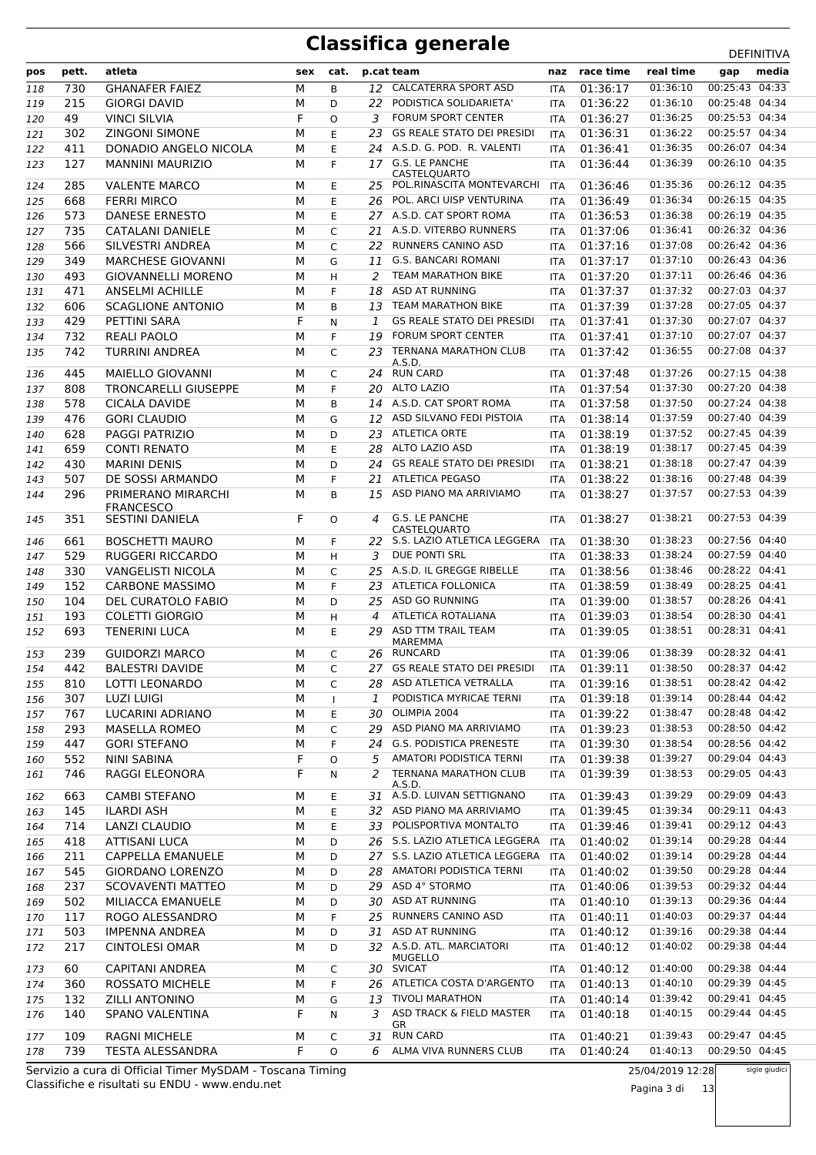|     |       |                                          |        |              |               |                                                    |            |           |           | <b>レ∟!!!!!!!</b> |       |
|-----|-------|------------------------------------------|--------|--------------|---------------|----------------------------------------------------|------------|-----------|-----------|------------------|-------|
| pos | pett. | atleta                                   | sex    | cat.         |               | p.cat team                                         | naz        | race time | real time | gap              | media |
| 118 | 730   | <b>GHANAFER FAIEZ</b>                    | М      | B            |               | 12 CALCATERRA SPORT ASD                            | ITA        | 01:36:17  | 01:36:10  | 00:25:43 04:33   |       |
| 119 | 215   | <b>GIORGI DAVID</b>                      | М      | D            | 22            | PODISTICA SOLIDARIETA'                             | <b>ITA</b> | 01:36:22  | 01:36:10  | 00:25:48 04:34   |       |
| 120 | 49    | <b>VINCI SILVIA</b>                      | F      | O            | 3             | <b>FORUM SPORT CENTER</b>                          | <b>ITA</b> | 01:36:27  | 01:36:25  | 00:25:53 04:34   |       |
| 121 | 302   | <b>ZINGONI SIMONE</b>                    | М      | E            | 23            | <b>GS REALE STATO DEI PRESIDI</b>                  | <b>ITA</b> | 01:36:31  | 01:36:22  | 00:25:57 04:34   |       |
| 122 | 411   | DONADIO ANGELO NICOLA                    | М      | Ε            |               | 24 A.S.D. G. POD. R. VALENTI                       | <b>ITA</b> | 01:36:41  | 01:36:35  | 00:26:07 04:34   |       |
| 123 | 127   | <b>MANNINI MAURIZIO</b>                  | М      | F            |               | 17 G.S. LE PANCHE                                  | <b>ITA</b> | 01:36:44  | 01:36:39  | 00:26:10 04:35   |       |
|     |       |                                          |        |              |               | CASTELQUARTO                                       |            |           |           |                  |       |
| 124 | 285   | <b>VALENTE MARCO</b>                     | М      | E            | 25.           | POL.RINASCITA MONTEVARCHI                          | <b>ITA</b> | 01:36:46  | 01:35:36  | 00:26:12 04:35   |       |
| 125 | 668   | <b>FERRI MIRCO</b>                       | М      | E            | 26            | POL. ARCI UISP VENTURINA                           | <b>ITA</b> | 01:36:49  | 01:36:34  | 00:26:15 04:35   |       |
| 126 | 573   | <b>DANESE ERNESTO</b>                    | М      | E            |               | 27 A.S.D. CAT SPORT ROMA                           | <b>ITA</b> | 01:36:53  | 01:36:38  | 00:26:19 04:35   |       |
| 127 | 735   | CATALANI DANIELE                         | М      | C            | 21            | A.S.D. VITERBO RUNNERS                             | <b>ITA</b> | 01:37:06  | 01:36:41  | 00:26:32 04:36   |       |
| 128 | 566   | SILVESTRI ANDREA                         | М      | C            | 22            | <b>RUNNERS CANINO ASD</b>                          | ITA        | 01:37:16  | 01:37:08  | 00:26:42 04:36   |       |
| 129 | 349   | <b>MARCHESE GIOVANNI</b>                 | М      | G            | 11            | <b>G.S. BANCARI ROMANI</b>                         | ITA        | 01:37:17  | 01:37:10  | 00:26:43 04:36   |       |
| 130 | 493   | <b>GIOVANNELLI MORENO</b>                | М      | H            | 2             | <b>TEAM MARATHON BIKE</b>                          | <b>ITA</b> | 01:37:20  | 01:37:11  | 00:26:46 04:36   |       |
| 131 | 471   | <b>ANSELMI ACHILLE</b>                   | М      | F            | 18            | <b>ASD AT RUNNING</b>                              | ITA        | 01:37:37  | 01:37:32  | 00:27:03 04:37   |       |
| 132 | 606   | <b>SCAGLIONE ANTONIO</b>                 | М      | B            | 13            | <b>TEAM MARATHON BIKE</b>                          | <b>ITA</b> | 01:37:39  | 01:37:28  | 00:27:05 04:37   |       |
| 133 | 429   | PETTINI SARA                             | F      | N            | 1             | <b>GS REALE STATO DEI PRESIDI</b>                  | <b>ITA</b> | 01:37:41  | 01:37:30  | 00:27:07 04:37   |       |
| 134 | 732   | <b>REALI PAOLO</b>                       | M      | F            | 19            | <b>FORUM SPORT CENTER</b>                          | ITA        | 01:37:41  | 01:37:10  | 00:27:07 04:37   |       |
| 135 | 742   | <b>TURRINI ANDREA</b>                    | М      | $\mathsf{C}$ | 23            | <b>TERNANA MARATHON CLUB</b>                       | <b>ITA</b> | 01:37:42  | 01:36:55  | 00:27:08 04:37   |       |
|     |       |                                          |        |              |               | A.S.D.                                             |            |           |           |                  |       |
| 136 | 445   | MAIELLO GIOVANNI                         | М      | C            | 24            | <b>RUN CARD</b>                                    | ITA        | 01:37:48  | 01:37:26  | 00:27:15 04:38   |       |
| 137 | 808   | <b>TRONCARELLI GIUSEPPE</b>              | М      | F            | 20            | ALTO LAZIO                                         | <b>ITA</b> | 01:37:54  | 01:37:30  | 00:27:20 04:38   |       |
| 138 | 578   | CICALA DAVIDE                            | М      | B            | 14            | A.S.D. CAT SPORT ROMA                              | <b>ITA</b> | 01:37:58  | 01:37:50  | 00:27:24 04:38   |       |
| 139 | 476   | <b>GORI CLAUDIO</b>                      | М      | G            | 12            | ASD SILVANO FEDI PISTOIA                           | <b>ITA</b> | 01:38:14  | 01:37:59  | 00:27:40 04:39   |       |
| 140 | 628   | PAGGI PATRIZIO                           | М      | D            | 23            | <b>ATLETICA ORTE</b>                               | ITA        | 01:38:19  | 01:37:52  | 00:27:45 04:39   |       |
| 141 | 659   | <b>CONTI RENATO</b>                      | М      | E            | 28            | ALTO LAZIO ASD                                     | <b>ITA</b> | 01:38:19  | 01:38:17  | 00:27:45 04:39   |       |
| 142 | 430   | <b>MARINI DENIS</b>                      | M      | D            | 24            | <b>GS REALE STATO DEI PRESIDI</b>                  | <b>ITA</b> | 01:38:21  | 01:38:18  | 00:27:47 04:39   |       |
| 143 | 507   | DE SOSSI ARMANDO                         | М      | F            | 21            | <b>ATLETICA PEGASO</b>                             | <b>ITA</b> | 01:38:22  | 01:38:16  | 00:27:48 04:39   |       |
| 144 | 296   | PRIMERANO MIRARCHI                       | М      | B            | 15            | ASD PIANO MA ARRIVIAMO                             | <b>ITA</b> | 01:38:27  | 01:37:57  | 00:27:53 04:39   |       |
|     |       | <b>FRANCESCO</b>                         |        |              |               |                                                    |            |           |           |                  |       |
| 145 | 351   | <b>SESTINI DANIELA</b>                   | F      | $\Omega$     | 4             | G.S. LE PANCHE                                     | <b>ITA</b> | 01:38:27  | 01:38:21  | 00:27:53 04:39   |       |
| 146 | 661   | <b>BOSCHETTI MAURO</b>                   | м      | F            | 22.           | <b>CASTELOUARTO</b><br>S.S. LAZIO ATLETICA LEGGERA | ITA        | 01:38:30  | 01:38:23  | 00:27:56 04:40   |       |
| 147 | 529   | <b>RUGGERI RICCARDO</b>                  | М      | H            | 3             | DUE PONTI SRL                                      | <b>ITA</b> | 01:38:33  | 01:38:24  | 00:27:59 04:40   |       |
|     | 330   | <b>VANGELISTI NICOLA</b>                 |        |              | 25            | A.S.D. IL GREGGE RIBELLE                           |            | 01:38:56  | 01:38:46  | 00:28:22 04:41   |       |
| 148 |       |                                          | М      | C<br>F       |               | <b>ATLETICA FOLLONICA</b>                          | ITA        |           | 01:38:49  | 00:28:25 04:41   |       |
| 149 | 152   | <b>CARBONE MASSIMO</b>                   | м      |              | 23            |                                                    | <b>ITA</b> | 01:38:59  |           |                  |       |
| 150 | 104   | <b>DEL CURATOLO FABIO</b>                | М      | D            | 25            | ASD GO RUNNING                                     | <b>ITA</b> | 01:39:00  | 01:38:57  | 00:28:26 04:41   |       |
| 151 | 193   | <b>COLETTI GIORGIO</b>                   | М      | H            | 4             | ATLETICA ROTALIANA                                 | ITA        | 01:39:03  | 01:38:54  | 00:28:30 04:41   |       |
| 152 | 693   | <b>TENERINI LUCA</b>                     | М      | E            | 29            | ASD TTM TRAIL TEAM<br>MAREMMA                      | ITA        | 01:39:05  | 01:38:51  | 00:28:31 04:41   |       |
| 153 | 239   | <b>GUIDORZI MARCO</b>                    | М      | C            |               | 26 RUNCARD                                         | <b>ITA</b> | 01:39:06  | 01:38:39  | 00:28:32 04:41   |       |
| 154 | 442   | <b>BALESTRI DAVIDE</b>                   | М      | C            |               | 27 GS REALE STATO DEI PRESIDI                      | <b>ITA</b> | 01:39:11  | 01:38:50  | 00:28:37 04:42   |       |
| 155 | 810   | LOTTI LEONARDO                           | М      | C            |               | 28 ASD ATLETICA VETRALLA                           | ITA        | 01:39:16  | 01:38:51  | 00:28:42 04:42   |       |
| 156 | 307   | <b>LUZI LUIGI</b>                        | М      | $\mathbf{I}$ | $\mathcal{I}$ | PODISTICA MYRICAE TERNI                            | ITA        | 01:39:18  | 01:39:14  | 00:28:44 04:42   |       |
| 157 | 767   | LUCARINI ADRIANO                         | М      | Е            |               | 30 OLIMPIA 2004                                    | ITA        | 01:39:22  | 01:38:47  | 00:28:48 04:42   |       |
| 158 | 293   | <b>MASELLA ROMEO</b>                     | М      | C            | 29            | ASD PIANO MA ARRIVIAMO                             | ITA        | 01:39:23  | 01:38:53  | 00:28:50 04:42   |       |
| 159 | 447   | <b>GORI STEFANO</b>                      | М      | F            | 24            | <b>G.S. PODISTICA PRENESTE</b>                     | ITA.       | 01:39:30  | 01:38:54  | 00:28:56 04:42   |       |
| 160 | 552   | NINI SABINA                              | F      | O            | 5             | AMATORI PODISTICA TERNI                            | ITA.       | 01:39:38  | 01:39:27  | 00:29:04 04:43   |       |
| 161 | 746   | RAGGI ELEONORA                           | F      | N            | $\mathcal{P}$ | <b>TERNANA MARATHON CLUB</b>                       | ITA        | 01:39:39  | 01:38:53  | 00:29:05 04:43   |       |
|     |       |                                          |        |              |               | A.S.D.                                             |            |           |           |                  |       |
| 162 | 663   | <b>CAMBI STEFANO</b>                     | М      | Е            |               | 31 A.S.D. LUIVAN SETTIGNANO                        | ITA        | 01:39:43  | 01:39:29  | 00:29:09 04:43   |       |
| 163 | 145   | <b>ILARDI ASH</b>                        | М      | Ε            |               | 32 ASD PIANO MA ARRIVIAMO                          | ITA        | 01:39:45  | 01:39:34  | 00:29:11 04:43   |       |
| 164 | 714   | <b>LANZI CLAUDIO</b>                     | М      | Е            | 33            | POLISPORTIVA MONTALTO                              | ITA        | 01:39:46  | 01:39:41  | 00:29:12 04:43   |       |
| 165 | 418   | <b>ATTISANI LUCA</b>                     | М      | D            |               | 26 S.S. LAZIO ATLETICA LEGGERA                     | <b>ITA</b> | 01:40:02  | 01:39:14  | 00:29:28 04:44   |       |
| 166 | 211   | <b>CAPPELLA EMANUELE</b>                 | М      | D            |               | 27 S.S. LAZIO ATLETICA LEGGERA                     | ITA        | 01:40:02  | 01:39:14  | 00:29:28 04:44   |       |
| 167 | 545   | <b>GIORDANO LORENZO</b>                  | М      | D            | 28.           | AMATORI PODISTICA TERNI                            | ITA        | 01:40:02  | 01:39:50  | 00:29:28 04:44   |       |
| 168 | 237   | SCOVAVENTI MATTEO                        | М      | D            |               | 29 ASD 4° STORMO                                   | ITA        | 01:40:06  | 01:39:53  | 00:29:32 04:44   |       |
| 169 | 502   | MILIACCA EMANUELE                        | М      | D            |               | 30 ASD AT RUNNING                                  | ITA.       | 01:40:10  | 01:39:13  | 00:29:36 04:44   |       |
| 170 | 117   | ROGO ALESSANDRO                          | М      | F            | 25            | RUNNERS CANINO ASD                                 | ITA.       | 01:40:11  | 01:40:03  | 00:29:37 04:44   |       |
| 171 | 503   | IMPENNA ANDREA                           | М      | D            | 31            | ASD AT RUNNING                                     | ITA        | 01:40:12  | 01:39:16  | 00:29:38 04:44   |       |
| 172 | 217   | <b>CINTOLESI OMAR</b>                    | м      | D            |               | 32 A.S.D. ATL. MARCIATORI                          | ITA        | 01:40:12  | 01:40:02  | 00:29:38 04:44   |       |
|     | 60    | <b>CAPITANI ANDREA</b>                   |        |              |               | MUGELLO<br>30 SVICAT                               |            | 01:40:12  | 01:40:00  | 00:29:38 04:44   |       |
| 173 | 360   |                                          | М      | C            |               | 26 ATLETICA COSTA D'ARGENTO                        | ITA        | 01:40:13  | 01:40:10  | 00:29:39 04:45   |       |
| 174 | 132   | ROSSATO MICHELE<br><b>ZILLI ANTONINO</b> | М      | F            | 13            | <b>TIVOLI MARATHON</b>                             | ITA        | 01:40:14  | 01:39:42  | 00:29:41 04:45   |       |
| 175 | 140   |                                          | М<br>F | G            | 3             | ASD TRACK & FIELD MASTER                           | ITA.       | 01:40:18  | 01:40:15  | 00:29:44 04:45   |       |
| 176 |       | SPANO VALENTINA                          |        | Ν            |               | GR                                                 | ITA        |           |           |                  |       |
| 177 | 109   | <b>RAGNI MICHELE</b>                     | М      | C            | 31            | <b>RUN CARD</b>                                    | ITA        | 01:40:21  | 01:39:43  | 00:29:47 04:45   |       |
| 178 | 739   | <b>TESTA ALESSANDRA</b>                  | F      | O            | 6             | ALMA VIVA RUNNERS CLUB                             | ITA        | 01:40:24  | 01:40:13  | 00:29:50 04:45   |       |

Classifiche e risultati su ENDU - www.endu.net Servizio a cura di Official Timer MySDAM - Toscana Timing 25/04/2019 12:28

Pagina 3 di 13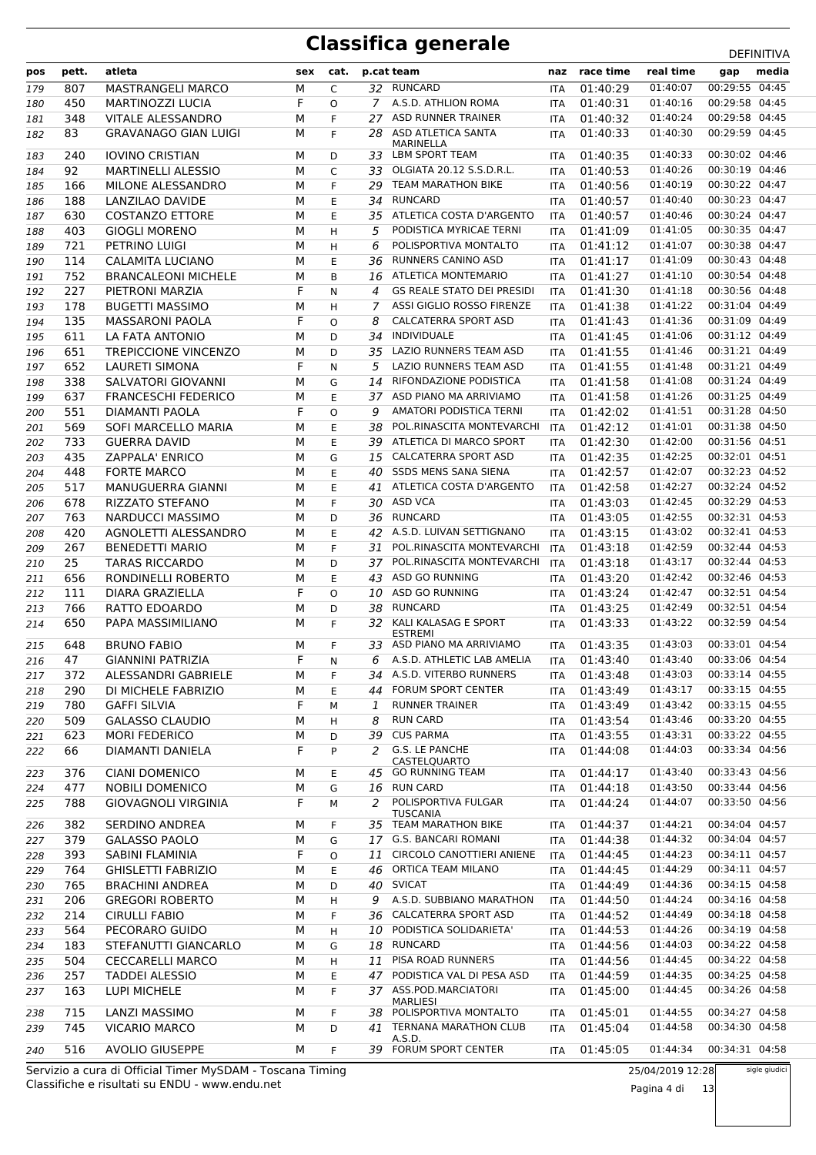| pos | pett.      | atleta                             | sex | cat.     |               | p.cat team                                         | naz        | race time    | real time            | gap                              | media |
|-----|------------|------------------------------------|-----|----------|---------------|----------------------------------------------------|------------|--------------|----------------------|----------------------------------|-------|
| 179 | 807        | <b>MASTRANGELI MARCO</b>           | M   | C        |               | 32 RUNCARD                                         | <b>ITA</b> | 01:40:29     | 01:40:07             | 00:29:55 04:45                   |       |
| 180 | 450        | MARTINOZZI LUCIA                   | F   | O        |               | 7 A.S.D. ATHLION ROMA                              | <b>ITA</b> | 01:40:31     | 01:40:16             | 00:29:58 04:45                   |       |
| 181 | 348        | <b>VITALE ALESSANDRO</b>           | M   | F        | 27            | ASD RUNNER TRAINER                                 | ITA        | 01:40:32     | 01:40:24             | 00:29:58 04:45                   |       |
| 182 | 83         | <b>GRAVANAGO GIAN LUIGI</b>        | м   | F        | 28            | ASD ATLETICA SANTA                                 | <b>ITA</b> | 01:40:33     | 01:40:30             | 00:29:59 04:45                   |       |
|     |            |                                    |     |          |               | MARINELLA                                          |            |              |                      |                                  |       |
| 183 | 240        | <b>IOVINO CRISTIAN</b>             | М   | D        |               | 33 LBM SPORT TEAM                                  | <b>ITA</b> | 01:40:35     | 01:40:33             | 00:30:02 04:46                   |       |
| 184 | 92         | <b>MARTINELLI ALESSIO</b>          | м   | C        | 33            | OLGIATA 20.12 S.S.D.R.L.                           | <b>ITA</b> | 01:40:53     | 01:40:26             | 00:30:19 04:46                   |       |
| 185 | 166        | MILONE ALESSANDRO                  | М   | F        | 29            | <b>TEAM MARATHON BIKE</b><br><b>RUNCARD</b>        | <b>ITA</b> | 01:40:56     | 01:40:19             | 00:30:22 04:47                   |       |
| 186 | 188        | <b>LANZILAO DAVIDE</b>             | М   | E        | 34            |                                                    | <b>ITA</b> | 01:40:57     | 01:40:40             | 00:30:23 04:47                   |       |
| 187 | 630        | <b>COSTANZO ETTORE</b>             | М   | E        | 35            | ATLETICA COSTA D'ARGENTO                           | ITA        | 01:40:57     | 01:40:46             | 00:30:24 04:47<br>00:30:35 04:47 |       |
| 188 | 403        | <b>GIOGLI MORENO</b>               | М   | H        | 5             | PODISTICA MYRICAE TERNI                            | ITA        | 01:41:09     | 01:41:05             |                                  |       |
| 189 | 721        | PETRINO LUIGI                      | М   | H        | 6             | POLISPORTIVA MONTALTO<br><b>RUNNERS CANINO ASD</b> | <b>ITA</b> | 01:41:12     | 01:41:07             | 00:30:38 04:47                   |       |
| 190 | 114        | <b>CALAMITA LUCIANO</b>            | М   | E        | 36            |                                                    | <b>ITA</b> | 01:41:17     | 01:41:09             | 00:30:43 04:48                   |       |
| 191 | 752        | <b>BRANCALEONI MICHELE</b>         | М   | B        | 16            | ATLETICA MONTEMARIO                                | <b>ITA</b> | 01:41:27     | 01:41:10             | 00:30:54 04:48                   |       |
| 192 | 227        | PIETRONI MARZIA                    | F   | N        | 4             | <b>GS REALE STATO DEI PRESIDI</b>                  | <b>ITA</b> | 01:41:30     | 01:41:18             | 00:30:56 04:48                   |       |
| 193 | 178        | <b>BUGETTI MASSIMO</b>             | М   | H        | 7             | ASSI GIGLIO ROSSO FIRENZE                          | ITA        | 01:41:38     | 01:41:22             | 00:31:04 04:49                   |       |
| 194 | 135        | <b>MASSARONI PAOLA</b>             | F   | $\Omega$ | 8             | <b>CALCATERRA SPORT ASD</b>                        | <b>ITA</b> | 01:41:43     | 01:41:36             | 00:31:09 04:49                   |       |
| 195 | 611        | LA FATA ANTONIO                    | М   | D        | 34            | <b>INDIVIDUALE</b>                                 | <b>ITA</b> | 01:41:45     | 01:41:06             | 00:31:12 04:49                   |       |
| 196 | 651        | <b>TREPICCIONE VINCENZO</b>        | М   | D        | 35            | <b>LAZIO RUNNERS TEAM ASD</b>                      | <b>ITA</b> | 01:41:55     | 01:41:46             | 00:31:21 04:49                   |       |
| 197 | 652        | LAURETI SIMONA                     | F   | N        | 5             | LAZIO RUNNERS TEAM ASD                             | <b>ITA</b> | 01:41:55     | 01:41:48             | 00:31:21 04:49                   |       |
| 198 | 338        | SALVATORI GIOVANNI                 | М   | G        | 14            | RIFONDAZIONE PODISTICA                             | <b>ITA</b> | 01:41:58     | 01:41:08             | 00:31:24 04:49                   |       |
| 199 | 637        | <b>FRANCESCHI FEDERICO</b>         | М   | E        | 37            | ASD PIANO MA ARRIVIAMO                             | ITA        | 01:41:58     | 01:41:26             | 00:31:25 04:49                   |       |
| 200 | 551        | <b>DIAMANTI PAOLA</b>              | F   | $\Omega$ | 9             | AMATORI PODISTICA TERNI                            | <b>ITA</b> | 01:42:02     | 01:41:51             | 00:31:28 04:50<br>00:31:38 04:50 |       |
| 201 | 569        | SOFI MARCELLO MARIA                | М   | E        | 38            | POL.RINASCITA MONTEVARCHI                          | <b>ITA</b> | 01:42:12     | 01:41:01             |                                  |       |
| 202 | 733        | <b>GUERRA DAVID</b>                | м   | E        | 39            | ATLETICA DI MARCO SPORT                            | <b>ITA</b> | 01:42:30     | 01:42:00             | 00:31:56 04:51                   |       |
| 203 | 435        | <b>ZAPPALA' ENRICO</b>             | М   | G        | 15            | <b>CALCATERRA SPORT ASD</b>                        | <b>ITA</b> | 01:42:35     | 01:42:25             | 00:32:01 04:51                   |       |
| 204 | 448        | <b>FORTE MARCO</b>                 | М   | E        | 40            | <b>SSDS MENS SANA SIENA</b>                        | <b>ITA</b> | 01:42:57     | 01:42:07             | 00:32:23 04:52                   |       |
| 205 | 517        | MANUGUERRA GIANNI                  | М   | E        | 41            | ATLETICA COSTA D'ARGENTO                           | ITA        | 01:42:58     | 01:42:27             | 00:32:24 04:52                   |       |
| 206 | 678        | <b>RIZZATO STEFANO</b>             | М   | F        | 30            | <b>ASD VCA</b>                                     | <b>ITA</b> | 01:43:03     | 01:42:45             | 00:32:29 04:53                   |       |
| 207 | 763        | NARDUCCI MASSIMO                   | М   | D        | 36            | <b>RUNCARD</b>                                     | ITA        | 01:43:05     | 01:42:55             | 00:32:31 04:53                   |       |
| 208 | 420        | AGNOLETTI ALESSANDRO               | м   | E        |               | 42 A.S.D. LUIVAN SETTIGNANO                        | ITA        | 01:43:15     | 01:43:02             | 00:32:41 04:53                   |       |
| 209 | 267        | <b>BENEDETTI MARIO</b>             | М   | F        | 31            | POL.RINASCITA MONTEVARCHI                          | <b>ITA</b> | 01:43:18     | 01:42:59             | 00:32:44 04:53                   |       |
| 210 | 25         | <b>TARAS RICCARDO</b>              | М   | D        | 37            | POL.RINASCITA MONTEVARCHI<br>ASD GO RUNNING        | <b>ITA</b> | 01:43:18     | 01:43:17             | 00:32:44 04:53<br>00:32:46 04:53 |       |
| 211 | 656        | RONDINELLI ROBERTO                 | М   | E        | 43            | <b>ASD GO RUNNING</b>                              | ITA        | 01:43:20     | 01:42:42             | 00:32:51 04:54                   |       |
| 212 | 111        | <b>DIARA GRAZIELLA</b>             | F   | $\Omega$ | 10            | <b>RUNCARD</b>                                     | <b>ITA</b> | 01:43:24     | 01:42:47<br>01:42:49 | 00:32:51 04:54                   |       |
| 213 | 766<br>650 | RATTO EDOARDO<br>PAPA MASSIMILIANO | M   | D<br>F   | 38            | 32 KALI KALASAG E SPORT                            | <b>ITA</b> | 01:43:25     | 01:43:22             | 00:32:59 04:54                   |       |
| 214 |            |                                    | М   |          |               | <b>ESTREMI</b>                                     | ITA        | 01:43:33     |                      |                                  |       |
| 215 | 648        | <b>BRUNO FABIO</b>                 | М   | F        | 33            | ASD PIANO MA ARRIVIAMO                             | <b>ITA</b> | 01:43:35     | 01:43:03             | 00:33:01 04:54                   |       |
| 216 | 47         | <b>GIANNINI PATRIZIA</b>           | F   | N        |               | 6 A.S.D. ATHLETIC LAB AMELIA                       | ITA        | 01:43:40     | 01:43:40             | 00:33:06 04:54                   |       |
| 217 | 372        | ALESSANDRI GABRIELE                | M   | F.       |               | 34 A.S.D. VITERBO RUNNERS                          |            | ITA 01:43:48 | 01:43:03             | 00:33:14 04:55                   |       |
| 218 | 290        | DI MICHELE FABRIZIO                | М   | Ε        |               | 44 FORUM SPORT CENTER                              | ITA        | 01:43:49     | 01:43:17             | 00:33:15 04:55                   |       |
| 219 | 780        | <b>GAFFI SILVIA</b>                | F   | м        | $\mathcal{I}$ | <b>RUNNER TRAINER</b>                              | ITA        | 01:43:49     | 01:43:42             | 00:33:15 04:55                   |       |
| 220 | 509        | <b>GALASSO CLAUDIO</b>             | М   | H        | 8             | <b>RUN CARD</b>                                    | ITA        | 01:43:54     | 01:43:46             | 00:33:20 04:55                   |       |
| 221 | 623        | <b>MORI FEDERICO</b>               | М   | D        |               | 39 CUS PARMA                                       | ITA        | 01:43:55     | 01:43:31             | 00:33:22 04:55                   |       |
| 222 | 66         | DIAMANTI DANIELA                   | F   | P        | $\mathcal{L}$ | <b>G.S. LE PANCHE</b>                              | ITA        | 01:44:08     | 01:44:03             | 00:33:34 04:56                   |       |
| 223 | 376        | <b>CIANI DOMENICO</b>              | М   | Е        |               | CASTELQUARTO<br>45 GO RUNNING TEAM                 | ITA        | 01:44:17     | 01:43:40             | 00:33:43 04:56                   |       |
| 224 | 477        | <b>NOBILI DOMENICO</b>             | М   | G        | 16            | <b>RUN CARD</b>                                    | ITA        | 01:44:18     | 01:43:50             | 00:33:44 04:56                   |       |
| 225 | 788        | <b>GIOVAGNOLI VIRGINIA</b>         | F   | м        | $\mathcal{P}$ | POLISPORTIVA FULGAR                                | ITA        | 01:44:24     | 01:44:07             | 00:33:50 04:56                   |       |
|     |            |                                    |     |          |               | <b>TUSCANIA</b>                                    |            |              |                      |                                  |       |
| 226 | 382        | SERDINO ANDREA                     | М   | F        |               | 35 TEAM MARATHON BIKE                              | ITA        | 01:44:37     | 01:44:21             | 00:34:04 04:57                   |       |
| 227 | 379        | <b>GALASSO PAOLO</b>               | М   | G        |               | 17 G.S. BANCARI ROMANI                             | ITA        | 01:44:38     | 01:44:32             | 00:34:04 04:57                   |       |
| 228 | 393        | SABINI FLAMINIA                    | F   | 0        | 11            | CIRCOLO CANOTTIERI ANIENE                          | <b>ITA</b> | 01:44:45     | 01:44:23             | 00:34:11 04:57                   |       |
| 229 | 764        | <b>GHISLETTI FABRIZIO</b>          | М   | E        | 46            | ORTICA TEAM MILANO                                 | ITA        | 01:44:45     | 01:44:29             | 00:34:11 04:57                   |       |
| 230 | 765        | <b>BRACHINI ANDREA</b>             | м   | D        | 40            | <b>SVICAT</b>                                      | <b>ITA</b> | 01:44:49     | 01:44:36             | 00:34:15 04:58                   |       |
| 231 | 206        | <b>GREGORI ROBERTO</b>             | М   | н        | 9             | A.S.D. SUBBIANO MARATHON                           | ITA        | 01:44:50     | 01:44:24             | 00:34:16 04:58                   |       |
| 232 | 214        | <b>CIRULLI FABIO</b>               | М   | F        | 36            | <b>CALCATERRA SPORT ASD</b>                        | ITA        | 01:44:52     | 01:44:49             | 00:34:18 04:58                   |       |
| 233 | 564        | PECORARO GUIDO                     | М   | H        | 10            | PODISTICA SOLIDARIETA'                             | ITA.       | 01:44:53     | 01:44:26             | 00:34:19 04:58                   |       |
| 234 | 183        | STEFANUTTI GIANCARLO               | М   | G        | 18            | RUNCARD                                            | ITA        | 01:44:56     | 01:44:03             | 00:34:22 04:58                   |       |
| 235 | 504        | <b>CECCARELLI MARCO</b>            | М   | H        |               | 11 PISA ROAD RUNNERS                               | ITA        | 01:44:56     | 01:44:45             | 00:34:22 04:58                   |       |
| 236 | 257        | <b>TADDEI ALESSIO</b>              | М   | Ε        | 47            | PODISTICA VAL DI PESA ASD                          | ITA        | 01:44:59     | 01:44:35             | 00:34:25 04:58                   |       |
| 237 | 163        | LUPI MICHELE                       | М   | F        |               | 37 ASS.POD.MARCIATORI<br><b>MARLIESI</b>           | ITA        | 01:45:00     | 01:44:45             | 00:34:26 04:58                   |       |
| 238 | 715        | LANZI MASSIMO                      | М   | F        | 38            | POLISPORTIVA MONTALTO                              | <b>ITA</b> | 01:45:01     | 01:44:55             | 00:34:27 04:58                   |       |
| 239 | 745        | <b>VICARIO MARCO</b>               | М   | D        | 41            | <b>TERNANA MARATHON CLUB</b>                       | ITA        | 01:45:04     | 01:44:58             | 00:34:30 04:58                   |       |
|     |            | <b>AVOLIO GIUSEPPE</b>             |     | F        |               | A.S.D.<br>39 FORUM SPORT CENTER                    |            |              | 01:44:34             | 00:34:31 04:58                   |       |
| 240 | 516        |                                    | м   |          |               |                                                    | <b>ITA</b> | 01:45:05     |                      |                                  |       |

Classifiche e risultati su ENDU - www.endu.net Servizio a cura di Official Timer MySDAM - Toscana Timing 25/04/2019 12:28 Pagina 4 di 13

sigle giudici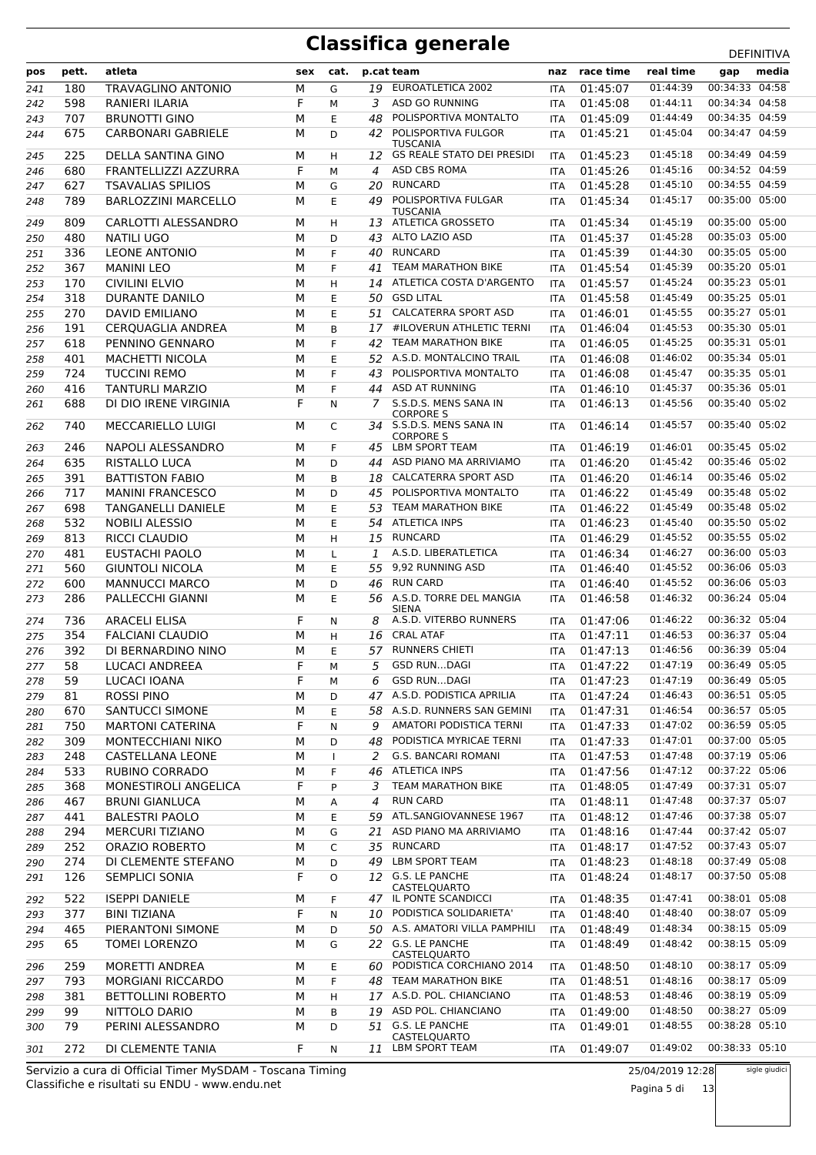| pos | pett.      | atleta                                     | sex    | cat.         |         | p.cat team                                           | naz                      | race time            | real time | gap            | media |
|-----|------------|--------------------------------------------|--------|--------------|---------|------------------------------------------------------|--------------------------|----------------------|-----------|----------------|-------|
| 241 | 180        | TRAVAGLINO ANTONIO                         | М      | G            | 19      | EUROATLETICA 2002                                    | <b>ITA</b>               | 01:45:07             | 01:44:39  | 00:34:33 04:58 |       |
| 242 | 598        | RANIERI ILARIA                             | F      | М            | 3       | <b>ASD GO RUNNING</b>                                | <b>ITA</b>               | 01:45:08             | 01:44:11  | 00:34:34 04:58 |       |
| 243 | 707        | <b>BRUNOTTI GINO</b>                       | М      | Ε            | 48      | POLISPORTIVA MONTALTO                                | <b>ITA</b>               | 01:45:09             | 01:44:49  | 00:34:35 04:59 |       |
| 244 | 675        | <b>CARBONARI GABRIELE</b>                  | М      | D            | 42      | POLISPORTIVA FULGOR                                  | <b>ITA</b>               | 01:45:21             | 01:45:04  | 00:34:47 04:59 |       |
|     |            |                                            |        |              |         | <b>TUSCANIA</b><br><b>GS REALE STATO DEI PRESIDI</b> |                          |                      | 01:45:18  | 00:34:49 04:59 |       |
| 245 | 225<br>680 | DELLA SANTINA GINO<br>FRANTELLIZZI AZZURRA | М<br>F | H            | 12<br>4 | ASD CBS ROMA                                         | <b>ITA</b>               | 01:45:23             | 01:45:16  | 00:34:52 04:59 |       |
| 246 | 627        | <b>TSAVALIAS SPILIOS</b>                   | М      | M<br>G       | 20      | <b>RUNCARD</b>                                       | <b>ITA</b><br><b>ITA</b> | 01:45:26<br>01:45:28 | 01:45:10  | 00:34:55 04:59 |       |
| 247 | 789        | <b>BARLOZZINI MARCELLO</b>                 | М      | E            | 49      | POLISPORTIVA FULGAR                                  |                          | 01:45:34             | 01:45:17  | 00:35:00 05:00 |       |
| 248 |            |                                            |        |              |         | <b>TUSCANIA</b>                                      | <b>ITA</b>               |                      |           |                |       |
| 249 | 809        | CARLOTTI ALESSANDRO                        | м      | H            | 13      | ATLETICA GROSSETO                                    | <b>ITA</b>               | 01:45:34             | 01:45:19  | 00:35:00 05:00 |       |
| 250 | 480        | <b>NATILI UGO</b>                          | М      | D            | 43      | ALTO LAZIO ASD                                       | ITA                      | 01:45:37             | 01:45:28  | 00:35:03 05:00 |       |
| 251 | 336        | <b>LEONE ANTONIO</b>                       | М      | F            | 40      | <b>RUNCARD</b>                                       | <b>ITA</b>               | 01:45:39             | 01:44:30  | 00:35:05 05:00 |       |
| 252 | 367        | <b>MANINI LEO</b>                          | М      | F            | 41      | <b>TEAM MARATHON BIKE</b>                            | <b>ITA</b>               | 01:45:54             | 01:45:39  | 00:35:20 05:01 |       |
| 253 | 170        | <b>CIVILINI ELVIO</b>                      | М      | H            | 14      | ATLETICA COSTA D'ARGENTO                             | ITA                      | 01:45:57             | 01:45:24  | 00:35:23 05:01 |       |
| 254 | 318        | <b>DURANTE DANILO</b>                      | М      | E            | 50      | <b>GSD LITAL</b>                                     | ITA                      | 01:45:58             | 01:45:49  | 00:35:25 05:01 |       |
| 255 | 270        | <b>DAVID EMILIANO</b>                      | М      | E            | 51      | <b>CALCATERRA SPORT ASD</b>                          | <b>ITA</b>               | 01:46:01             | 01:45:55  | 00:35:27 05:01 |       |
| 256 | 191        | <b>CERQUAGLIA ANDREA</b>                   | М      | B            | 17      | #ILOVERUN ATHLETIC TERNI                             | <b>ITA</b>               | 01:46:04             | 01:45:53  | 00:35:30 05:01 |       |
| 257 | 618        | PENNINO GENNARO                            | М      | F            | 42      | <b>TEAM MARATHON BIKE</b>                            | <b>ITA</b>               | 01:46:05             | 01:45:25  | 00:35:31 05:01 |       |
| 258 | 401        | <b>MACHETTI NICOLA</b>                     | М      | E            | 52      | A.S.D. MONTALCINO TRAIL                              | <b>ITA</b>               | 01:46:08             | 01:46:02  | 00:35:34 05:01 |       |
| 259 | 724        | <b>TUCCINI REMO</b>                        | М      | F            | 43      | POLISPORTIVA MONTALTO                                | <b>ITA</b>               | 01:46:08             | 01:45:47  | 00:35:35 05:01 |       |
| 260 | 416        | <b>TANTURLI MARZIO</b>                     | М      | F            | 44      | <b>ASD AT RUNNING</b>                                | ITA                      | 01:46:10             | 01:45:37  | 00:35:36 05:01 |       |
| 261 | 688        | DI DIO IRENE VIRGINIA                      | F      | N            | 7       | S.S.D.S. MENS SANA IN<br><b>CORPORE S</b>            | <b>ITA</b>               | 01:46:13             | 01:45:56  | 00:35:40 05:02 |       |
| 262 | 740        | MECCARIELLO LUIGI                          | М      | C            |         | 34 S.S.D.S. MENS SANA IN<br><b>CORPORE S</b>         | ITA                      | 01:46:14             | 01:45:57  | 00:35:40 05:02 |       |
| 263 | 246        | NAPOLI ALESSANDRO                          | М      | F            | 45      | <b>LBM SPORT TEAM</b>                                | <b>ITA</b>               | 01:46:19             | 01:46:01  | 00:35:45 05:02 |       |
| 264 | 635        | RISTALLO LUCA                              | М      | D            | 44      | ASD PIANO MA ARRIVIAMO                               | ITA                      | 01:46:20             | 01:45:42  | 00:35:46 05:02 |       |
| 265 | 391        | <b>BATTISTON FABIO</b>                     | М      | B            | 18      | <b>CALCATERRA SPORT ASD</b>                          | <b>ITA</b>               | 01:46:20             | 01:46:14  | 00:35:46 05:02 |       |
| 266 | 717        | <b>MANINI FRANCESCO</b>                    | М      | D            | 45      | POLISPORTIVA MONTALTO                                | <b>ITA</b>               | 01:46:22             | 01:45:49  | 00:35:48 05:02 |       |
| 267 | 698        | TANGANELLI DANIELE                         | М      | E            | 53      | <b>TEAM MARATHON BIKE</b>                            | <b>ITA</b>               | 01:46:22             | 01:45:49  | 00:35:48 05:02 |       |
| 268 | 532        | <b>NOBILI ALESSIO</b>                      | М      | E            | 54      | <b>ATLETICA INPS</b>                                 | <b>ITA</b>               | 01:46:23             | 01:45:40  | 00:35:50 05:02 |       |
| 269 | 813        | RICCI CLAUDIO                              | М      | H            | 15      | <b>RUNCARD</b>                                       | <b>ITA</b>               | 01:46:29             | 01:45:52  | 00:35:55 05:02 |       |
| 270 | 481        | EUSTACHI PAOLO                             | М      | L            | 1       | A.S.D. LIBERATLETICA                                 | ITA                      | 01:46:34             | 01:46:27  | 00:36:00 05:03 |       |
| 271 | 560        | <b>GIUNTOLI NICOLA</b>                     | М      | E            | 55      | 9,92 RUNNING ASD                                     | <b>ITA</b>               | 01:46:40             | 01:45:52  | 00:36:06 05:03 |       |
| 272 | 600        | <b>MANNUCCI MARCO</b>                      | М      | D            | 46      | <b>RUN CARD</b>                                      | ITA                      | 01:46:40             | 01:45:52  | 00:36:06 05:03 |       |
| 273 | 286        | PALLECCHI GIANNI                           | М      | E            | 56      | A.S.D. TORRE DEL MANGIA<br><b>SIENA</b>              | ITA                      | 01:46:58             | 01:46:32  | 00:36:24 05:04 |       |
| 274 | 736        | ARACELI ELISA                              | F      | N            | 8       | A.S.D. VITERBO RUNNERS                               | <b>ITA</b>               | 01:47:06             | 01:46:22  | 00:36:32 05:04 |       |
| 275 | 354        | <b>FALCIANI CLAUDIO</b>                    | М      | H            | 16      | <b>CRAL ATAF</b>                                     | ITA                      | 01:47:11             | 01:46:53  | 00:36:37 05:04 |       |
| 276 | 392        | DI BERNARDINO NINO                         | М      | E            | 57      | <b>RUNNERS CHIETI</b>                                | <b>ITA</b>               | 01:47:13             | 01:46:56  | 00:36:39 05:04 |       |
| 277 | 58         | <b>LUCACI ANDREEA</b>                      | F      | М            | 5       | <b>GSD RUNDAGI</b>                                   | <b>ITA</b>               | 01:47:22             | 01:47:19  | 00:36:49 05:05 |       |
| 278 | 59         | LUCACI IOANA                               | F      | м            | 6       | <b>GSD RUNDAGI</b>                                   | <b>ITA</b>               | 01:47:23             | 01:47:19  | 00:36:49 05:05 |       |
| 279 | 81         | <b>ROSSI PINO</b>                          | М      | D            | 47      | A.S.D. PODISTICA APRILIA                             | ITA                      | 01:47:24             | 01:46:43  | 00:36:51 05:05 |       |
| 280 | 670        | SANTUCCI SIMONE                            | М      | Ε            | 58      | A.S.D. RUNNERS SAN GEMINI                            | ITA                      | 01:47:31             | 01:46:54  | 00:36:57 05:05 |       |
| 281 | 750        | <b>MARTONI CATERINA</b>                    | F      | N            | 9       | AMATORI PODISTICA TERNI                              | ITA                      | 01:47:33             | 01:47:02  | 00:36:59 05:05 |       |
| 282 | 309        | MONTECCHIANI NIKO                          | М      | D            | 48      | PODISTICA MYRICAE TERNI                              | ITA                      | 01:47:33             | 01:47:01  | 00:37:00 05:05 |       |
| 283 | 248        | CASTELLANA LEONE                           | М      | $\mathbf{I}$ | 2       | <b>G.S. BANCARI ROMANI</b>                           | <b>ITA</b>               | 01:47:53             | 01:47:48  | 00:37:19 05:06 |       |
| 284 | 533        | RUBINO CORRADO                             | М      | F            | 46      | <b>ATLETICA INPS</b>                                 | <b>ITA</b>               | 01:47:56             | 01:47:12  | 00:37:22 05:06 |       |
| 285 | 368        | <b>MONESTIROLI ANGELICA</b>                | F      | P            | 3       | <b>TEAM MARATHON BIKE</b>                            | ITA                      | 01:48:05             | 01:47:49  | 00:37:31 05:07 |       |
| 286 | 467        | <b>BRUNI GIANLUCA</b>                      | М      | А            | 4       | <b>RUN CARD</b>                                      | ITA                      | 01:48:11             | 01:47:48  | 00:37:37 05:07 |       |
| 287 | 441        | <b>BALESTRI PAOLO</b>                      | М      | E            | 59      | ATL.SANGIOVANNESE 1967                               | ITA                      | 01:48:12             | 01:47:46  | 00:37:38 05:07 |       |
| 288 | 294        | <b>MERCURI TIZIANO</b>                     | М      | G            | 21      | ASD PIANO MA ARRIVIAMO                               | ITA                      | 01:48:16             | 01:47:44  | 00:37:42 05:07 |       |
| 289 | 252        | ORAZIO ROBERTO                             | М      | C            | 35      | <b>RUNCARD</b>                                       | <b>ITA</b>               | 01:48:17             | 01:47:52  | 00:37:43 05:07 |       |
| 290 | 274        | DI CLEMENTE STEFANO                        | М      | D            | 49      | <b>LBM SPORT TEAM</b>                                | ITA                      | 01:48:23             | 01:48:18  | 00:37:49 05:08 |       |
| 291 | 126        | SEMPLICI SONIA                             | F      | O            |         | 12 G.S. LE PANCHE<br>CASTELQUARTO                    | ITA                      | 01:48:24             | 01:48:17  | 00:37:50 05:08 |       |
| 292 | 522        | <b>ISEPPI DANIELE</b>                      | М      | F            |         | 47 IL PONTE SCANDICCI                                | ITA                      | 01:48:35             | 01:47:41  | 00:38:01 05:08 |       |
| 293 | 377        | <b>BINI TIZIANA</b>                        | F      | N            | 10      | PODISTICA SOLIDARIETA'                               | <b>ITA</b>               | 01:48:40             | 01:48:40  | 00:38:07 05:09 |       |
| 294 | 465        | PIERANTONI SIMONE                          | М      | D            | 50      | A.S. AMATORI VILLA PAMPHILI                          | ITA                      | 01:48:49             | 01:48:34  | 00:38:15 05:09 |       |
| 295 | 65         | TOMEI LORENZO                              | М      | G            |         | 22 G.S. LE PANCHE<br>CASTELQUARTO                    | <b>ITA</b>               | 01:48:49             | 01:48:42  | 00:38:15 05:09 |       |
| 296 | 259        | <b>MORETTI ANDREA</b>                      | М      | Е            | 60.     | PODISTICA CORCHIANO 2014                             | <b>ITA</b>               | 01:48:50             | 01:48:10  | 00:38:17 05:09 |       |
| 297 | 793        | <b>MORGIANI RICCARDO</b>                   | М      | F.           |         | 48 TEAM MARATHON BIKE                                | ITA                      | 01:48:51             | 01:48:16  | 00:38:17 05:09 |       |
| 298 | 381        | <b>BETTOLLINI ROBERTO</b>                  | М      | н            |         | 17 A.S.D. POL. CHIANCIANO                            | ITA                      | 01:48:53             | 01:48:46  | 00:38:19 05:09 |       |
| 299 | 99         | NITTOLO DARIO                              | М      | В            | 19      | ASD POL. CHIANCIANO                                  | <b>ITA</b>               | 01:49:00             | 01:48:50  | 00:38:27 05:09 |       |
| 300 | 79         | PERINI ALESSANDRO                          | М      | D            |         | 51 G.S. LE PANCHE<br>CASTELQUARTO                    | ITA                      | 01:49:01             | 01:48:55  | 00:38:28 05:10 |       |
| 301 | 272        | DI CLEMENTE TANIA                          | F.     | N            | 11      | LBM SPORT TEAM                                       | ITA                      | 01:49:07             | 01:49:02  | 00:38:33 05:10 |       |

Classifiche e risultati su ENDU - www.endu.net Servizio a cura di Official Timer MySDAM - Toscana Timing 25/04/2019 12:28 Pagina 5 di 13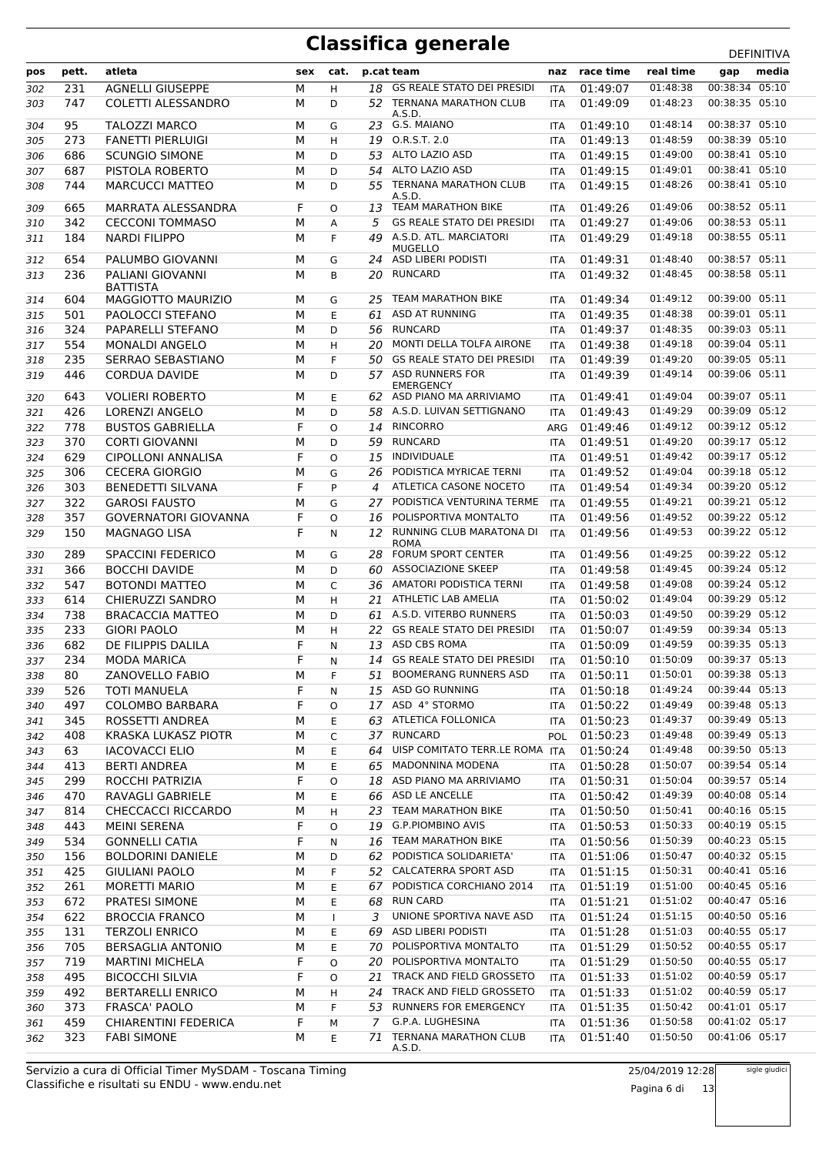| pos | pett.      | atleta                      | sex | cat.         |         | p.cat team                             | naz        | race time | real time                 | gap            | media |
|-----|------------|-----------------------------|-----|--------------|---------|----------------------------------------|------------|-----------|---------------------------|----------------|-------|
|     |            |                             |     |              |         | <b>GS REALE STATO DEI PRESIDI</b>      |            |           | 01:48:38                  | 00:38:34 05:10 |       |
| 302 | 231        | <b>AGNELLI GIUSEPPE</b>     | М   | H            | 18      |                                        | <b>ITA</b> | 01:49:07  | 01:48:23                  | 00:38:35 05:10 |       |
| 303 | 747        | <b>COLETTI ALESSANDRO</b>   | М   | D            |         | 52 TERNANA MARATHON CLUB<br>A.S.D.     | <b>ITA</b> | 01:49:09  |                           |                |       |
| 304 | 95         | TALOZZI MARCO               | М   | G            | 23      | G.S. MAIANO                            | <b>ITA</b> | 01:49:10  | 01:48:14                  | 00:38:37 05:10 |       |
| 305 | 273        | <b>FANETTI PIERLUIGI</b>    | М   | H            |         | 19 O.R.S.T. 2.0                        | <b>ITA</b> | 01:49:13  | 01:48:59                  | 00:38:39 05:10 |       |
| 306 | 686        | <b>SCUNGIO SIMONE</b>       | М   | D            | 53      | ALTO LAZIO ASD                         | ITA        | 01:49:15  | 01:49:00                  | 00:38:41 05:10 |       |
| 307 | 687        | PISTOLA ROBERTO             | М   | D            | 54      | ALTO LAZIO ASD                         | ITA        | 01:49:15  | 01:49:01                  | 00:38:41 05:10 |       |
| 308 | 744        | <b>MARCUCCI MATTEO</b>      | М   | D            | 55      | TERNANA MARATHON CLUB                  | <b>ITA</b> | 01:49:15  | 01:48:26                  | 00:38:41 05:10 |       |
|     |            |                             |     |              |         | A.S.D.<br><b>TEAM MARATHON BIKE</b>    |            | 01:49:26  | 01:49:06                  | 00:38:52 05:11 |       |
| 309 | 665<br>342 | MARRATA ALESSANDRA          | F   | O            | 13<br>5 | <b>GS REALE STATO DEI PRESIDI</b>      | <b>ITA</b> |           | 01:49:06                  | 00:38:53 05:11 |       |
| 310 |            | <b>CECCONI TOMMASO</b>      | М   | A            | 49      | A.S.D. ATL. MARCIATORI                 | <b>ITA</b> | 01:49:27  | 01:49:18                  | 00:38:55 05:11 |       |
| 311 | 184        | <b>NARDI FILIPPO</b>        | м   | F            |         | <b>MUGELLO</b>                         | <b>ITA</b> | 01:49:29  |                           |                |       |
| 312 | 654        | PALUMBO GIOVANNI            | М   | G            | 24      | ASD LIBERI PODISTI                     | <b>ITA</b> | 01:49:31  | 01:48:40                  | 00:38:57 05:11 |       |
| 313 | 236        | PALIANI GIOVANNI            | М   | B            | 20      | RUNCARD                                | <b>ITA</b> | 01:49:32  | 01:48:45                  | 00:38:58 05:11 |       |
|     |            | <b>BATTISTA</b>             |     |              |         |                                        |            |           |                           |                |       |
| 314 | 604        | MAGGIOTTO MAURIZIO          | м   | G            | 25      | <b>TEAM MARATHON BIKE</b>              | <b>ITA</b> | 01:49:34  | 01:49:12                  | 00:39:00 05:11 |       |
| 315 | 501        | PAOLOCCI STEFANO            | М   | E            | 61      | <b>ASD AT RUNNING</b>                  | <b>ITA</b> | 01:49:35  | 01:48:38                  | 00:39:01 05:11 |       |
| 316 | 324        | PAPARELLI STEFANO           | М   | D            | 56      | RUNCARD                                | <b>ITA</b> | 01:49:37  | 01:48:35                  | 00:39:03 05:11 |       |
| 317 | 554        | <b>MONALDI ANGELO</b>       | М   | H            | 20      | MONTI DELLA TOLFA AIRONE               | ITA        | 01:49:38  | 01:49:18                  | 00:39:04 05:11 |       |
| 318 | 235        | SERRAO SEBASTIANO           | М   | F            | 50      | <b>GS REALE STATO DEI PRESIDI</b>      | <b>ITA</b> | 01:49:39  | 01:49:20                  | 00:39:05 05:11 |       |
| 319 | 446        | <b>CORDUA DAVIDE</b>        | М   | D            |         | 57 ASD RUNNERS FOR<br><b>EMERGENCY</b> | <b>ITA</b> | 01:49:39  | 01:49:14                  | 00:39:06 05:11 |       |
| 320 | 643        | <b>VOLIERI ROBERTO</b>      | М   | E            |         | 62 ASD PIANO MA ARRIVIAMO              | ITA        | 01:49:41  | 01:49:04                  | 00:39:07 05:11 |       |
| 321 | 426        | <b>LORENZI ANGELO</b>       | М   | D            | 58      | A.S.D. LUIVAN SETTIGNANO               | <b>ITA</b> | 01:49:43  | 01:49:29                  | 00:39:09 05:12 |       |
| 322 | 778        | <b>BUSTOS GABRIELLA</b>     | F   | $\circ$      | 14      | <b>RINCORRO</b>                        | ARG        | 01:49:46  | 01:49:12                  | 00:39:12 05:12 |       |
| 323 | 370        | <b>CORTI GIOVANNI</b>       | М   | D            | 59      | <b>RUNCARD</b>                         | ITA        | 01:49:51  | 01:49:20                  | 00:39:17 05:12 |       |
| 324 | 629        | CIPOLLONI ANNALISA          | F   | $\Omega$     | 15      | INDIVIDUALE                            | <b>ITA</b> | 01:49:51  | 01:49:42                  | 00:39:17 05:12 |       |
| 325 | 306        | <b>CECERA GIORGIO</b>       | М   | G            | 26      | PODISTICA MYRICAE TERNI                | ITA        | 01:49:52  | 01:49:04                  | 00:39:18 05:12 |       |
| 326 | 303        | <b>BENEDETTI SILVANA</b>    | F   | P            | 4       | ATLETICA CASONE NOCETO                 | ITA        | 01:49:54  | 01:49:34                  | 00:39:20 05:12 |       |
| 327 | 322        | <b>GAROSI FAUSTO</b>        | М   | G            | 27      | PODISTICA VENTURINA TERME              | <b>ITA</b> | 01:49:55  | 01:49:21                  | 00:39:21 05:12 |       |
| 328 | 357        | <b>GOVERNATORI GIOVANNA</b> | F   | $\circ$      | 16      | POLISPORTIVA MONTALTO                  | ITA        | 01:49:56  | 01:49:52                  | 00:39:22 05:12 |       |
| 329 | 150        | <b>MAGNAGO LISA</b>         | F   | N            | 12      | RUNNING CLUB MARATONA DI               | <b>ITA</b> | 01:49:56  | 01:49:53                  | 00:39:22 05:12 |       |
|     |            |                             |     |              |         | <b>ROMA</b>                            |            |           |                           |                |       |
| 330 | 289        | <b>SPACCINI FEDERICO</b>    | М   | G            | 28      | FORUM SPORT CENTER                     | ITA        | 01:49:56  | 01:49:25                  | 00:39:22 05:12 |       |
| 331 | 366        | <b>BOCCHI DAVIDE</b>        | М   | D            | 60      | <b>ASSOCIAZIONE SKEEP</b>              | ITA        | 01:49:58  | 01:49:45                  | 00:39:24 05:12 |       |
| 332 | 547        | <b>BOTONDI MATTEO</b>       | М   | C            | 36      | AMATORI PODISTICA TERNI                | ITA        | 01:49:58  | 01:49:08                  | 00:39:24 05:12 |       |
| 333 | 614        | CHIERUZZI SANDRO            | М   | H            | 21      | ATHLETIC LAB AMELIA                    | ITA        | 01:50:02  | 01:49:04                  | 00:39:29 05:12 |       |
| 334 | 738        | <b>BRACACCIA MATTEO</b>     | М   | D            | 61      | A.S.D. VITERBO RUNNERS                 | ITA        | 01:50:03  | 01:49:50                  | 00:39:29 05:12 |       |
| 335 | 233        | <b>GIORI PAOLO</b>          | М   | H            | 22      | <b>GS REALE STATO DEI PRESIDI</b>      | <b>ITA</b> | 01:50:07  | 01:49:59                  | 00:39:34 05:13 |       |
| 336 | 682        | DE FILIPPIS DALILA          | F   | N            | 13      | ASD CBS ROMA                           | <b>ITA</b> | 01:50:09  | 01:49:59                  | 00:39:35 05:13 |       |
| 337 | 234        | <b>MODA MARICA</b>          | F   | N            |         | 14 GS REALE STATO DEI PRESIDI          | <b>ITA</b> | 01:50:10  | 01:50:09                  | 00:39:37 05:13 |       |
| 338 | 80         | ZANOVELLO FABIO             | M   | F            |         | 51 BOOMERANG RUNNERS ASD               | <b>ITA</b> | 01:50:11  | 01:50:01  00:39:38  05:13 |                |       |
| 339 | 526        | TOTI MANUELA                | F   | N            |         | 15 ASD GO RUNNING                      | ITA        | 01:50:18  | 01:49:24                  | 00:39:44 05:13 |       |
| 340 | 497        | COLOMBO BARBARA             | F   | 0            | 17      | ASD 4° STORMO                          | ITA        | 01:50:22  | 01:49:49                  | 00:39:48 05:13 |       |
| 341 | 345        | ROSSETTI ANDREA             | М   | Е            | 63      | ATLETICA FOLLONICA                     | ITA        | 01:50:23  | 01:49:37                  | 00:39:49 05:13 |       |
| 342 | 408        | KRASKA LUKASZ PIOTR         | М   | C            |         | 37 RUNCARD                             | POL        | 01:50:23  | 01:49:48                  | 00:39:49 05:13 |       |
| 343 | 63         | <b>IACOVACCI ELIO</b>       | М   | Ε            | 64      | UISP COMITATO TERR.LE ROMA ITA         |            | 01:50:24  | 01:49:48                  | 00:39:50 05:13 |       |
| 344 | 413        | <b>BERTI ANDREA</b>         | М   | Ε            | 65      | <b>MADONNINA MODENA</b>                | ITA        | 01:50:28  | 01:50:07                  | 00:39:54 05:14 |       |
| 345 | 299        | ROCCHI PATRIZIA             | F   | O            | 18      | ASD PIANO MA ARRIVIAMO                 | ITA        | 01:50:31  | 01:50:04                  | 00:39:57 05:14 |       |
| 346 | 470        | RAVAGLI GABRIELE            | М   | Е            | 66      | ASD LE ANCELLE                         | ITA        | 01:50:42  | 01:49:39                  | 00:40:08 05:14 |       |
| 347 | 814        | <b>CHECCACCI RICCARDO</b>   | М   | н            | 23      | TEAM MARATHON BIKE                     | ITA        | 01:50:50  | 01:50:41                  | 00:40:16 05:15 |       |
| 348 | 443        | <b>MEINI SERENA</b>         | F   | O            | 19      | <b>G.P.PIOMBINO AVIS</b>               | <b>ITA</b> | 01:50:53  | 01:50:33                  | 00:40:19 05:15 |       |
| 349 | 534        | <b>GONNELLI CATIA</b>       | F   | N            | 16      | TEAM MARATHON BIKE                     | ITA        | 01:50:56  | 01:50:39                  | 00:40:23 05:15 |       |
| 350 | 156        | <b>BOLDORINI DANIELE</b>    | М   | D            | 62      | PODISTICA SOLIDARIETA'                 | ITA        | 01:51:06  | 01:50:47                  | 00:40:32 05:15 |       |
| 351 | 425        | <b>GIULIANI PAOLO</b>       | м   | F            |         | 52 CALCATERRA SPORT ASD                | ITA        | 01:51:15  | 01:50:31                  | 00:40:41 05:16 |       |
| 352 | 261        | MORETTI MARIO               | М   | E            | 67      | PODISTICA CORCHIANO 2014               | ITA        | 01:51:19  | 01:51:00                  | 00:40:45 05:16 |       |
| 353 | 672        | PRATESI SIMONE              | М   | Ε            | 68      | RUN CARD                               | ITA        | 01:51:21  | 01:51:02                  | 00:40:47 05:16 |       |
| 354 | 622        | <b>BROCCIA FRANCO</b>       | М   | $\mathbf{I}$ | 3       | UNIONE SPORTIVA NAVE ASD               | ITA        | 01:51:24  | 01:51:15                  | 00:40:50 05:16 |       |
| 355 | 131        | <b>TERZOLI ENRICO</b>       | М   | Ε            | 69      | ASD LIBERI PODISTI                     | <b>ITA</b> | 01:51:28  | 01:51:03                  | 00:40:55 05:17 |       |
| 356 | 705        | <b>BERSAGLIA ANTONIO</b>    | М   | Ε            | 70      | POLISPORTIVA MONTALTO                  | ITA        | 01:51:29  | 01:50:52                  | 00:40:55 05:17 |       |
| 357 | 719        | <b>MARTINI MICHELA</b>      | F   | O            | 20      | POLISPORTIVA MONTALTO                  | ITA        | 01:51:29  | 01:50:50                  | 00:40:55 05:17 |       |
| 358 | 495        | <b>BICOCCHI SILVIA</b>      | F   | O            | 21      | TRACK AND FIELD GROSSETO               | ITA        | 01:51:33  | 01:51:02                  | 00:40:59 05:17 |       |
| 359 | 492        | <b>BERTARELLI ENRICO</b>    | М   | н            | 24      | TRACK AND FIELD GROSSETO               | ITA        | 01:51:33  | 01:51:02                  | 00:40:59 05:17 |       |
| 360 | 373        | FRASCA' PAOLO               | М   | F            |         | 53 RUNNERS FOR EMERGENCY               | ITA        | 01:51:35  | 01:50:42                  | 00:41:01 05:17 |       |
| 361 | 459        | CHIARENTINI FEDERICA        | F   | М            | 7       | G.P.A. LUGHESINA                       | ITA        | 01:51:36  | 01:50:58                  | 00:41:02 05:17 |       |
| 362 | 323        | <b>FABI SIMONE</b>          | М   | Е            | 71      | TERNANA MARATHON CLUB<br>A.S.D.        | ITA        | 01:51:40  | 01:50:50                  | 00:41:06 05:17 |       |

Classifiche e risultati su ENDU - www.endu.net Servizio a cura di Official Timer MySDAM - Toscana Timing 25/04/2019 12:28

Pagina 6 di 13

sigle giudici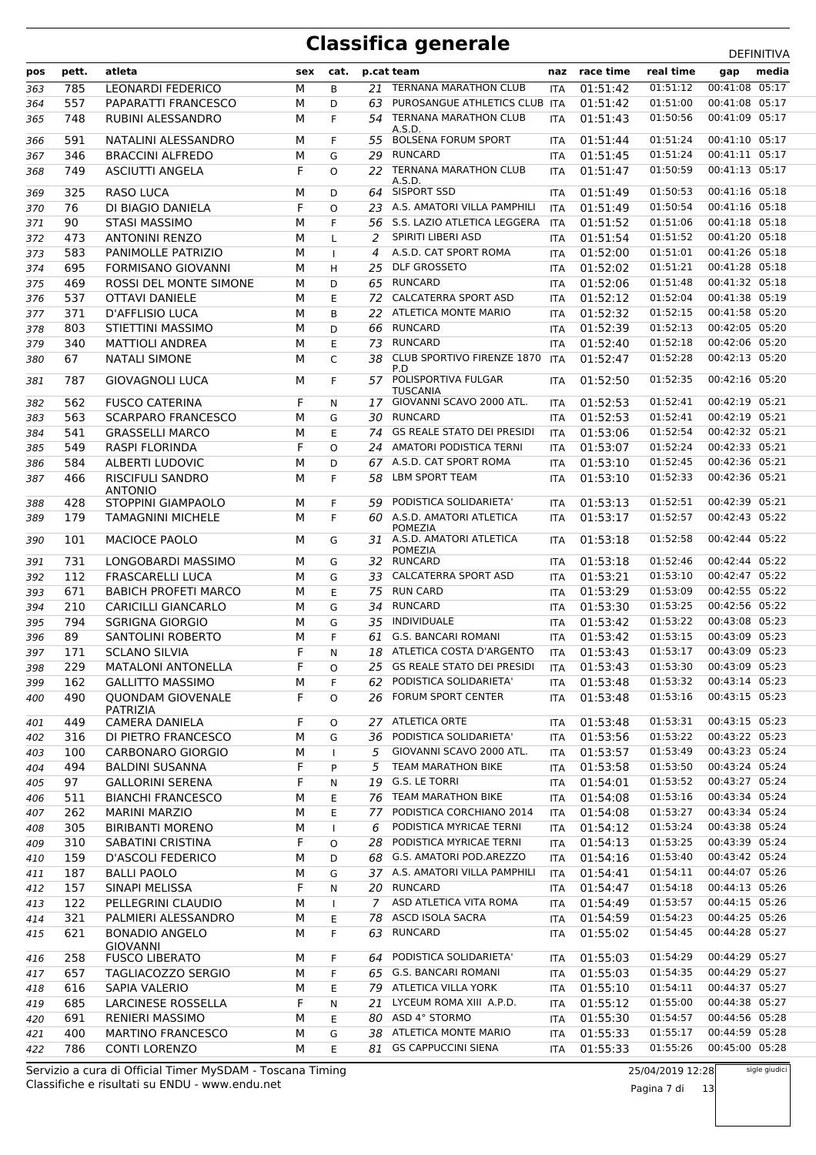| pos | pett. | atleta                                   | sex | cat.         |     | p.cat team                                   | naz        | race time | real time | gap            | media |
|-----|-------|------------------------------------------|-----|--------------|-----|----------------------------------------------|------------|-----------|-----------|----------------|-------|
| 363 | 785   | <b>LEONARDI FEDERICO</b>                 | М   | B            | 21  | <b>TERNANA MARATHON CLUB</b>                 | <b>ITA</b> | 01:51:42  | 01:51:12  | 00:41:08 05:17 |       |
| 364 | 557   | PAPARATTI FRANCESCO                      | М   | D            | 63  | PUROSANGUE ATHLETICS CLUB                    | <b>ITA</b> | 01:51:42  | 01:51:00  | 00:41:08 05:17 |       |
| 365 | 748   | RUBINI ALESSANDRO                        | М   | F            | 54  | <b>TERNANA MARATHON CLUB</b>                 | <b>ITA</b> | 01:51:43  | 01:50:56  | 00:41:09 05:17 |       |
|     | 591   | NATALINI ALESSANDRO                      | м   | F            | 55  | A.S.D.<br><b>BOLSENA FORUM SPORT</b>         |            | 01:51:44  | 01:51:24  | 00:41:10 05:17 |       |
| 366 | 346   | <b>BRACCINI ALFREDO</b>                  | М   | G            | 29  | <b>RUNCARD</b>                               | <b>ITA</b> | 01:51:45  | 01:51:24  | 00:41:11 05:17 |       |
| 367 | 749   | <b>ASCIUTTI ANGELA</b>                   | F   | O            | 22  | <b>TERNANA MARATHON CLUB</b>                 | <b>ITA</b> | 01:51:47  | 01:50:59  | 00:41:13 05:17 |       |
| 368 |       |                                          |     |              |     | A.S.D.                                       | ITA        |           |           |                |       |
| 369 | 325   | <b>RASO LUCA</b>                         | М   | D            | 64  | SISPORT SSD                                  | <b>ITA</b> | 01:51:49  | 01:50:53  | 00:41:16 05:18 |       |
| 370 | 76    | DI BIAGIO DANIELA                        | F   | O            | 23  | A.S. AMATORI VILLA PAMPHILI                  | <b>ITA</b> | 01:51:49  | 01:50:54  | 00:41:16 05:18 |       |
| 371 | 90    | <b>STASI MASSIMO</b>                     | М   | F            | 56  | S.S. LAZIO ATLETICA LEGGERA                  | <b>ITA</b> | 01:51:52  | 01:51:06  | 00:41:18 05:18 |       |
| 372 | 473   | <b>ANTONINI RENZO</b>                    | М   | L            | 2   | SPIRITI LIBERI ASD                           | <b>ITA</b> | 01:51:54  | 01:51:52  | 00:41:20 05:18 |       |
| 373 | 583   | PANIMOLLE PATRIZIO                       | М   | $\mathbf{I}$ | 4   | A.S.D. CAT SPORT ROMA                        | ITA        | 01:52:00  | 01:51:01  | 00:41:26 05:18 |       |
| 374 | 695   | FORMISANO GIOVANNI                       | М   | H            | 25  | <b>DLF GROSSETO</b>                          | <b>ITA</b> | 01:52:02  | 01:51:21  | 00:41:28 05:18 |       |
| 375 | 469   | ROSSI DEL MONTE SIMONE                   | М   | D            | 65  | <b>RUNCARD</b>                               | <b>ITA</b> | 01:52:06  | 01:51:48  | 00:41:32 05:18 |       |
| 376 | 537   | <b>OTTAVI DANIELE</b>                    | М   | E            | 72  | <b>CALCATERRA SPORT ASD</b>                  | <b>ITA</b> | 01:52:12  | 01:52:04  | 00:41:38 05:19 |       |
| 377 | 371   | <b>D'AFFLISIO LUCA</b>                   | М   | B            | 22  | ATLETICA MONTE MARIO                         | <b>ITA</b> | 01:52:32  | 01:52:15  | 00:41:58 05:20 |       |
| 378 | 803   | <b>STIETTINI MASSIMO</b>                 | М   | D            | 66  | <b>RUNCARD</b>                               | <b>ITA</b> | 01:52:39  | 01:52:13  | 00:42:05 05:20 |       |
| 379 | 340   | <b>MATTIOLI ANDREA</b>                   | М   | E            | 73  | <b>RUNCARD</b>                               | ITA        | 01:52:40  | 01:52:18  | 00:42:06 05:20 |       |
| 380 | 67    | <b>NATALI SIMONE</b>                     | М   | C            | 38  | <b>CLUB SPORTIVO FIRENZE 1870</b><br>P.D     | <b>ITA</b> | 01:52:47  | 01:52:28  | 00:42:13 05:20 |       |
| 381 | 787   | GIOVAGNOLI LUCA                          | М   | F            |     | 57 POLISPORTIVA FULGAR<br>TUSCANIA           | <b>ITA</b> | 01:52:50  | 01:52:35  | 00:42:16 05:20 |       |
| 382 | 562   | <b>FUSCO CATERINA</b>                    | F   | N            | 17  | GIOVANNI SCAVO 2000 ATL.                     | <b>ITA</b> | 01:52:53  | 01:52:41  | 00:42:19 05:21 |       |
| 383 | 563   | <b>SCARPARO FRANCESCO</b>                | М   | G            | 30  | <b>RUNCARD</b>                               | <b>ITA</b> | 01:52:53  | 01:52:41  | 00:42:19 05:21 |       |
| 384 | 541   | <b>GRASSELLI MARCO</b>                   | М   | E            | 74  | <b>GS REALE STATO DEI PRESIDI</b>            | <b>ITA</b> | 01:53:06  | 01:52:54  | 00:42:32 05:21 |       |
| 385 | 549   | <b>RASPI FLORINDA</b>                    | F   | O            | 24  | AMATORI PODISTICA TERNI                      | <b>ITA</b> | 01:53:07  | 01:52:24  | 00:42:33 05:21 |       |
| 386 | 584   | ALBERTI LUDOVIC                          | М   | D            |     | 67 A.S.D. CAT SPORT ROMA                     | <b>ITA</b> | 01:53:10  | 01:52:45  | 00:42:36 05:21 |       |
| 387 | 466   | <b>RISCIFULI SANDRO</b>                  | М   | F            | 58  | <b>LBM SPORT TEAM</b>                        | <b>ITA</b> | 01:53:10  | 01:52:33  | 00:42:36 05:21 |       |
|     |       | <b>ANTONIO</b>                           |     |              |     |                                              |            |           |           |                |       |
| 388 | 428   | STOPPINI GIAMPAOLO                       | М   | F.           | 59  | PODISTICA SOLIDARIETA'                       | <b>ITA</b> | 01:53:13  | 01:52:51  | 00:42:39 05:21 |       |
| 389 | 179   | TAMAGNINI MICHELE                        | м   | F            | 60. | A.S.D. AMATORI ATLETICA<br><b>POMEZIA</b>    | <b>ITA</b> | 01:53:17  | 01:52:57  | 00:42:43 05:22 |       |
| 390 | 101   | MACIOCE PAOLO                            | М   | G            |     | 31 A.S.D. AMATORI ATLETICA<br><b>POMEZIA</b> | <b>ITA</b> | 01:53:18  | 01:52:58  | 00:42:44 05:22 |       |
| 391 | 731   | LONGOBARDI MASSIMO                       | М   | G            |     | 32 RUNCARD                                   | <b>ITA</b> | 01:53:18  | 01:52:46  | 00:42:44 05:22 |       |
| 392 | 112   | <b>FRASCARELLI LUCA</b>                  | М   | G            | 33  | <b>CALCATERRA SPORT ASD</b>                  | <b>ITA</b> | 01:53:21  | 01:53:10  | 00:42:47 05:22 |       |
| 393 | 671   | <b>BABICH PROFETI MARCO</b>              | М   | E            | 75  | <b>RUN CARD</b>                              | <b>ITA</b> | 01:53:29  | 01:53:09  | 00:42:55 05:22 |       |
| 394 | 210   | <b>CARICILLI GIANCARLO</b>               | М   | G            | 34  | <b>RUNCARD</b>                               | ITA        | 01:53:30  | 01:53:25  | 00:42:56 05:22 |       |
| 395 | 794   | <b>SGRIGNA GIORGIO</b>                   | М   | G            | 35  | INDIVIDUALE                                  | <b>ITA</b> | 01:53:42  | 01:53:22  | 00:43:08 05:23 |       |
| 396 | 89    | SANTOLINI ROBERTO                        | М   | F            | 61  | <b>G.S. BANCARI ROMANI</b>                   | <b>ITA</b> | 01:53:42  | 01:53:15  | 00:43:09 05:23 |       |
| 397 | 171   | <b>SCLANO SILVIA</b>                     | F   | N            | 18  | ATLETICA COSTA D'ARGENTO                     | <b>ITA</b> | 01:53:43  | 01:53:17  | 00:43:09 05:23 |       |
| 398 | 229   | <b>MATALONI ANTONELLA</b>                | F   | O            | 25  | <b>GS REALE STATO DEI PRESIDI</b>            | <b>ITA</b> | 01:53:43  | 01:53:30  | 00:43:09 05:23 |       |
| 399 | 162   | <b>GALLITTO MASSIMO</b>                  | М   | F            | 62  | PODISTICA SOLIDARIETA'                       | ITA        | 01:53:48  | 01:53:32  | 00:43:14 05:23 |       |
| 400 | 490   | <b>QUONDAM GIOVENALE</b><br>PATRIZIA     | F   | O            | 26  | <b>FORUM SPORT CENTER</b>                    | <b>ITA</b> | 01:53:48  | 01:53:16  | 00:43:15 05:23 |       |
| 401 | 449   | CAMERA DANIELA                           | F.  | O            | 27  | <b>ATLETICA ORTE</b>                         | ITA        | 01:53:48  | 01:53:31  | 00:43:15 05:23 |       |
| 402 | 316   | DI PIETRO FRANCESCO                      | М   | G            | 36  | PODISTICA SOLIDARIETA'                       | ITA        | 01:53:56  | 01:53:22  | 00:43:22 05:23 |       |
| 403 | 100   | <b>CARBONARO GIORGIO</b>                 | М   | $\mathbf{I}$ | 5   | GIOVANNI SCAVO 2000 ATL.                     | <b>ITA</b> | 01:53:57  | 01:53:49  | 00:43:23 05:24 |       |
| 404 | 494   | <b>BALDINI SUSANNA</b>                   | F   | P            | 5   | <b>TEAM MARATHON BIKE</b>                    | ITA        | 01:53:58  | 01:53:50  | 00:43:24 05:24 |       |
| 405 | 97    | <b>GALLORINI SERENA</b>                  | F   | Ν            | 19  | G.S. LE TORRI                                | ITA        | 01:54:01  | 01:53:52  | 00:43:27 05:24 |       |
| 406 | 511   | <b>BIANCHI FRANCESCO</b>                 | М   | Ε            | 76  | TEAM MARATHON BIKE                           | ITA        | 01:54:08  | 01:53:16  | 00:43:34 05:24 |       |
| 407 | 262   | <b>MARINI MARZIO</b>                     | М   | Ε            | 77  | PODISTICA CORCHIANO 2014                     | ITA        | 01:54:08  | 01:53:27  | 00:43:34 05:24 |       |
| 408 | 305   | <b>BIRIBANTI MORENO</b>                  | М   | $\mathbf{I}$ | 6   | PODISTICA MYRICAE TERNI                      | ITA        | 01:54:12  | 01:53:24  | 00:43:38 05:24 |       |
| 409 | 310   | SABATINI CRISTINA                        | F   | O            | 28  | PODISTICA MYRICAE TERNI                      | ITA        | 01:54:13  | 01:53:25  | 00:43:39 05:24 |       |
| 410 | 159   | D'ASCOLI FEDERICO                        | М   | D            | 68  | G.S. AMATORI POD.AREZZO                      | ITA        | 01:54:16  | 01:53:40  | 00:43:42 05:24 |       |
| 411 | 187   | <b>BALLI PAOLO</b>                       | М   | G            |     | 37 A.S. AMATORI VILLA PAMPHILI               | ITA        | 01:54:41  | 01:54:11  | 00:44:07 05:26 |       |
| 412 | 157   | SINAPI MELISSA                           | F   | N            | 20  | <b>RUNCARD</b>                               | ITA        | 01:54:47  | 01:54:18  | 00:44:13 05:26 |       |
| 413 | 122   | PELLEGRINI CLAUDIO                       | М   | $\mathbf{I}$ | 7   | ASD ATLETICA VITA ROMA                       | ITA        | 01:54:49  | 01:53:57  | 00:44:15 05:26 |       |
| 414 | 321   | PALMIERI ALESSANDRO                      | М   | E            | 78  | ASCD ISOLA SACRA                             | <b>ITA</b> | 01:54:59  | 01:54:23  | 00:44:25 05:26 |       |
| 415 | 621   | <b>BONADIO ANGELO</b><br><b>GIOVANNI</b> | М   | F.           | 63  | RUNCARD                                      | ITA        | 01:55:02  | 01:54:45  | 00:44:28 05:27 |       |
| 416 | 258   | <b>FUSCO LIBERATO</b>                    | м   | F            | 64  | PODISTICA SOLIDARIETA'                       | <b>ITA</b> | 01:55:03  | 01:54:29  | 00:44:29 05:27 |       |
| 417 | 657   | TAGLIACOZZO SERGIO                       | М   | F            |     | 65 G.S. BANCARI ROMANI                       | ITA        | 01:55:03  | 01:54:35  | 00:44:29 05:27 |       |
| 418 | 616   | SAPIA VALERIO                            | М   | E            |     | 79 ATLETICA VILLA YORK                       | ITA        | 01:55:10  | 01:54:11  | 00:44:37 05:27 |       |
| 419 | 685   | LARCINESE ROSSELLA                       | F   | N            | 21  | LYCEUM ROMA XIII A.P.D.                      | ITA        | 01:55:12  | 01:55:00  | 00:44:38 05:27 |       |
| 420 | 691   | <b>RENIERI MASSIMO</b>                   | М   | Е            | 80  | ASD 4° STORMO                                | ITA        | 01:55:30  | 01:54:57  | 00:44:56 05:28 |       |
| 421 | 400   | <b>MARTINO FRANCESCO</b>                 | М   | G            | 38  | ATLETICA MONTE MARIO                         | ITA        | 01:55:33  | 01:55:17  | 00:44:59 05:28 |       |
| 422 | 786   | <b>CONTI LORENZO</b>                     | М   | E            |     | 81 GS CAPPUCCINI SIENA                       | ITA        | 01:55:33  | 01:55:26  | 00:45:00 05:28 |       |

Classifiche e risultati su ENDU - www.endu.net Servizio a cura di Official Timer MySDAM - Toscana Timing 25/04/2019 12:28

Pagina 7 di 13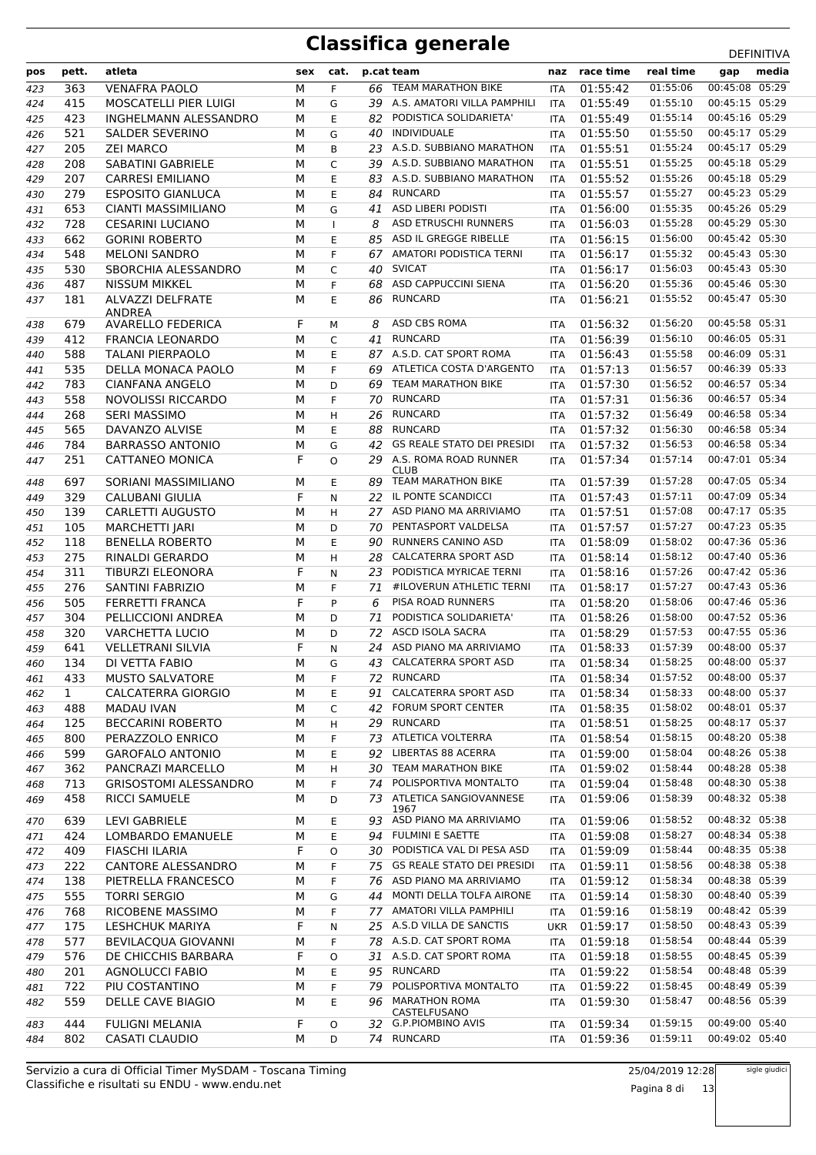| pos | pett. | atleta                       | sex | cat.         |    | p.cat team                           | naz        | race time | real time | gap                              | media |
|-----|-------|------------------------------|-----|--------------|----|--------------------------------------|------------|-----------|-----------|----------------------------------|-------|
| 423 | 363   | <b>VENAFRA PAOLO</b>         | M   | F.           | 66 | <b>TEAM MARATHON BIKE</b>            | <b>ITA</b> | 01:55:42  | 01:55:06  | 00:45:08 05:29                   |       |
| 424 | 415   | <b>MOSCATELLI PIER LUIGI</b> | M   | G            |    | 39 A.S. AMATORI VILLA PAMPHILI       | <b>ITA</b> | 01:55:49  | 01:55:10  | 00:45:15 05:29                   |       |
| 425 | 423   | <b>INGHELMANN ALESSANDRO</b> | М   | E.           | 82 | PODISTICA SOLIDARIETA'               | <b>ITA</b> | 01:55:49  | 01:55:14  | 00:45:16 05:29                   |       |
| 426 | 521   | <b>SALDER SEVERINO</b>       | М   | G            | 40 | INDIVIDUALE                          | <b>ITA</b> | 01:55:50  | 01:55:50  | 00:45:17 05:29                   |       |
| 427 | 205   | <b>ZEI MARCO</b>             | M   | B            | 23 | A.S.D. SUBBIANO MARATHON             | <b>ITA</b> | 01:55:51  | 01:55:24  | 00:45:17 05:29                   |       |
| 428 | 208   | <b>SABATINI GABRIELE</b>     | M   | $\mathsf{C}$ | 39 | A.S.D. SUBBIANO MARATHON             | <b>ITA</b> | 01:55:51  | 01:55:25  | 00:45:18 05:29                   |       |
| 429 | 207   | <b>CARRESI EMILIANO</b>      | М   | E            | 83 | A.S.D. SUBBIANO MARATHON             | <b>ITA</b> | 01:55:52  | 01:55:26  | 00:45:18 05:29                   |       |
| 430 | 279   | <b>ESPOSITO GIANLUCA</b>     | М   | E            | 84 | <b>RUNCARD</b>                       | <b>ITA</b> | 01:55:57  | 01:55:27  | 00:45:23 05:29                   |       |
| 431 | 653   | <b>CIANTI MASSIMILIANO</b>   | М   | G            | 41 | ASD LIBERI PODISTI                   | <b>ITA</b> | 01:56:00  | 01:55:35  | 00:45:26 05:29                   |       |
| 432 | 728   | <b>CESARINI LUCIANO</b>      | М   | $\mathbf{I}$ | 8  | <b>ASD ETRUSCHI RUNNERS</b>          | ITA        | 01:56:03  | 01:55:28  | 00:45:29 05:30                   |       |
| 433 | 662   | <b>GORINI ROBERTO</b>        | M   | E            | 85 | ASD IL GREGGE RIBELLE                | <b>ITA</b> | 01:56:15  | 01:56:00  | 00:45:42 05:30                   |       |
| 434 | 548   | <b>MELONI SANDRO</b>         | м   | F            | 67 | AMATORI PODISTICA TERNI              | <b>ITA</b> | 01:56:17  | 01:55:32  | 00:45:43 05:30                   |       |
| 435 | 530   | SBORCHIA ALESSANDRO          | M   | C            | 40 | <b>SVICAT</b>                        | ITA        | 01:56:17  | 01:56:03  | 00:45:43 05:30                   |       |
| 436 | 487   | <b>NISSUM MIKKEL</b>         | М   | F            | 68 | ASD CAPPUCCINI SIENA                 | <b>ITA</b> | 01:56:20  | 01:55:36  | 00:45:46 05:30                   |       |
| 437 | 181   | <b>ALVAZZI DELFRATE</b>      | М   | E.           | 86 | <b>RUNCARD</b>                       | <b>ITA</b> | 01:56:21  | 01:55:52  | 00:45:47 05:30                   |       |
|     |       | <b>ANDREA</b>                |     |              |    |                                      |            |           |           |                                  |       |
| 438 | 679   | <b>AVARELLO FEDERICA</b>     | F   | м            | 8  | ASD CBS ROMA                         | <b>ITA</b> | 01:56:32  | 01:56:20  | 00:45:58 05:31                   |       |
| 439 | 412   | <b>FRANCIA LEONARDO</b>      | М   | C            | 41 | <b>RUNCARD</b>                       | ITA        | 01:56:39  | 01:56:10  | 00:46:05 05:31                   |       |
| 440 | 588   | <b>TALANI PIERPAOLO</b>      | M   | E            |    | 87 A.S.D. CAT SPORT ROMA             | <b>ITA</b> | 01:56:43  | 01:55:58  | 00:46:09 05:31                   |       |
| 441 | 535   | DELLA MONACA PAOLO           | M   | F            | 69 | ATLETICA COSTA D'ARGENTO             | <b>ITA</b> | 01:57:13  | 01:56:57  | 00:46:39 05:33                   |       |
| 442 | 783   | <b>CIANFANA ANGELO</b>       | M   | D            | 69 | <b>TEAM MARATHON BIKE</b>            | ITA        | 01:57:30  | 01:56:52  | 00:46:57 05:34                   |       |
| 443 | 558   | NOVOLISSI RICCARDO           | М   | F            | 70 | <b>RUNCARD</b>                       | <b>ITA</b> | 01:57:31  | 01:56:36  | 00:46:57 05:34                   |       |
| 444 | 268   | <b>SERI MASSIMO</b>          | М   | H            | 26 | <b>RUNCARD</b>                       | <b>ITA</b> | 01:57:32  | 01:56:49  | 00:46:58 05:34                   |       |
| 445 | 565   | DAVANZO ALVISE               | М   | E            | 88 | RUNCARD                              | <b>ITA</b> | 01:57:32  | 01:56:30  | 00:46:58 05:34                   |       |
| 446 | 784   | <b>BARRASSO ANTONIO</b>      | М   | G            | 42 | <b>GS REALE STATO DEI PRESIDI</b>    | <b>ITA</b> | 01:57:32  | 01:56:53  | 00:46:58 05:34                   |       |
| 447 | 251   | CATTANEO MONICA              | F   | $\Omega$     | 29 | A.S. ROMA ROAD RUNNER<br><b>CLUB</b> | <b>ITA</b> | 01:57:34  | 01:57:14  | 00:47:01 05:34                   |       |
| 448 | 697   | SORIANI MASSIMILIANO         | М   | E.           | 89 | TEAM MARATHON BIKE                   | <b>ITA</b> | 01:57:39  | 01:57:28  | 00:47:05 05:34                   |       |
| 449 | 329   | <b>CALUBANI GIULIA</b>       | F   | N            |    | 22 IL PONTE SCANDICCI                | <b>ITA</b> | 01:57:43  | 01:57:11  | 00:47:09 05:34                   |       |
| 450 | 139   | <b>CARLETTI AUGUSTO</b>      | М   | н            | 27 | ASD PIANO MA ARRIVIAMO               | ITA        | 01:57:51  | 01:57:08  | 00:47:17 05:35                   |       |
| 451 | 105   | <b>MARCHETTI JARI</b>        | M   | D            | 70 | PENTASPORT VALDELSA                  | <b>ITA</b> | 01:57:57  | 01:57:27  | 00:47:23 05:35                   |       |
| 452 | 118   | <b>BENELLA ROBERTO</b>       | M   | E            | 90 | RUNNERS CANINO ASD                   | <b>ITA</b> | 01:58:09  | 01:58:02  | 00:47:36 05:36                   |       |
| 453 | 275   | RINALDI GERARDO              | М   | H            | 28 | <b>CALCATERRA SPORT ASD</b>          | ITA        | 01:58:14  | 01:58:12  | 00:47:40 05:36                   |       |
| 454 | 311   | TIBURZI ELEONORA             | F   | N            | 23 | PODISTICA MYRICAE TERNI              | <b>ITA</b> | 01:58:16  | 01:57:26  | 00:47:42 05:36                   |       |
| 455 | 276   | <b>SANTINI FABRIZIO</b>      | М   | F            | 71 | #ILOVERUN ATHLETIC TERNI             | <b>ITA</b> | 01:58:17  | 01:57:27  | 00:47:43 05:36                   |       |
| 456 | 505   | <b>FERRETTI FRANCA</b>       | F   | P            | 6  | PISA ROAD RUNNERS                    | ITA        | 01:58:20  | 01:58:06  | 00:47:46 05:36                   |       |
| 457 | 304   | PELLICCIONI ANDREA           | M   | D            | 71 | PODISTICA SOLIDARIETA'               | <b>ITA</b> | 01:58:26  | 01:58:00  | 00:47:52 05:36                   |       |
| 458 | 320   | <b>VARCHETTA LUCIO</b>       | M   | D            | 72 | ASCD ISOLA SACRA                     | <b>ITA</b> | 01:58:29  | 01:57:53  | 00:47:55 05:36                   |       |
| 459 | 641   | <b>VELLETRANI SILVIA</b>     | F   | N            | 24 | ASD PIANO MA ARRIVIAMO               | ITA        | 01:58:33  | 01:57:39  | 00:48:00 05:37                   |       |
| 460 | 134   | DI VETTA FABIO               | М   | G            |    | 43 CALCATERRA SPORT ASD              | <b>ITA</b> | 01:58:34  | 01:58:25  | 00:48:00 05:37                   |       |
| 461 | 433   | <b>MUSTO SALVATORE</b>       | М   | F            | 72 | RUNCARD                              | ITA        | 01:58:34  | 01:57:52  | 00:48:00 05:37                   |       |
| 462 | 1     | CALCATERRA GIORGIO           | М   | Ε            | 91 | <b>CALCATERRA SPORT ASD</b>          | ITA        | 01:58:34  | 01:58:33  | 00:48:00 05:37                   |       |
| 463 | 488   | MADAU IVAN                   | М   | C            |    | 42 FORUM SPORT CENTER                | ITA        | 01:58:35  | 01:58:02  | 00:48:01 05:37                   |       |
| 464 | 125   | <b>BECCARINI ROBERTO</b>     | М   | H            | 29 | <b>RUNCARD</b>                       | ITA.       | 01:58:51  | 01:58:25  | 00:48:17 05:37                   |       |
| 465 | 800   | PERAZZOLO ENRICO             | М   | F            |    | 73 ATLETICA VOLTERRA                 | ITA.       | 01:58:54  | 01:58:15  | 00:48:20 05:38                   |       |
| 466 | 599   | <b>GAROFALO ANTONIO</b>      | М   | E            | 92 | LIBERTAS 88 ACERRA                   | ITA        | 01:59:00  | 01:58:04  | 00:48:26 05:38                   |       |
| 467 | 362   | PANCRAZI MARCELLO            | М   | H            |    | 30 TEAM MARATHON BIKE                | ITA        | 01:59:02  | 01:58:44  | 00:48:28 05:38                   |       |
| 468 | 713   | <b>GRISOSTOMI ALESSANDRO</b> | М   | F            | 74 | POLISPORTIVA MONTALTO                | ITA        | 01:59:04  | 01:58:48  | 00:48:30 05:38                   |       |
| 469 | 458   | RICCI SAMUELE                | М   | D            |    | 73 ATLETICA SANGIOVANNESE            | ITA        | 01:59:06  | 01:58:39  | 00:48:32 05:38                   |       |
| 470 | 639   | <b>LEVI GABRIELE</b>         | М   | E            |    | 1967<br>93 ASD PIANO MA ARRIVIAMO    | <b>ITA</b> | 01:59:06  | 01:58:52  | 00:48:32 05:38                   |       |
| 471 | 424   | <b>LOMBARDO EMANUELE</b>     | М   | E            |    | 94 FULMINI E SAETTE                  | ITA        | 01:59:08  | 01:58:27  | 00:48:34 05:38                   |       |
| 472 | 409   | <b>FIASCHI ILARIA</b>        | F   | 0            |    | 30 PODISTICA VAL DI PESA ASD         | ITA        | 01:59:09  | 01:58:44  | 00:48:35 05:38                   |       |
| 473 | 222   | CANTORE ALESSANDRO           | М   | F            |    | 75 GS REALE STATO DEI PRESIDI        | ITA        | 01:59:11  | 01:58:56  | 00:48:38 05:38                   |       |
| 474 | 138   | PIETRELLA FRANCESCO          | М   | F.           |    | 76 ASD PIANO MA ARRIVIAMO            | ITA        | 01:59:12  | 01:58:34  | 00:48:38 05:39                   |       |
| 475 | 555   | <b>TORRI SERGIO</b>          | М   | G            | 44 | MONTI DELLA TOLFA AIRONE             | ITA        | 01:59:14  | 01:58:30  | 00:48:40 05:39                   |       |
| 476 | 768   | RICOBENE MASSIMO             | M   | F            | 77 | AMATORI VILLA PAMPHILI               | <b>ITA</b> | 01:59:16  | 01:58:19  | 00:48:42 05:39                   |       |
| 477 | 175   | LESHCHUK MARIYA              | F   | N            |    | 25 A.S.D VILLA DE SANCTIS            | UKR        | 01:59:17  | 01:58:50  | 00:48:43 05:39                   |       |
| 478 | 577   | BEVILACQUA GIOVANNI          | М   | F            |    | 78 A.S.D. CAT SPORT ROMA             | ITA        | 01:59:18  | 01:58:54  | 00:48:44 05:39                   |       |
| 479 | 576   | DE CHICCHIS BARBARA          | F   | O            |    | 31 A.S.D. CAT SPORT ROMA             | ITA        | 01:59:18  | 01:58:55  | 00:48:45 05:39                   |       |
| 480 | 201   | <b>AGNOLUCCI FABIO</b>       | М   | E            |    | 95 RUNCARD                           | ITA        | 01:59:22  | 01:58:54  | 00:48:48 05:39                   |       |
| 481 | 722   | PIU COSTANTINO               | М   | F            | 79 | POLISPORTIVA MONTALTO                | ITA        | 01:59:22  | 01:58:45  | 00:48:49 05:39                   |       |
| 482 | 559   | DELLE CAVE BIAGIO            | М   | E            | 96 | <b>MARATHON ROMA</b>                 | ITA.       | 01:59:30  | 01:58:47  | 00:48:56 05:39                   |       |
|     |       |                              |     |              |    | CASTELFUSANO                         |            |           |           |                                  |       |
| 483 | 444   | FULIGNI MELANIA              | F   | 0            |    | 32 G.P.PIOMBINO AVIS                 | ITA        | 01:59:34  | 01:59:15  | 00:49:00 05:40<br>00:49:02 05:40 |       |
| 484 | 802   | CASATI CLAUDIO               | М   | D            |    | 74 RUNCARD                           | ITA        | 01:59:36  | 01:59:11  |                                  |       |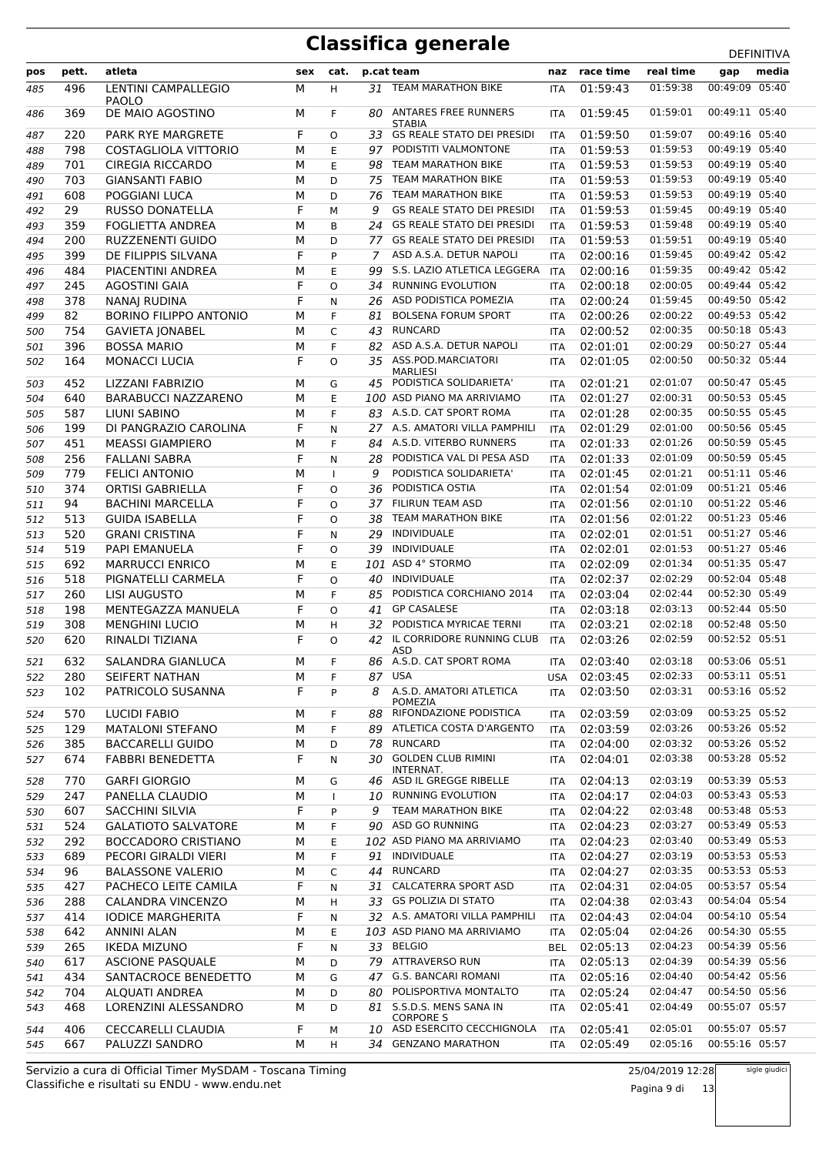|     |       |                                     |     |              |     |                                                                        |            |               |           | <b>DLIIIVIIIVA</b> |       |
|-----|-------|-------------------------------------|-----|--------------|-----|------------------------------------------------------------------------|------------|---------------|-----------|--------------------|-------|
| pos | pett. | atleta                              | sex | cat.         |     | p.cat team                                                             |            | naz race time | real time | gap                | media |
| 485 | 496   | LENTINI CAMPALLEGIO<br><b>PAOLO</b> | М   | H            |     | 31 TEAM MARATHON BIKE                                                  | <b>ITA</b> | 01:59:43      | 01:59:38  | 00:49:09 05:40     |       |
| 486 | 369   | DE MAIO AGOSTINO                    | М   | F.           | 80. | ANTARES FREE RUNNERS<br><b>STABIA</b>                                  | <b>ITA</b> | 01:59:45      | 01:59:01  | 00:49:11 05:40     |       |
| 487 | 220   | <b>PARK RYE MARGRETE</b>            | F   | O            |     | 33 GS REALE STATO DEI PRESIDI                                          | <b>ITA</b> | 01:59:50      | 01:59:07  | 00:49:16 05:40     |       |
| 488 | 798   | COSTAGLIOLA VITTORIO                | М   | E            | 97  | PODISTITI VALMONTONE                                                   | <b>ITA</b> | 01:59:53      | 01:59:53  | 00:49:19 05:40     |       |
| 489 | 701   | <b>CIREGIA RICCARDO</b>             | М   | E            | 98  | TEAM MARATHON BIKE                                                     | <b>ITA</b> | 01:59:53      | 01:59:53  | 00:49:19 05:40     |       |
| 490 | 703   | <b>GIANSANTI FABIO</b>              | М   | D            | 75  | TEAM MARATHON BIKE                                                     | <b>ITA</b> | 01:59:53      | 01:59:53  | 00:49:19 05:40     |       |
|     | 608   | POGGIANI LUCA                       | М   | D            | 76  | TEAM MARATHON BIKE                                                     |            | 01:59:53      | 01:59:53  | 00:49:19 05:40     |       |
| 491 |       |                                     |     |              |     | <b>GS REALE STATO DEI PRESIDI</b>                                      | <b>ITA</b> |               | 01:59:45  | 00:49:19 05:40     |       |
| 492 | 29    | <b>RUSSO DONATELLA</b>              | F   | M            | 9   |                                                                        | ITA        | 01:59:53      |           | 00:49:19 05:40     |       |
| 493 | 359   | <b>FOGLIETTA ANDREA</b>             | М   | B            | 24  | <b>GS REALE STATO DEI PRESIDI</b><br><b>GS REALE STATO DEI PRESIDI</b> | <b>ITA</b> | 01:59:53      | 01:59:48  |                    |       |
| 494 | 200   | <b>RUZZENENTI GUIDO</b>             | М   | D            | 77  |                                                                        | <b>ITA</b> | 01:59:53      | 01:59:51  | 00:49:19 05:40     |       |
| 495 | 399   | DE FILIPPIS SILVANA                 | F   | P            | 7   | ASD A.S.A. DETUR NAPOLI                                                | <b>ITA</b> | 02:00:16      | 01:59:45  | 00:49:42 05:42     |       |
| 496 | 484   | PIACENTINI ANDREA                   | М   | E            | 99  | S.S. LAZIO ATLETICA LEGGERA                                            | <b>ITA</b> | 02:00:16      | 01:59:35  | 00:49:42 05:42     |       |
| 497 | 245   | <b>AGOSTINI GAIA</b>                | F   | $\Omega$     | 34  | <b>RUNNING EVOLUTION</b>                                               | <b>ITA</b> | 02:00:18      | 02:00:05  | 00:49:44 05:42     |       |
| 498 | 378   | NANAJ RUDINA                        | F   | N            | 26  | ASD PODISTICA POMEZIA                                                  | <b>ITA</b> | 02:00:24      | 01:59:45  | 00:49:50 05:42     |       |
| 499 | 82    | <b>BORINO FILIPPO ANTONIO</b>       | М   | F            | 81  | <b>BOLSENA FORUM SPORT</b>                                             | <b>ITA</b> | 02:00:26      | 02:00:22  | 00:49:53 05:42     |       |
| 500 | 754   | <b>GAVIETA JONABEL</b>              | М   | C            | 43  | <b>RUNCARD</b>                                                         | ITA        | 02:00:52      | 02:00:35  | 00:50:18 05:43     |       |
| 501 | 396   | <b>BOSSA MARIO</b>                  | М   | F            | 82  | ASD A.S.A. DETUR NAPOLI                                                | <b>ITA</b> | 02:01:01      | 02:00:29  | 00:50:27 05:44     |       |
| 502 | 164   | <b>MONACCI LUCIA</b>                | F   | O            |     | 35 ASS.POD.MARCIATORI<br><b>MARLIESI</b>                               | <b>ITA</b> | 02:01:05      | 02:00:50  | 00:50:32 05:44     |       |
| 503 | 452   | LIZZANI FABRIZIO                    | м   | G            |     | 45 PODISTICA SOLIDARIETA'                                              | <b>ITA</b> | 02:01:21      | 02:01:07  | 00:50:47 05:45     |       |
| 504 | 640   | <b>BARABUCCI NAZZARENO</b>          | М   | E            |     | 100 ASD PIANO MA ARRIVIAMO                                             | <b>ITA</b> | 02:01:27      | 02:00:31  | 00:50:53 05:45     |       |
| 505 | 587   | LIUNI SABINO                        | М   | F            |     | 83 A.S.D. CAT SPORT ROMA                                               | <b>ITA</b> | 02:01:28      | 02:00:35  | 00:50:55 05:45     |       |
| 506 | 199   | DI PANGRAZIO CAROLINA               | F   | N            |     | 27 A.S. AMATORI VILLA PAMPHILI                                         | <b>ITA</b> | 02:01:29      | 02:01:00  | 00:50:56 05:45     |       |
| 507 | 451   | <b>MEASSI GIAMPIERO</b>             | М   | F            | 84  | A.S.D. VITERBO RUNNERS                                                 | <b>ITA</b> | 02:01:33      | 02:01:26  | 00:50:59 05:45     |       |
| 508 | 256   | <b>FALLANI SABRA</b>                | F   | N            | 28  | PODISTICA VAL DI PESA ASD                                              | <b>ITA</b> | 02:01:33      | 02:01:09  | 00:50:59 05:45     |       |
| 509 | 779   | <b>FELICI ANTONIO</b>               | М   | $\mathbf{I}$ | 9   | PODISTICA SOLIDARIETA'                                                 | <b>ITA</b> | 02:01:45      | 02:01:21  | 00:51:11 05:46     |       |
| 510 | 374   | <b>ORTISI GABRIELLA</b>             | F   | $\Omega$     | 36  | PODISTICA OSTIA                                                        | <b>ITA</b> | 02:01:54      | 02:01:09  | 00:51:21 05:46     |       |
| 511 | 94    | <b>BACHINI MARCELLA</b>             | F   | $\Omega$     | 37  | <b>FILIRUN TEAM ASD</b>                                                | ITA        | 02:01:56      | 02:01:10  | 00:51:22 05:46     |       |
| 512 | 513   | <b>GUIDA ISABELLA</b>               | F   | O            | 38  | <b>TEAM MARATHON BIKE</b>                                              | <b>ITA</b> | 02:01:56      | 02:01:22  | 00:51:23 05:46     |       |
| 513 | 520   | <b>GRANI CRISTINA</b>               | F   | N            | 29  | <b>INDIVIDUALE</b>                                                     | <b>ITA</b> | 02:02:01      | 02:01:51  | 00:51:27 05:46     |       |
| 514 | 519   | PAPI EMANUELA                       | F   | O            | 39  | <b>INDIVIDUALE</b>                                                     | ITA        | 02:02:01      | 02:01:53  | 00:51:27 05:46     |       |
| 515 | 692   | <b>MARRUCCI ENRICO</b>              | М   | E            |     | 101 ASD 4° STORMO                                                      | <b>ITA</b> | 02:02:09      | 02:01:34  | 00:51:35 05:47     |       |
| 516 | 518   | PIGNATELLI CARMELA                  | F   | $\circ$      | 40  | <b>INDIVIDUALE</b>                                                     | <b>ITA</b> | 02:02:37      | 02:02:29  | 00:52:04 05:48     |       |
| 517 | 260   | <b>LISI AUGUSTO</b>                 | М   | F            | 85  | PODISTICA CORCHIANO 2014                                               | <b>ITA</b> | 02:03:04      | 02:02:44  | 00:52:30 05:49     |       |
| 518 | 198   | MENTEGAZZA MANUELA                  | F   | $\circ$      | 41  | <b>GP CASALESE</b>                                                     | ITA        | 02:03:18      | 02:03:13  | 00:52:44 05:50     |       |
| 519 | 308   | <b>MENGHINI LUCIO</b>               | М   | H            | 32  | PODISTICA MYRICAE TERNI                                                | <b>ITA</b> | 02:03:21      | 02:02:18  | 00:52:48 05:50     |       |
| 520 | 620   | RINALDI TIZIANA                     | F   | O            |     | 42 IL CORRIDORE RUNNING CLUB                                           | <b>ITA</b> | 02:03:26      | 02:02:59  | 00:52:52 05:51     |       |
|     |       |                                     |     |              |     | ASD                                                                    |            |               |           |                    |       |
| 521 | 632   | SALANDRA GIANLUCA                   | М   | F.           |     | 86 A.S.D. CAT SPORT ROMA                                               | <b>ITA</b> | 02:03:40      | 02:03:18  | 00:53:06 05:51     |       |
| 522 | 280   | SEIFERT NATHAN                      | М   | F            |     | 87 USA                                                                 | <b>USA</b> | 02:03:45      | 02:02:33  | 00:53:11 05:51     |       |
| 523 | 102   | PATRICOLO SUSANNA                   | F   | P            | 8   | A.S.D. AMATORI ATLETICA<br><b>POMEZIA</b>                              | <b>ITA</b> | 02:03:50      | 02:03:31  | 00:53:16 05:52     |       |
| 524 | 570   | <b>LUCIDI FABIO</b>                 | М   | F            | 88  | RIFONDAZIONE PODISTICA                                                 | ITA        | 02:03:59      | 02:03:09  | 00:53:25 05:52     |       |
| 525 | 129   | <b>MATALONI STEFANO</b>             | М   | F            | 89  | ATLETICA COSTA D'ARGENTO                                               | <b>ITA</b> | 02:03:59      | 02:03:26  | 00:53:26 05:52     |       |
| 526 | 385   | <b>BACCARELLI GUIDO</b>             | М   | D            | 78  | <b>RUNCARD</b>                                                         | <b>ITA</b> | 02:04:00      | 02:03:32  | 00:53:26 05:52     |       |
| 527 | 674   | <b>FABBRI BENEDETTA</b>             | F   | Ν            | 30  | <b>GOLDEN CLUB RIMINI</b><br>INTERNAT.                                 | ITA        | 02:04:01      | 02:03:38  | 00:53:28 05:52     |       |
| 528 | 770   | <b>GARFI GIORGIO</b>                | М   | G            | 46  | ASD IL GREGGE RIBELLE                                                  | ITA        | 02:04:13      | 02:03:19  | 00:53:39 05:53     |       |
| 529 | 247   | PANELLA CLAUDIO                     | М   | $\mathbf{I}$ | 10  | <b>RUNNING EVOLUTION</b>                                               | ITA        | 02:04:17      | 02:04:03  | 00:53:43 05:53     |       |
| 530 | 607   | <b>SACCHINI SILVIA</b>              | F   | P            | 9   | TEAM MARATHON BIKE                                                     | ITA        | 02:04:22      | 02:03:48  | 00:53:48 05:53     |       |
| 531 | 524   | <b>GALATIOTO SALVATORE</b>          | М   | F.           | 90  | ASD GO RUNNING                                                         | <b>ITA</b> | 02:04:23      | 02:03:27  | 00:53:49 05:53     |       |
| 532 | 292   | BOCCADORO CRISTIANO                 | М   | Ε            |     | 102 ASD PIANO MA ARRIVIAMO                                             | ITA        | 02:04:23      | 02:03:40  | 00:53:49 05:53     |       |
| 533 | 689   | PECORI GIRALDI VIERI                | М   | F            | 91  | INDIVIDUALE                                                            | ITA        | 02:04:27      | 02:03:19  | 00:53:53 05:53     |       |
| 534 | 96    | <b>BALASSONE VALERIO</b>            | М   | C            | 44  | <b>RUNCARD</b>                                                         | ITA        | 02:04:27      | 02:03:35  | 00:53:53 05:53     |       |
| 535 | 427   | PACHECO LEITE CAMILA                | F   | N            | 31  | <b>CALCATERRA SPORT ASD</b>                                            | ITA        | 02:04:31      | 02:04:05  | 00:53:57 05:54     |       |
| 536 | 288   | CALANDRA VINCENZO                   | М   | H            | 33  | <b>GS POLIZIA DI STATO</b>                                             | ITA        | 02:04:38      | 02:03:43  | 00:54:04 05:54     |       |
| 537 | 414   | <b>IODICE MARGHERITA</b>            | F   | N            | 32  | A.S. AMATORI VILLA PAMPHILI                                            | ITA        | 02:04:43      | 02:04:04  | 00:54:10 05:54     |       |
| 538 | 642   | <b>ANNINI ALAN</b>                  | М   | E            |     | 103 ASD PIANO MA ARRIVIAMO                                             | ITA        | 02:05:04      | 02:04:26  | 00:54:30 05:55     |       |
| 539 | 265   | <b>IKEDA MIZUNO</b>                 | F   | N            | 33  | <b>BELGIO</b>                                                          | BEL        | 02:05:13      | 02:04:23  | 00:54:39 05:56     |       |
| 540 | 617   | <b>ASCIONE PASQUALE</b>             | М   | D            | 79  | ATTRAVERSO RUN                                                         | ITA        | 02:05:13      | 02:04:39  | 00:54:39 05:56     |       |
| 541 | 434   | SANTACROCE BENEDETTO                | М   | G            | 47  | <b>G.S. BANCARI ROMANI</b>                                             | ITA        | 02:05:16      | 02:04:40  | 00:54:42 05:56     |       |
| 542 | 704   | ALQUATI ANDREA                      | М   | D            | 80  | POLISPORTIVA MONTALTO                                                  | ITA        | 02:05:24      | 02:04:47  | 00:54:50 05:56     |       |
| 543 | 468   | LORENZINI ALESSANDRO                | М   | D            | 81  | S.S.D.S. MENS SANA IN<br><b>CORPORE S</b>                              | <b>ITA</b> | 02:05:41      | 02:04:49  | 00:55:07 05:57     |       |
| 544 | 406   | CECCARELLI CLAUDIA                  | F   | М            |     | 10 ASD ESERCITO CECCHIGNOLA                                            | ITA        | 02:05:41      | 02:05:01  | 00:55:07 05:57     |       |
| 545 | 667   | PALUZZI SANDRO                      | М   | H            |     | 34 GENZANO MARATHON                                                    | ITA        | 02:05:49      | 02:05:16  | 00:55:16 05:57     |       |

Classifiche e risultati su ENDU - www.endu.net Servizio a cura di Official Timer MySDAM - Toscana Timing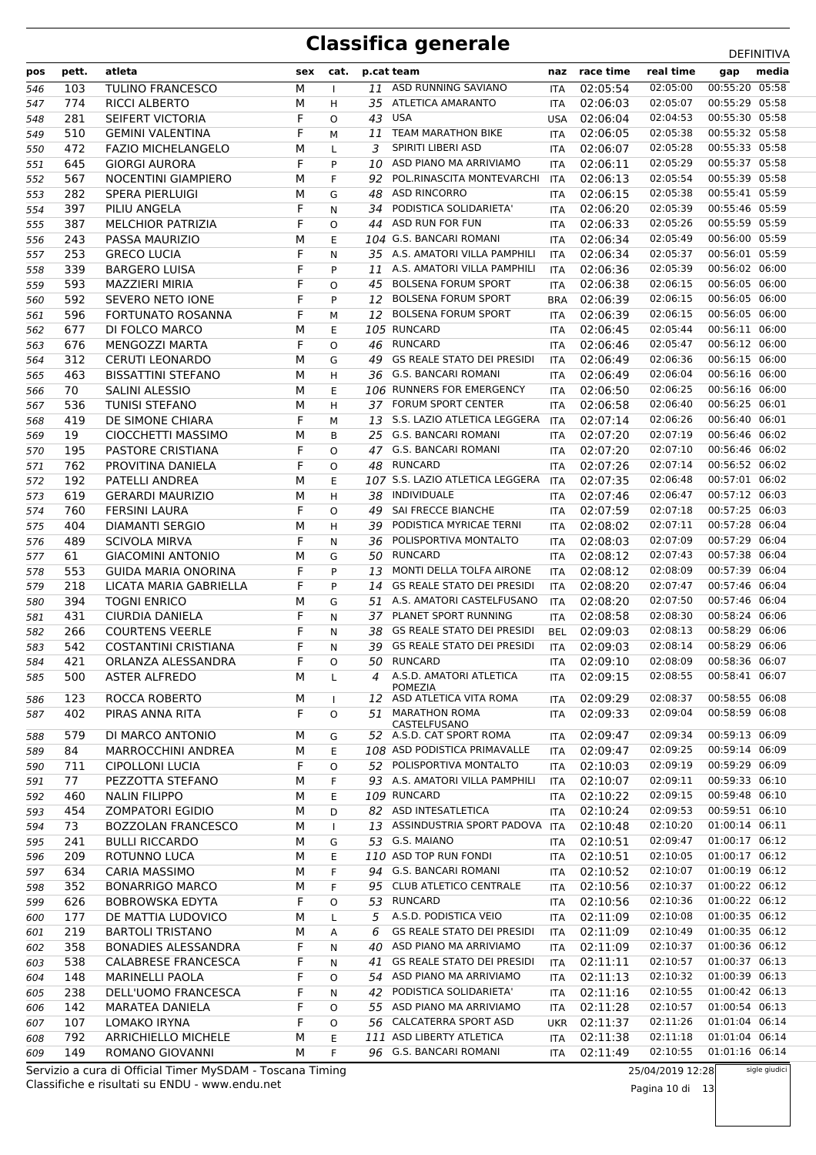| pos | pett. | atleta                     | sex | cat.         |    | p.cat team                                                     |            | naz race time | real time | gap            | media |
|-----|-------|----------------------------|-----|--------------|----|----------------------------------------------------------------|------------|---------------|-----------|----------------|-------|
| 546 | 103   | <b>TULINO FRANCESCO</b>    | М   | $\mathbf{I}$ | 11 | ASD RUNNING SAVIANO                                            | <b>ITA</b> | 02:05:54      | 02:05:00  | 00:55:20 05:58 |       |
| 547 | 774   | <b>RICCI ALBERTO</b>       | М   | H            |    | 35 ATLETICA AMARANTO                                           | <b>ITA</b> | 02:06:03      | 02:05:07  | 00:55:29 05:58 |       |
| 548 | 281   | SEIFERT VICTORIA           | F   | O            | 43 | USA                                                            | <b>USA</b> | 02:06:04      | 02:04:53  | 00:55:30 05:58 |       |
| 549 | 510   | <b>GEMINI VALENTINA</b>    | F   | M            | 11 | <b>TEAM MARATHON BIKE</b>                                      | <b>ITA</b> | 02:06:05      | 02:05:38  | 00:55:32 05:58 |       |
| 550 | 472   | <b>FAZIO MICHELANGELO</b>  | М   | L            | 3  | SPIRITI LIBERI ASD                                             | ITA        | 02:06:07      | 02:05:28  | 00:55:33 05:58 |       |
| 551 | 645   | <b>GIORGI AURORA</b>       | F   | P            | 10 | ASD PIANO MA ARRIVIAMO                                         | ITA        | 02:06:11      | 02:05:29  | 00:55:37 05:58 |       |
| 552 | 567   | <b>NOCENTINI GIAMPIERO</b> | М   | F            | 92 | POL.RINASCITA MONTEVARCHI                                      | <b>ITA</b> | 02:06:13      | 02:05:54  | 00:55:39 05:58 |       |
| 553 | 282   | SPERA PIERLUIGI            | М   | G            | 48 | <b>ASD RINCORRO</b>                                            | <b>ITA</b> | 02:06:15      | 02:05:38  | 00:55:41 05:59 |       |
| 554 | 397   | PILIU ANGELA               | F   | N            | 34 | PODISTICA SOLIDARIETA'                                         | ITA        | 02:06:20      | 02:05:39  | 00:55:46 05:59 |       |
| 555 | 387   | <b>MELCHIOR PATRIZIA</b>   | F   | $\circ$      | 44 | <b>ASD RUN FOR FUN</b>                                         | ITA        | 02:06:33      | 02:05:26  | 00:55:59 05:59 |       |
| 556 | 243   | PASSA MAURIZIO             | М   | E            |    | 104 G.S. BANCARI ROMANI                                        | <b>ITA</b> | 02:06:34      | 02:05:49  | 00:56:00 05:59 |       |
| 557 | 253   | <b>GRECO LUCIA</b>         | F   | N            |    | 35 A.S. AMATORI VILLA PAMPHILI                                 | ITA        | 02:06:34      | 02:05:37  | 00:56:01 05:59 |       |
| 558 | 339   | <b>BARGERO LUISA</b>       | F   | P            |    | 11 A.S. AMATORI VILLA PAMPHILI                                 | <b>ITA</b> | 02:06:36      | 02:05:39  | 00:56:02 06:00 |       |
| 559 | 593   | MAZZIERI MIRIA             | F   | O            | 45 | <b>BOLSENA FORUM SPORT</b>                                     | <b>ITA</b> | 02:06:38      | 02:06:15  | 00:56:05 06:00 |       |
| 560 | 592   | SEVERO NETO IONE           | F   | P            | 12 | <b>BOLSENA FORUM SPORT</b>                                     | <b>BRA</b> | 02:06:39      | 02:06:15  | 00:56:05 06:00 |       |
| 561 | 596   | FORTUNATO ROSANNA          | F   | М            | 12 | <b>BOLSENA FORUM SPORT</b>                                     | ITA        | 02:06:39      | 02:06:15  | 00:56:05 06:00 |       |
| 562 | 677   | DI FOLCO MARCO             | М   | E            |    | 105 RUNCARD                                                    | <b>ITA</b> | 02:06:45      | 02:05:44  | 00:56:11 06:00 |       |
| 563 | 676   | <b>MENGOZZI MARTA</b>      | F   | O            | 46 | RUNCARD                                                        | ITA        | 02:06:46      | 02:05:47  | 00:56:12 06:00 |       |
| 564 | 312   | <b>CERUTI LEONARDO</b>     | М   | G            | 49 | <b>GS REALE STATO DEI PRESIDI</b>                              | ITA        | 02:06:49      | 02:06:36  | 00:56:15 06:00 |       |
| 565 | 463   | <b>BISSATTINI STEFANO</b>  | М   | H            | 36 | G.S. BANCARI ROMANI                                            | <b>ITA</b> | 02:06:49      | 02:06:04  | 00:56:16 06:00 |       |
| 566 | 70    | SALINI ALESSIO             | М   | E            |    | 106 RUNNERS FOR EMERGENCY                                      | ITA        | 02:06:50      | 02:06:25  | 00:56:16 06:00 |       |
| 567 | 536   | <b>TUNISI STEFANO</b>      | М   | H            |    | 37 FORUM SPORT CENTER                                          | ITA        | 02:06:58      | 02:06:40  | 00:56:25 06:01 |       |
| 568 | 419   | DE SIMONE CHIARA           | F   | M            |    | 13 S.S. LAZIO ATLETICA LEGGERA                                 | <b>ITA</b> | 02:07:14      | 02:06:26  | 00:56:40 06:01 |       |
| 569 | 19    | CIOCCHETTI MASSIMO         | М   | B            |    | 25 G.S. BANCARI ROMANI                                         | ITA        | 02:07:20      | 02:07:19  | 00:56:46 06:02 |       |
| 570 | 195   | PASTORE CRISTIANA          | F   | O            |    | 47 G.S. BANCARI ROMANI                                         | ITA        | 02:07:20      | 02:07:10  | 00:56:46 06:02 |       |
| 571 | 762   | PROVITINA DANIELA          | F   | O            | 48 | <b>RUNCARD</b>                                                 | <b>ITA</b> | 02:07:26      | 02:07:14  | 00:56:52 06:02 |       |
| 572 | 192   | PATELLI ANDREA             | М   | Е            |    | 107 S.S. LAZIO ATLETICA LEGGERA                                | ITA        | 02:07:35      | 02:06:48  | 00:57:01 06:02 |       |
| 573 | 619   | <b>GERARDI MAURIZIO</b>    | М   | H            | 38 | INDIVIDUALE                                                    | ITA        | 02:07:46      | 02:06:47  | 00:57:12 06:03 |       |
| 574 | 760   | <b>FERSINI LAURA</b>       | F   | $\circ$      | 49 | SAI FRECCE BIANCHE                                             | <b>ITA</b> | 02:07:59      | 02:07:18  | 00:57:25 06:03 |       |
| 575 | 404   | <b>DIAMANTI SERGIO</b>     | М   | H            | 39 | PODISTICA MYRICAE TERNI                                        | ITA        | 02:08:02      | 02:07:11  | 00:57:28 06:04 |       |
| 576 | 489   | SCIVOLA MIRVA              | F   | N            | 36 | POLISPORTIVA MONTALTO                                          | ITA        | 02:08:03      | 02:07:09  | 00:57:29 06:04 |       |
| 577 | 61    | <b>GIACOMINI ANTONIO</b>   | М   | G            | 50 | <b>RUNCARD</b>                                                 | <b>ITA</b> | 02:08:12      | 02:07:43  | 00:57:38 06:04 |       |
| 578 | 553   | GUIDA MARIA ONORINA        | F   | P            | 13 | MONTI DELLA TOLFA AIRONE                                       | ITA        | 02:08:12      | 02:08:09  | 00:57:39 06:04 |       |
| 579 | 218   | LICATA MARIA GABRIELLA     | F   | P            | 14 | <b>GS REALE STATO DEI PRESIDI</b>                              | ITA        | 02:08:20      | 02:07:47  | 00:57:46 06:04 |       |
| 580 | 394   | <b>TOGNI ENRICO</b>        | М   | G            | 51 | A.S. AMATORI CASTELFUSANO                                      | <b>ITA</b> | 02:08:20      | 02:07:50  | 00:57:46 06:04 |       |
| 581 | 431   | CIURDIA DANIELA            | F   | N            | 37 | PLANET SPORT RUNNING                                           | ITA        | 02:08:58      | 02:08:30  | 00:58:24 06:06 |       |
| 582 | 266   | <b>COURTENS VEERLE</b>     | F   | N            | 38 | <b>GS REALE STATO DEI PRESIDI</b>                              | <b>BEL</b> | 02:09:03      | 02:08:13  | 00:58:29 06:06 |       |
| 583 | 542   | COSTANTINI CRISTIANA       | F   | N            | 39 | <b>GS REALE STATO DEI PRESIDI</b>                              | <b>ITA</b> | 02:09:03      | 02:08:14  | 00:58:29 06:06 |       |
| 584 | 421   | ORLANZA ALESSANDRA         | F   | O            |    | 50 RUNCARD                                                     | ITA        | 02:09:10      | 02:08:09  | 00:58:36 06:07 |       |
| 585 |       | 500 ASTER ALFREDO          | M   | $\mathsf{L}$ |    | 4 A.S.D. AMATORI ATLETICA ITA 02:09:15 02:08:55 00:58:41 06:07 |            |               |           |                |       |
|     |       |                            |     |              |    | <b>POMEZIA</b>                                                 |            |               |           |                |       |
| 586 | 123   | ROCCA ROBERTO              | М   | $\mathbf{I}$ | 12 | ASD ATLETICA VITA ROMA                                         | <b>ITA</b> | 02:09:29      | 02:08:37  | 00:58:55 06:08 |       |
| 587 | 402   | PIRAS ANNA RITA            | F   | O            | 51 | <b>MARATHON ROMA</b><br>CASTELFUSANO                           | ITA        | 02:09:33      | 02:09:04  | 00:58:59 06:08 |       |
| 588 | 579   | DI MARCO ANTONIO           | М   | G            |    | 52 A.S.D. CAT SPORT ROMA                                       | <b>ITA</b> | 02:09:47      | 02:09:34  | 00:59:13 06:09 |       |
| 589 | 84    | <b>MARROCCHINI ANDREA</b>  | М   | Ε            |    | 108 ASD PODISTICA PRIMAVALLE                                   | ITA        | 02:09:47      | 02:09:25  | 00:59:14 06:09 |       |
| 590 | 711   | CIPOLLONI LUCIA            | F   | O            | 52 | POLISPORTIVA MONTALTO                                          | <b>ITA</b> | 02:10:03      | 02:09:19  | 00:59:29 06:09 |       |
| 591 | 77    | PEZZOTTA STEFANO           | М   | F            |    | 93 A.S. AMATORI VILLA PAMPHILI                                 | ITA        | 02:10:07      | 02:09:11  | 00:59:33 06:10 |       |
| 592 | 460   | <b>NALIN FILIPPO</b>       | М   | Ε            |    | 109 RUNCARD                                                    | <b>ITA</b> | 02:10:22      | 02:09:15  | 00:59:48 06:10 |       |
| 593 | 454   | <b>ZOMPATORI EGIDIO</b>    | М   | D            |    | 82 ASD INTESATLETICA                                           | ITA        | 02:10:24      | 02:09:53  | 00:59:51 06:10 |       |
| 594 | 73    | <b>BOZZOLAN FRANCESCO</b>  | М   | $\mathbf{I}$ | 13 | ASSINDUSTRIA SPORT PADOVA                                      | <b>ITA</b> | 02:10:48      | 02:10:20  | 01:00:14 06:11 |       |
| 595 | 241   | <b>BULLI RICCARDO</b>      | М   | G            |    | 53 G.S. MAIANO                                                 | ITA        | 02:10:51      | 02:09:47  | 01:00:17 06:12 |       |
| 596 | 209   | ROTUNNO LUCA               | М   | Ε            |    | 110 ASD TOP RUN FONDI                                          | ITA        | 02:10:51      | 02:10:05  | 01:00:17 06:12 |       |
| 597 | 634   | <b>CARIA MASSIMO</b>       | М   | F            | 94 | <b>G.S. BANCARI ROMANI</b>                                     | ITA        | 02:10:52      | 02:10:07  | 01:00:19 06:12 |       |
| 598 | 352   | <b>BONARRIGO MARCO</b>     | М   | F            |    | 95 CLUB ATLETICO CENTRALE                                      | <b>ITA</b> | 02:10:56      | 02:10:37  | 01:00:22 06:12 |       |
| 599 | 626   | <b>BOBROWSKA EDYTA</b>     | F   | O            | 53 | RUNCARD                                                        | <b>ITA</b> | 02:10:56      | 02:10:36  | 01:00:22 06:12 |       |
| 600 | 177   | DE MATTIA LUDOVICO         | М   | L            | 5  | A.S.D. PODISTICA VEIO                                          | ITA        | 02:11:09      | 02:10:08  | 01:00:35 06:12 |       |
| 601 | 219   | <b>BARTOLI TRISTANO</b>    | М   | A            | 6  | <b>GS REALE STATO DEI PRESIDI</b>                              | ITA        | 02:11:09      | 02:10:49  | 01:00:35 06:12 |       |
| 602 | 358   | <b>BONADIES ALESSANDRA</b> | F   | N            | 40 | ASD PIANO MA ARRIVIAMO                                         | <b>ITA</b> | 02:11:09      | 02:10:37  | 01:00:36 06:12 |       |
| 603 | 538   | CALABRESE FRANCESCA        | F   | N            | 41 | <b>GS REALE STATO DEI PRESIDI</b>                              | ITA        | 02:11:11      | 02:10:57  | 01:00:37 06:13 |       |
| 604 | 148   | <b>MARINELLI PAOLA</b>     | F   | O            | 54 | ASD PIANO MA ARRIVIAMO                                         | <b>ITA</b> | 02:11:13      | 02:10:32  | 01:00:39 06:13 |       |
| 605 | 238   | DELL'UOMO FRANCESCA        | F   | N            | 42 | PODISTICA SOLIDARIETA'                                         | ITA        | 02:11:16      | 02:10:55  | 01:00:42 06:13 |       |
| 606 | 142   | MARATEA DANIELA            | F   | 0            | 55 | ASD PIANO MA ARRIVIAMO                                         | ITA        | 02:11:28      | 02:10:57  | 01:00:54 06:13 |       |
| 607 | 107   | LOMAKO IRYNA               | F   | O            |    | 56 CALCATERRA SPORT ASD                                        | UKR        | 02:11:37      | 02:11:26  | 01:01:04 06:14 |       |
| 608 | 792   | <b>ARRICHIELLO MICHELE</b> | М   | Ε            |    | 111 ASD LIBERTY ATLETICA                                       | ITA        | 02:11:38      | 02:11:18  | 01:01:04 06:14 |       |
| 609 | 149   | ROMANO GIOVANNI            | М   | F            |    | 96 G.S. BANCARI ROMANI                                         | <b>ITA</b> | 02:11:49      | 02:10:55  | 01:01:16 06:14 |       |

Classifiche e risultati su ENDU - www.endu.net Servizio a cura di Official Timer MySDAM - Toscana Timing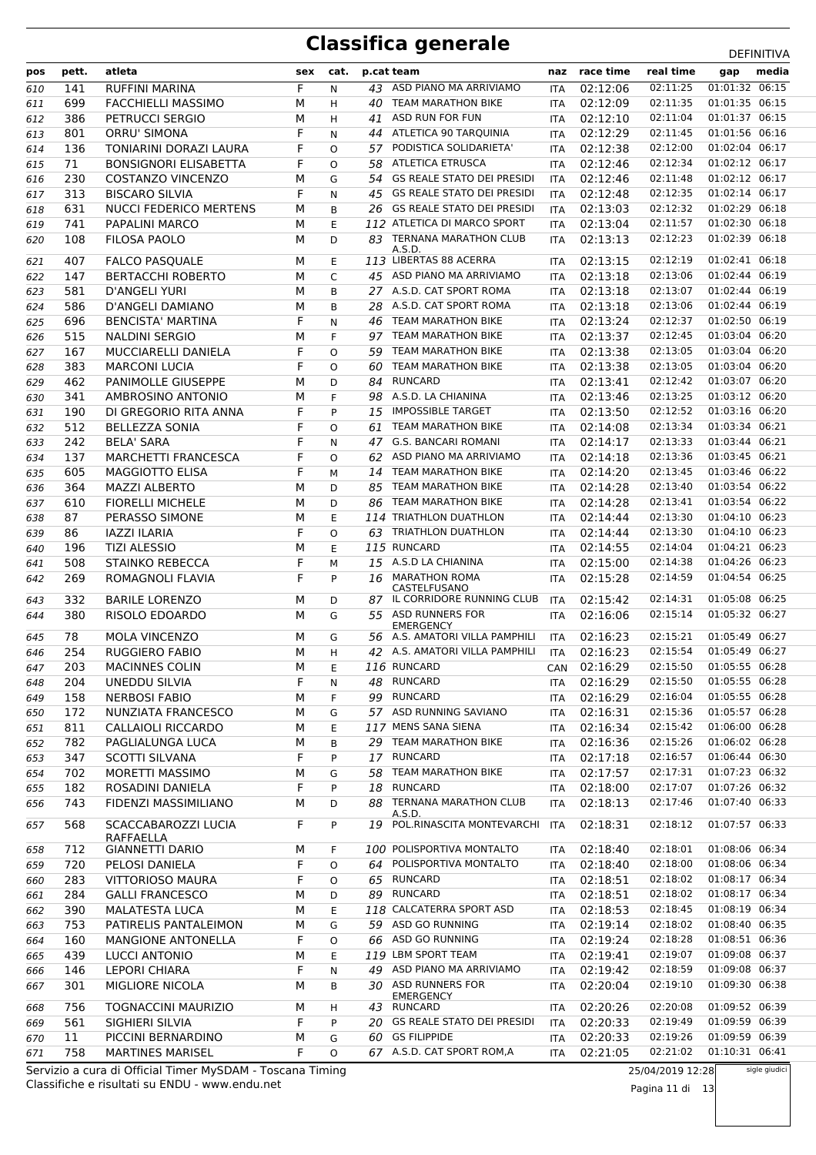| pos | pett. | atleta                        | sex | cat.     |     | p.cat team                                         | naz        | race time | real time | gap            | media |
|-----|-------|-------------------------------|-----|----------|-----|----------------------------------------------------|------------|-----------|-----------|----------------|-------|
| 610 | 141   | <b>RUFFINI MARINA</b>         | F.  | N        | 43  | ASD PIANO MA ARRIVIAMO                             | <b>ITA</b> | 02:12:06  | 02:11:25  | 01:01:32 06:15 |       |
| 611 | 699   | <b>FACCHIELLI MASSIMO</b>     | М   | H        | 40  | <b>TEAM MARATHON BIKE</b>                          | <b>ITA</b> | 02:12:09  | 02:11:35  | 01:01:35 06:15 |       |
| 612 | 386   | PETRUCCI SERGIO               | М   | H        | 41  | ASD RUN FOR FUN                                    | <b>ITA</b> | 02:12:10  | 02:11:04  | 01:01:37 06:15 |       |
| 613 | 801   | <b>ORRU' SIMONA</b>           | F   | N        | 44  | ATLETICA 90 TARQUINIA                              | <b>ITA</b> | 02:12:29  | 02:11:45  | 01:01:56 06:16 |       |
| 614 | 136   | TONIARINI DORAZI LAURA        | F   | $\Omega$ | 57  | PODISTICA SOLIDARIETA'                             | <b>ITA</b> | 02:12:38  | 02:12:00  | 01:02:04 06:17 |       |
| 615 | 71    | <b>BONSIGNORI ELISABETTA</b>  | F   | $\Omega$ | 58  | <b>ATLETICA ETRUSCA</b>                            | <b>ITA</b> | 02:12:46  | 02:12:34  | 01:02:12 06:17 |       |
| 616 | 230   | COSTANZO VINCENZO             | М   | G        | 54  | <b>GS REALE STATO DEI PRESIDI</b>                  | <b>ITA</b> | 02:12:46  | 02:11:48  | 01:02:12 06:17 |       |
| 617 | 313   | <b>BISCARO SILVIA</b>         | F   | N        | 45  | <b>GS REALE STATO DEI PRESIDI</b>                  | <b>ITA</b> | 02:12:48  | 02:12:35  | 01:02:14 06:17 |       |
| 618 | 631   | <b>NUCCI FEDERICO MERTENS</b> | М   | B        | 26  | <b>GS REALE STATO DEI PRESIDI</b>                  | <b>ITA</b> | 02:13:03  | 02:12:32  | 01:02:29 06:18 |       |
| 619 | 741   | PAPALINI MARCO                | М   | E        |     | 112 ATLETICA DI MARCO SPORT                        | <b>ITA</b> | 02:13:04  | 02:11:57  | 01:02:30 06:18 |       |
| 620 | 108   | <b>FILOSA PAOLO</b>           | М   | D        | 83. | <b>TERNANA MARATHON CLUB</b>                       | ITA        | 02:13:13  | 02:12:23  | 01:02:39 06:18 |       |
| 621 | 407   | <b>FALCO PASQUALE</b>         | м   | Е        |     | A.S.D.<br>113 LIBERTAS 88 ACERRA                   | ITA        | 02:13:15  | 02:12:19  | 01:02:41 06:18 |       |
| 622 | 147   | <b>BERTACCHI ROBERTO</b>      | М   | C        |     | 45 ASD PIANO MA ARRIVIAMO                          | <b>ITA</b> | 02:13:18  | 02:13:06  | 01:02:44 06:19 |       |
| 623 | 581   | <b>D'ANGELI YURI</b>          | М   | B        |     | 27 A.S.D. CAT SPORT ROMA                           | <b>ITA</b> | 02:13:18  | 02:13:07  | 01:02:44 06:19 |       |
| 624 | 586   | <b>D'ANGELI DAMIANO</b>       | М   | B        | 28  | A.S.D. CAT SPORT ROMA                              | <b>ITA</b> | 02:13:18  | 02:13:06  | 01:02:44 06:19 |       |
| 625 | 696   | <b>BENCISTA' MARTINA</b>      | F   | N        | 46  | <b>TEAM MARATHON BIKE</b>                          | <b>ITA</b> | 02:13:24  | 02:12:37  | 01:02:50 06:19 |       |
| 626 | 515   | <b>NALDINI SERGIO</b>         | М   | F        | 97  | <b>TEAM MARATHON BIKE</b>                          | <b>ITA</b> | 02:13:37  | 02:12:45  | 01:03:04 06:20 |       |
| 627 | 167   | MUCCIARELLI DANIELA           | F   | O        | 59  | <b>TEAM MARATHON BIKE</b>                          | <b>ITA</b> | 02:13:38  | 02:13:05  | 01:03:04 06:20 |       |
| 628 | 383   | <b>MARCONI LUCIA</b>          | F   | O        | 60  | <b>TEAM MARATHON BIKE</b>                          | <b>ITA</b> | 02:13:38  | 02:13:05  | 01:03:04 06:20 |       |
| 629 | 462   | <b>PANIMOLLE GIUSEPPE</b>     | М   | D        | 84  | <b>RUNCARD</b>                                     | <b>ITA</b> | 02:13:41  | 02:12:42  | 01:03:07 06:20 |       |
| 630 | 341   | AMBROSINO ANTONIO             | М   | F        | 98  | A.S.D. LA CHIANINA                                 | <b>ITA</b> | 02:13:46  | 02:13:25  | 01:03:12 06:20 |       |
| 631 | 190   | DI GREGORIO RITA ANNA         | F   | P        | 15  | <b>IMPOSSIBLE TARGET</b>                           | <b>ITA</b> | 02:13:50  | 02:12:52  | 01:03:16 06:20 |       |
| 632 | 512   | <b>BELLEZZA SONIA</b>         | F   | O        | 61  | <b>TEAM MARATHON BIKE</b>                          | <b>ITA</b> | 02:14:08  | 02:13:34  | 01:03:34 06:21 |       |
| 633 | 242   | <b>BELA' SARA</b>             | F   | N        | 47  | <b>G.S. BANCARI ROMANI</b>                         | ITA        | 02:14:17  | 02:13:33  | 01:03:44 06:21 |       |
| 634 | 137   | <b>MARCHETTI FRANCESCA</b>    | F   | O        | 62  | ASD PIANO MA ARRIVIAMO                             | <b>ITA</b> | 02:14:18  | 02:13:36  | 01:03:45 06:21 |       |
| 635 | 605   | <b>MAGGIOTTO ELISA</b>        | F   | M        | 14  | <b>TEAM MARATHON BIKE</b>                          | <b>ITA</b> | 02:14:20  | 02:13:45  | 01:03:46 06:22 |       |
| 636 | 364   | <b>MAZZI ALBERTO</b>          | М   | D        | 85  | <b>TEAM MARATHON BIKE</b>                          | <b>ITA</b> | 02:14:28  | 02:13:40  | 01:03:54 06:22 |       |
| 637 | 610   | <b>FIORELLI MICHELE</b>       | М   | D        | 86  | <b>TEAM MARATHON BIKE</b>                          | <b>ITA</b> | 02:14:28  | 02:13:41  | 01:03:54 06:22 |       |
| 638 | 87    | PERASSO SIMONE                | М   | E        |     | 114 TRIATHLON DUATHLON                             | <b>ITA</b> | 02:14:44  | 02:13:30  | 01:04:10 06:23 |       |
| 639 | 86    | <b>IAZZI ILARIA</b>           | F   | O        | 63  | TRIATHLON DUATHLON                                 | <b>ITA</b> | 02:14:44  | 02:13:30  | 01:04:10 06:23 |       |
| 640 | 196   | <b>TIZI ALESSIO</b>           | М   | Ε        |     | 115 RUNCARD                                        | <b>ITA</b> | 02:14:55  | 02:14:04  | 01:04:21 06:23 |       |
| 641 | 508   | STAINKO REBECCA               | F   | M        |     | 15 A.S.D LA CHIANINA                               | <b>ITA</b> | 02:15:00  | 02:14:38  | 01:04:26 06:23 |       |
| 642 | 269   | ROMAGNOLI FLAVIA              | F   | P        | 16  | <b>MARATHON ROMA</b><br>CASTELFUSANO               | <b>ITA</b> | 02:15:28  | 02:14:59  | 01:04:54 06:25 |       |
| 643 | 332   | <b>BARILE LORENZO</b>         | М   | D        |     | 87 IL CORRIDORE RUNNING CLUB                       | <b>ITA</b> | 02:15:42  | 02:14:31  | 01:05:08 06:25 |       |
| 644 | 380   | RISOLO EDOARDO                | М   | G        |     | 55 ASD RUNNERS FOR                                 | <b>ITA</b> | 02:16:06  | 02:15:14  | 01:05:32 06:27 |       |
| 645 | 78    | <b>MOLA VINCENZO</b>          | м   | G        |     | <b>EMERGENCY</b><br>56 A.S. AMATORI VILLA PAMPHILI | <b>ITA</b> | 02:16:23  | 02:15:21  | 01:05:49 06:27 |       |
| 646 | 254   | <b>RUGGIERO FABIO</b>         | М   | H        |     | 42 A.S. AMATORI VILLA PAMPHILI                     | <b>ITA</b> | 02:16:23  | 02:15:54  | 01:05:49 06:27 |       |
| 647 | 203   | <b>MACINNES COLIN</b>         | М   | E        |     | 116 RUNCARD                                        | <b>CAN</b> | 02:16:29  | 02:15:50  | 01:05:55 06:28 |       |
| 648 | 204   | <b>UNEDDU SILVIA</b>          | F   | N        | 48  | <b>RUNCARD</b>                                     | ITA        | 02:16:29  | 02:15:50  | 01:05:55 06:28 |       |
| 649 | 158   | <b>NERBOSI FABIO</b>          | М   | F        | 99  | <b>RUNCARD</b>                                     | ITA        | 02:16:29  | 02:16:04  | 01:05:55 06:28 |       |
| 650 | 172   | NUNZIATA FRANCESCO            | М   | G        |     | 57 ASD RUNNING SAVIANO                             | ITA        | 02:16:31  | 02:15:36  | 01:05:57 06:28 |       |
| 651 | 811   | <b>CALLAIOLI RICCARDO</b>     | М   | Ε        |     | 117 MENS SANA SIENA                                | ITA        | 02:16:34  | 02:15:42  | 01:06:00 06:28 |       |
| 652 | 782   | PAGLIALUNGA LUCA              | М   | B        | 29  | <b>TEAM MARATHON BIKE</b>                          | ITA        | 02:16:36  | 02:15:26  | 01:06:02 06:28 |       |
| 653 | 347   | <b>SCOTTI SILVANA</b>         | F   | P        | 17  | <b>RUNCARD</b>                                     | ITA        | 02:17:18  | 02:16:57  | 01:06:44 06:30 |       |
| 654 | 702   | <b>MORETTI MASSIMO</b>        | М   | G        | 58  | TEAM MARATHON BIKE                                 | ITA        | 02:17:57  | 02:17:31  | 01:07:23 06:32 |       |
| 655 | 182   | ROSADINI DANIELA              | F   | P        | 18  | <b>RUNCARD</b>                                     | ITA        | 02:18:00  | 02:17:07  | 01:07:26 06:32 |       |
| 656 | 743   | FIDENZI MASSIMILIANO          | м   | D        | 88  | TERNANA MARATHON CLUB                              | ITA        | 02:18:13  | 02:17:46  | 01:07:40 06:33 |       |
| 657 | 568   | SCACCABAROZZI LUCIA           | F   | P        | 19  | A.S.D.<br>POL.RINASCITA MONTEVARCHI                | <b>ITA</b> | 02:18:31  | 02:18:12  | 01:07:57 06:33 |       |
|     |       | RAFFAELLA                     |     |          |     |                                                    |            |           |           |                |       |
| 658 | 712   | <b>GIANNETTI DARIO</b>        | М   | F        |     | 100 POLISPORTIVA MONTALTO                          | ITA        | 02:18:40  | 02:18:01  | 01:08:06 06:34 |       |
| 659 | 720   | PELOSI DANIELA                | F   | O        | 64  | POLISPORTIVA MONTALTO                              | ITA        | 02:18:40  | 02:18:00  | 01:08:06 06:34 |       |
| 660 | 283   | VITTORIOSO MAURA              | F   | O        |     | 65 RUNCARD                                         | ITA        | 02:18:51  | 02:18:02  | 01:08:17 06:34 |       |
| 661 | 284   | <b>GALLI FRANCESCO</b>        | М   | D        | 89  | <b>RUNCARD</b>                                     | ITA        | 02:18:51  | 02:18:02  | 01:08:17 06:34 |       |
| 662 | 390   | <b>MALATESTA LUCA</b>         | М   | Е        |     | 118 CALCATERRA SPORT ASD                           | ITA        | 02:18:53  | 02:18:45  | 01:08:19 06:34 |       |
| 663 | 753   | PATIRELIS PANTALEIMON         | М   | G        | 59  | ASD GO RUNNING                                     | ITA        | 02:19:14  | 02:18:02  | 01:08:40 06:35 |       |
| 664 | 160   | <b>MANGIONE ANTONELLA</b>     | F   | O        | 66  | ASD GO RUNNING                                     | ITA        | 02:19:24  | 02:18:28  | 01:08:51 06:36 |       |
| 665 | 439   | LUCCI ANTONIO                 | М   | E        |     | 119 LBM SPORT TEAM                                 | ITA        | 02:19:41  | 02:19:07  | 01:09:08 06:37 |       |
| 666 | 146   | LEPORI CHIARA                 | F   | N        | 49  | ASD PIANO MA ARRIVIAMO                             | <b>ITA</b> | 02:19:42  | 02:18:59  | 01:09:08 06:37 |       |
| 667 | 301   | MIGLIORE NICOLA               | М   | B        |     | 30 ASD RUNNERS FOR<br>EMERGENCY                    | ITA        | 02:20:04  | 02:19:10  | 01:09:30 06:38 |       |
| 668 | 756   | <b>TOGNACCINI MAURIZIO</b>    | М   | H        |     | 43 RUNCARD                                         | ITA        | 02:20:26  | 02:20:08  | 01:09:52 06:39 |       |
| 669 | 561   | SIGHIERI SILVIA               | F   | P        |     | 20 GS REALE STATO DEI PRESIDI                      | ITA        | 02:20:33  | 02:19:49  | 01:09:59 06:39 |       |
| 670 | 11    | PICCINI BERNARDINO            | М   | G        | 60  | <b>GS FILIPPIDE</b>                                | <b>ITA</b> | 02:20:33  | 02:19:26  | 01:09:59 06:39 |       |
| 671 | 758   | <b>MARTINES MARISEL</b>       | F   | O        |     | 67 A.S.D. CAT SPORT ROM, A                         | ITA        | 02:21:05  | 02:21:02  | 01:10:31 06:41 |       |

Classifiche e risultati su ENDU - www.endu.net Servizio a cura di Official Timer MySDAM - Toscana Timing 25/04/2019 12:28

Pagina 11 di 13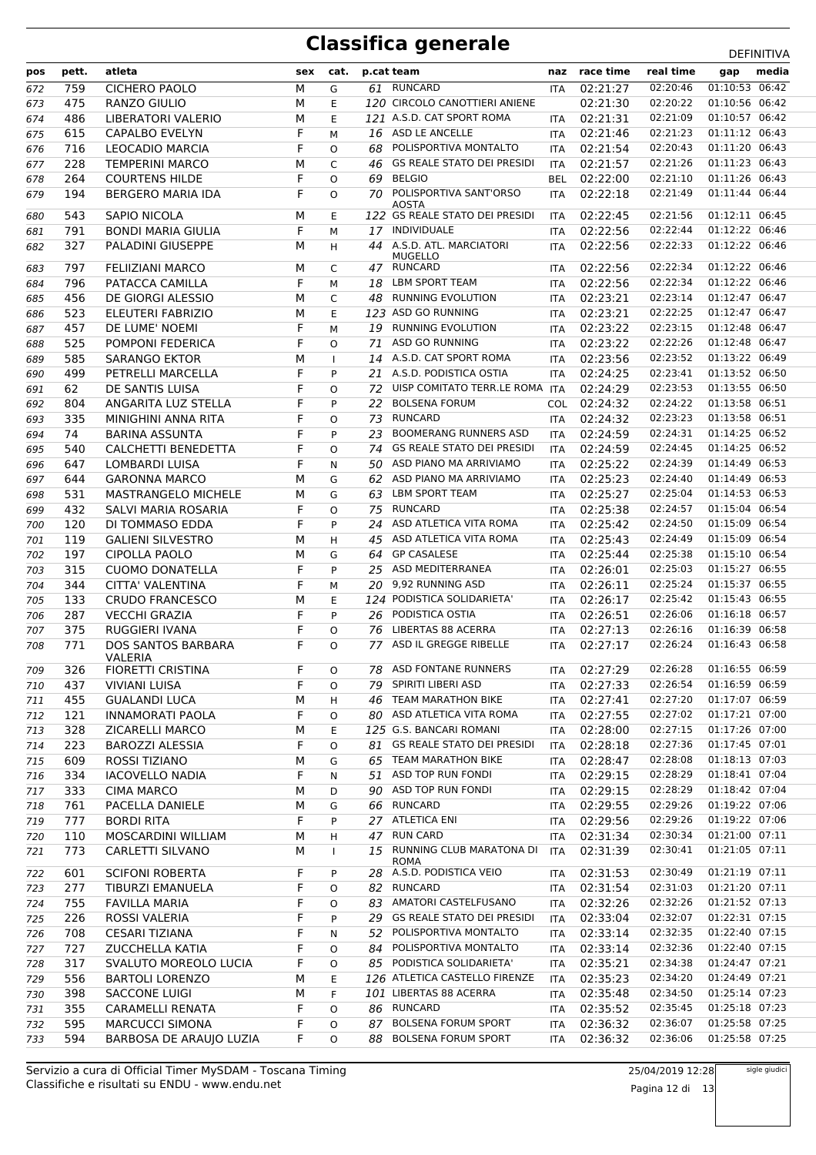| pos | pett. | atleta                                      | sex | cat.         |    | p.cat team                                     |            | naz race time | real time | gap            | media |
|-----|-------|---------------------------------------------|-----|--------------|----|------------------------------------------------|------------|---------------|-----------|----------------|-------|
| 672 | 759   | <b>CICHERO PAOLO</b>                        | М   | G            |    | 61 RUNCARD                                     | <b>ITA</b> | 02:21:27      | 02:20:46  | 01:10:53 06:42 |       |
| 673 | 475   | RANZO GIULIO                                | М   | E            |    | 120 CIRCOLO CANOTTIERI ANIENE                  |            | 02:21:30      | 02:20:22  | 01:10:56 06:42 |       |
| 674 | 486   | LIBERATORI VALERIO                          | М   | E            |    | 121 A.S.D. CAT SPORT ROMA                      | <b>ITA</b> | 02:21:31      | 02:21:09  | 01:10:57 06:42 |       |
| 675 | 615   | <b>CAPALBO EVELYN</b>                       | F   | M            |    | 16 ASD LE ANCELLE                              | <b>ITA</b> | 02:21:46      | 02:21:23  | 01:11:12 06:43 |       |
| 676 | 716   | LEOCADIO MARCIA                             | F   | O            | 68 | POLISPORTIVA MONTALTO                          | <b>ITA</b> | 02:21:54      | 02:20:43  | 01:11:20 06:43 |       |
| 677 | 228   | <b>TEMPERINI MARCO</b>                      | М   | C            | 46 | <b>GS REALE STATO DEI PRESIDI</b>              | <b>ITA</b> | 02:21:57      | 02:21:26  | 01:11:23 06:43 |       |
| 678 | 264   | <b>COURTENS HILDE</b>                       | F   | $\Omega$     | 69 | <b>BELGIO</b>                                  | <b>BEL</b> | 02:22:00      | 02:21:10  | 01:11:26 06:43 |       |
| 679 | 194   | <b>BERGERO MARIA IDA</b>                    | F   | O            | 70 | POLISPORTIVA SANT'ORSO                         | ITA        | 02:22:18      | 02:21:49  | 01:11:44 06:44 |       |
| 680 | 543   | SAPIO NICOLA                                | М   | E            |    | <b>AOSTA</b><br>122 GS REALE STATO DEI PRESIDI | <b>ITA</b> | 02:22:45      | 02:21:56  | 01:12:11 06:45 |       |
| 681 | 791   | <b>BONDI MARIA GIULIA</b>                   | F   | M            |    | 17 INDIVIDUALE                                 | ITA        | 02:22:56      | 02:22:44  | 01:12:22 06:46 |       |
| 682 | 327   | PALADINI GIUSEPPE                           | М   | H            | 44 | A.S.D. ATL. MARCIATORI                         | <b>ITA</b> | 02:22:56      | 02:22:33  | 01:12:22 06:46 |       |
|     |       |                                             |     |              |    | <b>MUGELLO</b>                                 |            |               |           |                |       |
| 683 | 797   | FELIIZIANI MARCO                            | м   | C            |    | 47 RUNCARD                                     | ITA        | 02:22:56      | 02:22:34  | 01:12:22 06:46 |       |
| 684 | 796   | PATACCA CAMILLA                             | F   | M            | 18 | LBM SPORT TEAM                                 | <b>ITA</b> | 02:22:56      | 02:22:34  | 01:12:22 06:46 |       |
| 685 | 456   | DE GIORGI ALESSIO                           | М   | C            | 48 | RUNNING EVOLUTION                              | <b>ITA</b> | 02:23:21      | 02:23:14  | 01:12:47 06:47 |       |
| 686 | 523   | ELEUTERI FABRIZIO                           | М   | E            |    | 123 ASD GO RUNNING                             | <b>ITA</b> | 02:23:21      | 02:22:25  | 01:12:47 06:47 |       |
| 687 | 457   | DE LUME' NOEMI                              | F   | M            | 19 | <b>RUNNING EVOLUTION</b>                       | <b>ITA</b> | 02:23:22      | 02:23:15  | 01:12:48 06:47 |       |
| 688 | 525   | POMPONI FEDERICA                            | F   | O            | 71 | <b>ASD GO RUNNING</b>                          | ITA        | 02:23:22      | 02:22:26  | 01:12:48 06:47 |       |
| 689 | 585   | SARANGO EKTOR                               | М   | $\mathbf{I}$ | 14 | A.S.D. CAT SPORT ROMA                          | <b>ITA</b> | 02:23:56      | 02:23:52  | 01:13:22 06:49 |       |
| 690 | 499   | PETRELLI MARCELLA                           | F   | P            | 21 | A.S.D. PODISTICA OSTIA                         | <b>ITA</b> | 02:24:25      | 02:23:41  | 01:13:52 06:50 |       |
| 691 | 62    | DE SANTIS LUISA                             | F   | $\Omega$     | 72 | UISP COMITATO TERR.LE ROMA ITA                 |            | 02:24:29      | 02:23:53  | 01:13:55 06:50 |       |
| 692 | 804   | ANGARITA LUZ STELLA                         | F   | P            | 22 | <b>BOLSENA FORUM</b>                           |            | COL 02:24:32  | 02:24:22  | 01:13:58 06:51 |       |
| 693 | 335   | MINIGHINI ANNA RITA                         | F   | $\Omega$     | 73 | <b>RUNCARD</b>                                 | <b>ITA</b> | 02:24:32      | 02:23:23  | 01:13:58 06:51 |       |
| 694 | 74    | <b>BARINA ASSUNTA</b>                       | F   | P            | 23 | <b>BOOMERANG RUNNERS ASD</b>                   | <b>ITA</b> | 02:24:59      | 02:24:31  | 01:14:25 06:52 |       |
| 695 | 540   | CALCHETTI BENEDETTA                         | F   | O            | 74 | <b>GS REALE STATO DEI PRESIDI</b>              | <b>ITA</b> | 02:24:59      | 02:24:45  | 01:14:25 06:52 |       |
| 696 | 647   | LOMBARDI LUISA                              | F   | N            | 50 | ASD PIANO MA ARRIVIAMO                         | <b>ITA</b> | 02:25:22      | 02:24:39  | 01:14:49 06:53 |       |
| 697 | 644   | <b>GARONNA MARCO</b>                        | М   | G            |    | 62 ASD PIANO MA ARRIVIAMO                      | <b>ITA</b> | 02:25:23      | 02:24:40  | 01:14:49 06:53 |       |
| 698 | 531   | <b>MASTRANGELO MICHELE</b>                  | М   | G            | 63 | LBM SPORT TEAM                                 | <b>ITA</b> | 02:25:27      | 02:25:04  | 01:14:53 06:53 |       |
| 699 | 432   | SALVI MARIA ROSARIA                         | F   | $\Omega$     | 75 | <b>RUNCARD</b>                                 | <b>ITA</b> | 02:25:38      | 02:24:57  | 01:15:04 06:54 |       |
| 700 | 120   | DI TOMMASO EDDA                             | F   | P            | 24 | ASD ATLETICA VITA ROMA                         | ITA        | 02:25:42      | 02:24:50  | 01:15:09 06:54 |       |
| 701 | 119   | <b>GALIENI SILVESTRO</b>                    | М   | H            | 45 | ASD ATLETICA VITA ROMA                         | <b>ITA</b> | 02:25:43      | 02:24:49  | 01:15:09 06:54 |       |
| 702 | 197   | <b>CIPOLLA PAOLO</b>                        | М   | G            | 64 | <b>GP CASALESE</b>                             | <b>ITA</b> | 02:25:44      | 02:25:38  | 01:15:10 06:54 |       |
| 703 | 315   | <b>CUOMO DONATELLA</b>                      | F   | P            | 25 | ASD MEDITERRANEA                               | ITA        | 02:26:01      | 02:25:03  | 01:15:27 06:55 |       |
| 704 | 344   | CITTA' VALENTINA                            | F   | M            | 20 | 9,92 RUNNING ASD                               | <b>ITA</b> | 02:26:11      | 02:25:24  | 01:15:37 06:55 |       |
| 705 | 133   | <b>CRUDO FRANCESCO</b>                      | М   | E            |    | 124 PODISTICA SOLIDARIETA'                     | <b>ITA</b> | 02:26:17      | 02:25:42  | 01:15:43 06:55 |       |
| 706 | 287   | <b>VECCHI GRAZIA</b>                        | F   | P            | 26 | PODISTICA OSTIA                                | <b>ITA</b> | 02:26:51      | 02:26:06  | 01:16:18 06:57 |       |
| 707 | 375   | RUGGIERI IVANA                              | F   | O            | 76 | LIBERTAS 88 ACERRA                             | ITA        | 02:27:13      | 02:26:16  | 01:16:39 06:58 |       |
| 708 | 771   | <b>DOS SANTOS BARBARA</b><br><b>VALERIA</b> | F   | O            |    | 77 ASD IL GREGGE RIBELLE                       | <b>ITA</b> | 02:27:17      | 02:26:24  | 01:16:43 06:58 |       |
| 709 | 326   | FIORETTI CRISTINA                           | F   | O            |    | 78 ASD FONTANE RUNNERS                         | <b>ITA</b> | 02:27:29      | 02:26:28  | 01:16:55 06:59 |       |
| 710 | 437   | <b>VIVIANI LUISA</b>                        | F   | O            |    | 79 SPIRITI LIBERI ASD                          | ITA        | 02:27:33      | 02:26:54  | 01:16:59 06:59 |       |
| 711 | 455   | <b>GUALANDI LUCA</b>                        | М   | H            | 46 | <b>TEAM MARATHON BIKE</b>                      | ITA        | 02:27:41      | 02:27:20  | 01:17:07 06:59 |       |
| 712 | 121   | INNAMORATI PAOLA                            | F   | O            | 80 | ASD ATLETICA VITA ROMA                         | ITA        | 02:27:55      | 02:27:02  | 01:17:21 07:00 |       |
| 713 | 328   | ZICARELLI MARCO                             | М   | Е            |    | 125 G.S. BANCARI ROMANI                        | ITA        | 02:28:00      | 02:27:15  | 01:17:26 07:00 |       |
| 714 | 223   | <b>BAROZZI ALESSIA</b>                      | F   | O            | 81 | <b>GS REALE STATO DEI PRESIDI</b>              | ITA        | 02:28:18      | 02:27:36  | 01:17:45 07:01 |       |
| 715 | 609   | ROSSI TIZIANO                               | М   | G            | 65 | TEAM MARATHON BIKE                             | ITA        | 02:28:47      | 02:28:08  | 01:18:13 07:03 |       |
| 716 | 334   | <b>IACOVELLO NADIA</b>                      | F   | Ν            | 51 | ASD TOP RUN FONDI                              | ITA        | 02:29:15      | 02:28:29  | 01:18:41 07:04 |       |
| 717 | 333   | <b>CIMA MARCO</b>                           | М   | D            | 90 | ASD TOP RUN FONDI                              | ITA        | 02:29:15      | 02:28:29  | 01:18:42 07:04 |       |
| 718 | 761   | PACELLA DANIELE                             | М   | G            | 66 | <b>RUNCARD</b>                                 | ITA        | 02:29:55      | 02:29:26  | 01:19:22 07:06 |       |
| 719 | 777   | <b>BORDI RITA</b>                           | F   | P            | 27 | ATLETICA ENI                                   | ITA        | 02:29:56      | 02:29:26  | 01:19:22 07:06 |       |
| 720 | 110   | MOSCARDINI WILLIAM                          | М   | н            | 47 | <b>RUN CARD</b>                                | ITA        | 02:31:34      | 02:30:34  | 01:21:00 07:11 |       |
| 721 | 773   | CARLETTI SILVANO                            | М   | $\mathbf{I}$ |    | 15 RUNNING CLUB MARATONA DI                    | <b>ITA</b> | 02:31:39      | 02:30:41  | 01:21:05 07:11 |       |
| 722 | 601   | <b>SCIFONI ROBERTA</b>                      | F   | P            |    | <b>ROMA</b><br>28 A.S.D. PODISTICA VEIO        | ITA        | 02:31:53      | 02:30:49  | 01:21:19 07:11 |       |
| 723 | 277   | TIBURZI EMANUELA                            | F   | O            | 82 | RUNCARD                                        | <b>ITA</b> | 02:31:54      | 02:31:03  | 01:21:20 07:11 |       |
| 724 | 755   | <b>FAVILLA MARIA</b>                        | F   | O            | 83 | AMATORI CASTELFUSANO                           | ITA        | 02:32:26      | 02:32:26  | 01:21:52 07:13 |       |
| 725 | 226   | ROSSI VALERIA                               | F   | P            | 29 | <b>GS REALE STATO DEI PRESIDI</b>              | ITA        | 02:33:04      | 02:32:07  | 01:22:31 07:15 |       |
| 726 | 708   | <b>CESARI TIZIANA</b>                       | F   | N            | 52 | POLISPORTIVA MONTALTO                          | ITA        | 02:33:14      | 02:32:35  | 01:22:40 07:15 |       |
| 727 | 727   | <b>ZUCCHELLA KATIA</b>                      | F   | O            | 84 | POLISPORTIVA MONTALTO                          | ITA        | 02:33:14      | 02:32:36  | 01:22:40 07:15 |       |
| 728 | 317   | SVALUTO MOREOLO LUCIA                       | F   | O            | 85 | PODISTICA SOLIDARIETA'                         | ITA        | 02:35:21      | 02:34:38  | 01:24:47 07:21 |       |
| 729 | 556   | <b>BARTOLI LORENZO</b>                      | М   | Е            |    | 126 ATLETICA CASTELLO FIRENZE                  | ITA        | 02:35:23      | 02:34:20  | 01:24:49 07:21 |       |
| 730 | 398   | <b>SACCONE LUIGI</b>                        | М   | F            |    | 101 LIBERTAS 88 ACERRA                         | ITA        | 02:35:48      | 02:34:50  | 01:25:14 07:23 |       |
| 731 | 355   | CARAMELLI RENATA                            | F   | O            | 86 | RUNCARD                                        | ITA        | 02:35:52      | 02:35:45  | 01:25:18 07:23 |       |
| 732 | 595   | <b>MARCUCCI SIMONA</b>                      | F   | O            | 87 | <b>BOLSENA FORUM SPORT</b>                     | ITA        | 02:36:32      | 02:36:07  | 01:25:58 07:25 |       |
| 733 | 594   | BARBOSA DE ARAUJO LUZIA                     | F   | O            | 88 | <b>BOLSENA FORUM SPORT</b>                     | ITA        | 02:36:32      | 02:36:06  | 01:25:58 07:25 |       |
|     |       |                                             |     |              |    |                                                |            |               |           |                |       |